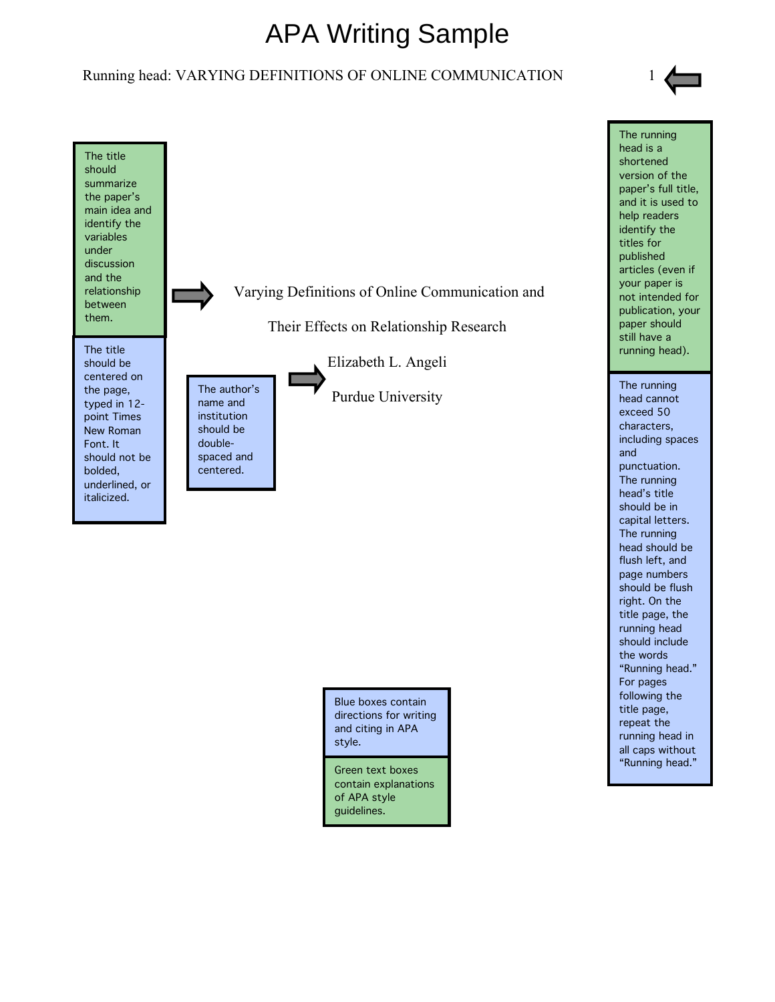### APA Writing Sample

#### Running head: VARYING DEFINITIONS OF ONLINE COMMUNICATION 1



Blue boxes contain directions for writing and citing in APA style.

Green text boxes contain explanations of APA style guidelines.

The running head is a shortened version of the paper's full title, and it is used to help readers identify the titles for published articles (even if your paper is not intended for publication, your paper should still have a running head).

The running head cannot exceed 50 characters, including spaces and punctuation. The running head's title should be in capital letters. The running head should be flush left, and page numbers should be flush right. On the title page, the running head should include the words "Running head." For pages following the title page, repeat the running head in all caps without "Running head."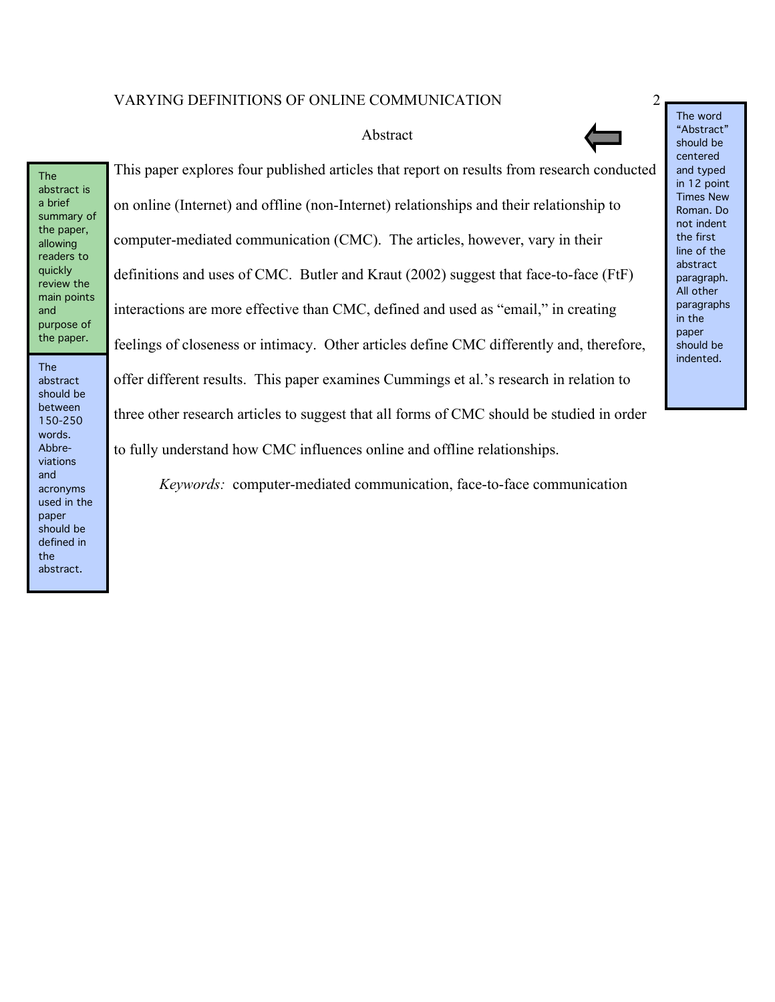#### Abstract



The abstract is a brief summary of the paper, allowing readers to quickly review the main points and purpose of the paper.

The abstract should be between 150-250 words. Abbreviations and acronyms used in the paper should be defined in the abstract.

This paper explores four published articles that report on results from research conducted on online (Internet) and offline (non-Internet) relationships and their relationship to computer-mediated communication (CMC). The articles, however, vary in their definitions and uses of CMC. Butler and Kraut (2002) suggest that face-to-face (FtF) interactions are more effective than CMC, defined and used as "email," in creating feelings of closeness or intimacy. Other articles define CMC differently and, therefore, offer different results. This paper examines Cummings et al.'s research in relation to three other research articles to suggest that all forms of CMC should be studied in order to fully understand how CMC influences online and offline relationships.

*Keywords:* computer-mediated communication, face-to-face communication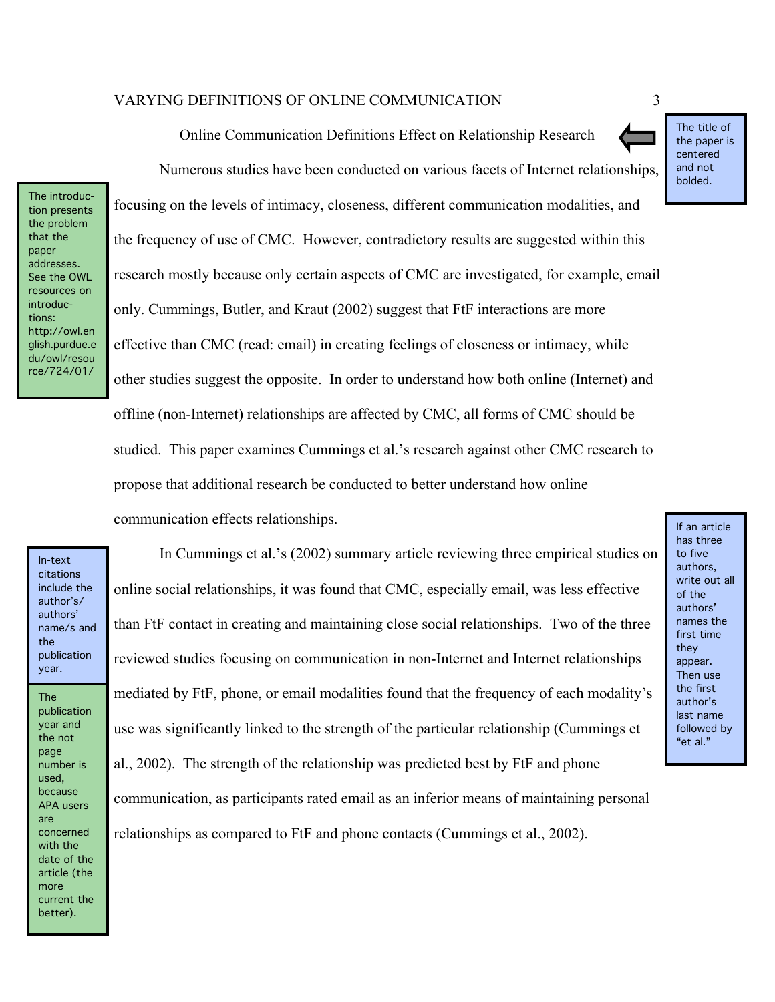The introduction presents the problem that the paper addresses. See the OWL resources on introductions: http://owl.en glish.purdue.e du/owl/resou rce/724/01/

Online Communication Definitions Effect on Relationship Research Numerous studies have been conducted on various facets of Internet relationships, focusing on the levels of intimacy, closeness, different communication modalities, and the frequency of use of CMC. However, contradictory results are suggested within this research mostly because only certain aspects of CMC are investigated, for example, email only. Cummings, Butler, and Kraut (2002) suggest that FtF interactions are more effective than CMC (read: email) in creating feelings of closeness or intimacy, while other studies suggest the opposite. In order to understand how both online (Internet) and

offline (non-Internet) relationships are affected by CMC, all forms of CMC should be studied. This paper examines Cummings et al.'s research against other CMC research to propose that additional research be conducted to better understand how online communication effects relationships.

In-text citations include the author's/ authors' name/s and the publication year.

The publication year and the not page number is used, because APA users are concerned with the date of the article (the more current the better).

In Cummings et al.'s (2002) summary article reviewing three empirical studies on online social relationships, it was found that CMC, especially email, was less effective than FtF contact in creating and maintaining close social relationships. Two of the three reviewed studies focusing on communication in non-Internet and Internet relationships mediated by FtF, phone, or email modalities found that the frequency of each modality's use was significantly linked to the strength of the particular relationship (Cummings et al., 2002). The strength of the relationship was predicted best by FtF and phone

communication, as participants rated email as an inferior means of maintaining personal relationships as compared to FtF and phone contacts (Cummings et al., 2002).

If an article has three to five authors, write out all of the authors' names the first time they appear. Then use the first author's last name followed by "et al."

The title of the paper is centered and not bolded.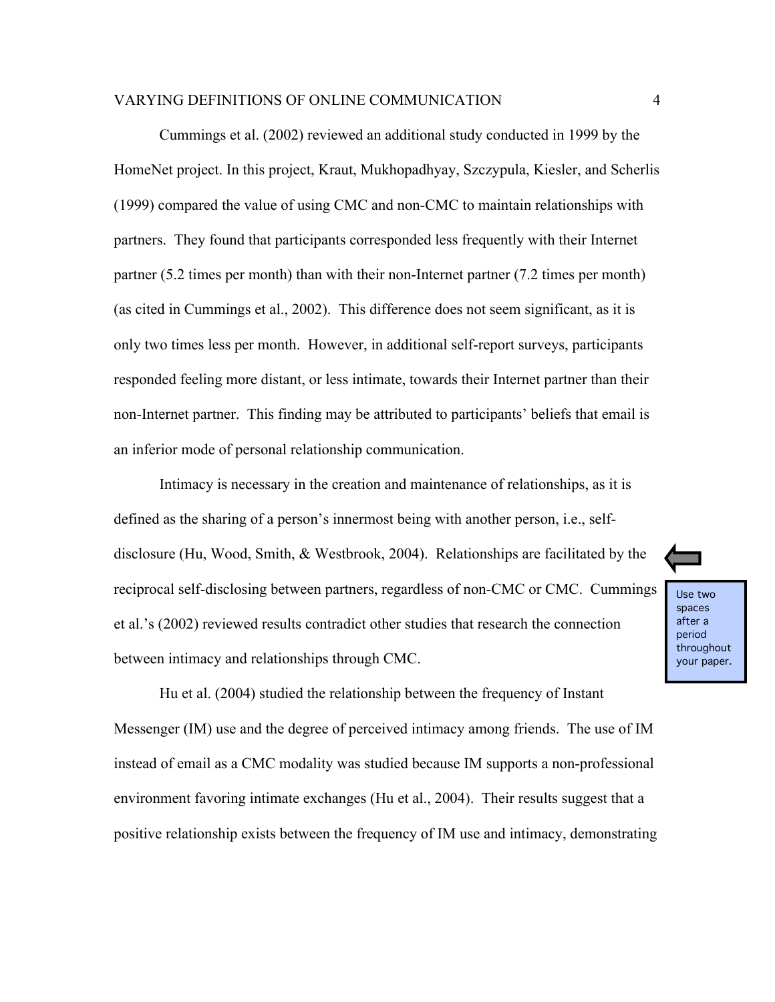Cummings et al. (2002) reviewed an additional study conducted in 1999 by the HomeNet project. In this project, Kraut, Mukhopadhyay, Szczypula, Kiesler, and Scherlis (1999) compared the value of using CMC and non-CMC to maintain relationships with partners. They found that participants corresponded less frequently with their Internet partner (5.2 times per month) than with their non-Internet partner (7.2 times per month) (as cited in Cummings et al., 2002). This difference does not seem significant, as it is only two times less per month. However, in additional self-report surveys, participants responded feeling more distant, or less intimate, towards their Internet partner than their non-Internet partner. This finding may be attributed to participants' beliefs that email is an inferior mode of personal relationship communication.

Intimacy is necessary in the creation and maintenance of relationships, as it is defined as the sharing of a person's innermost being with another person, i.e., selfdisclosure (Hu, Wood, Smith, & Westbrook, 2004). Relationships are facilitated by the reciprocal self-disclosing between partners, regardless of non-CMC or CMC. Cummings et al.'s (2002) reviewed results contradict other studies that research the connection between intimacy and relationships through CMC.

Hu et al. (2004) studied the relationship between the frequency of Instant Messenger (IM) use and the degree of perceived intimacy among friends. The use of IM instead of email as a CMC modality was studied because IM supports a non-professional environment favoring intimate exchanges (Hu et al., 2004). Their results suggest that a positive relationship exists between the frequency of IM use and intimacy, demonstrating

Use two spaces after a period throughout your paper.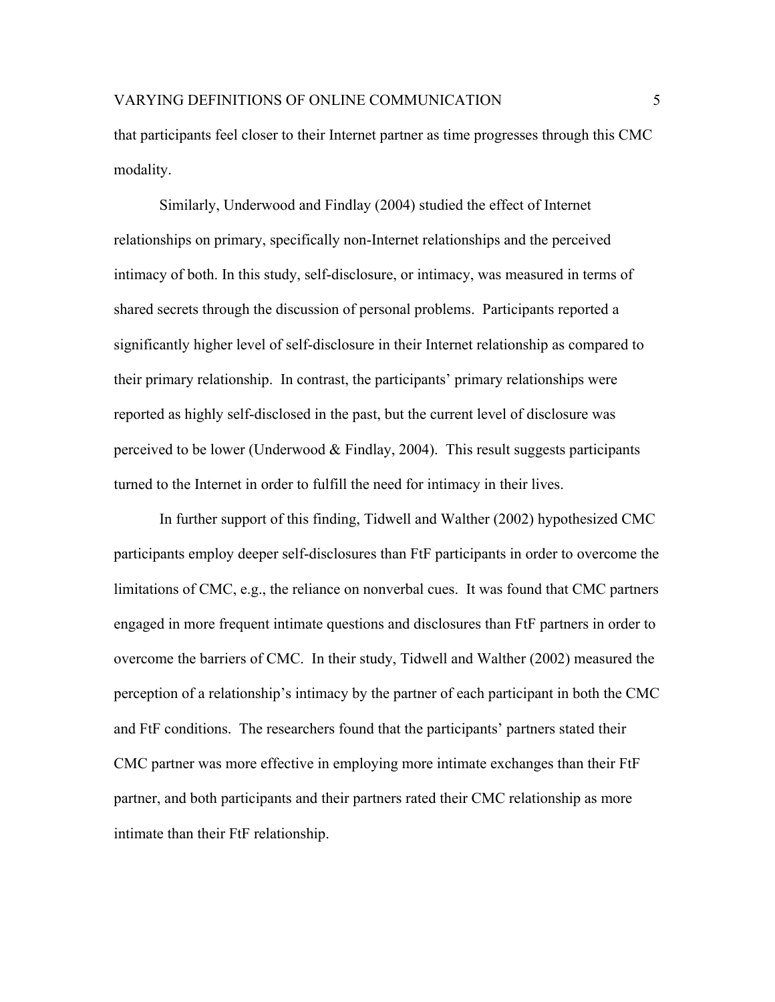that participants feel closer to their Internet partner as time progresses through this CMC modality.

Similarly, Underwood and Findlay (2004) studied the effect of Internet relationships on primary, specifically non-Internet relationships and the perceived intimacy of both. In this study, self-disclosure, or intimacy, was measured in terms of shared secrets through the discussion of personal problems. Participants reported a significantly higher level of self-disclosure in their Internet relationship as compared to their primary relationship. In contrast, the participants' primary relationships were reported as highly self-disclosed in the past, but the current level of disclosure was perceived to be lower (Underwood  $&$  Findlay, 2004). This result suggests participants turned to the Internet in order to fulfill the need for intimacy in their lives.

In further support of this finding, Tidwell and Walther (2002) hypothesized CMC participants employ deeper self-disclosures than FtF participants in order to overcome the limitations of CMC, e.g., the reliance on nonverbal cues. It was found that CMC partners engaged in more frequent intimate questions and disclosures than FtF partners in order to overcome the barriers of CMC. In their study, Tidwell and Walther (2002) measured the perception of a relationship's intimacy by the partner of each participant in both the CMC and FtF conditions. The researchers found that the participants' partners stated their CMC partner was more effective in employing more intimate exchanges than their FtF partner, and both participants and their partners rated their CMC relationship as more intimate than their FtF relationship.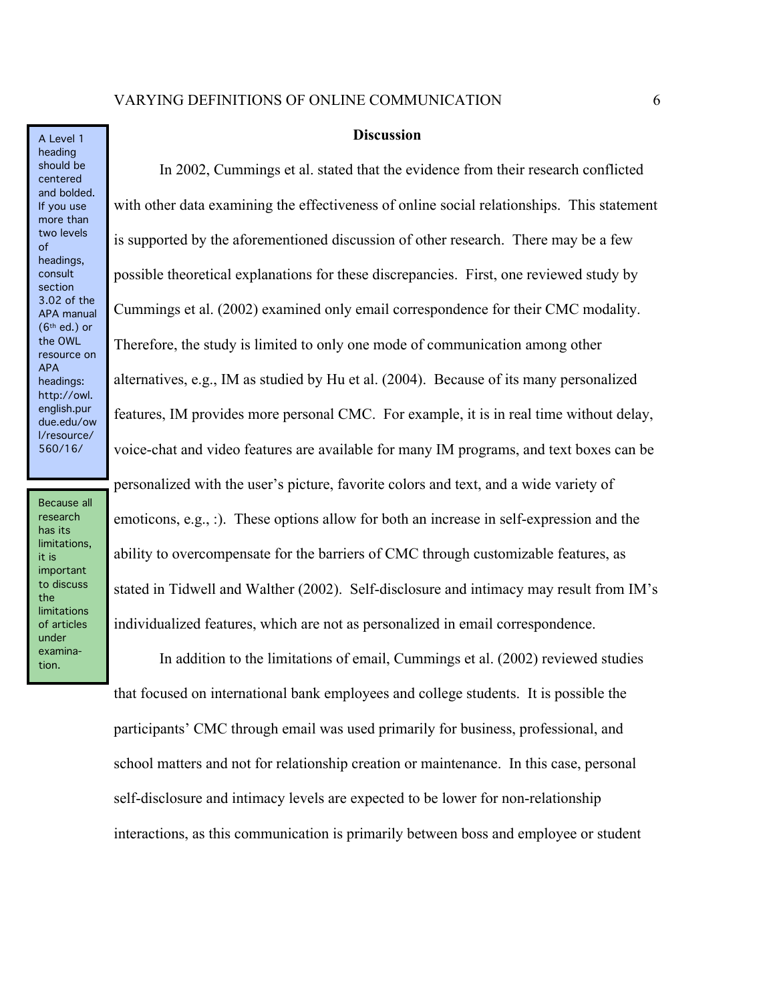#### **Discussion**

heading should be centered and bolded. If you use more than two levels of headings, consult section 3.02 of the APA manual (6th ed.) or the OWL resource on APA headings: http://owl. english.pur due.edu/ow l/resource/ 560/16/

A Level 1

Because all research has its limitations, it is important to discuss the limitations of articles under examination.

In 2002, Cummings et al. stated that the evidence from their research conflicted with other data examining the effectiveness of online social relationships. This statement is supported by the aforementioned discussion of other research. There may be a few possible theoretical explanations for these discrepancies. First, one reviewed study by Cummings et al. (2002) examined only email correspondence for their CMC modality. Therefore, the study is limited to only one mode of communication among other alternatives, e.g., IM as studied by Hu et al. (2004). Because of its many personalized features, IM provides more personal CMC. For example, it is in real time without delay, voice-chat and video features are available for many IM programs, and text boxes can be

personalized with the user's picture, favorite colors and text, and a wide variety of emoticons, e.g., :). These options allow for both an increase in self-expression and the ability to overcompensate for the barriers of CMC through customizable features, as stated in Tidwell and Walther (2002). Self-disclosure and intimacy may result from IM's individualized features, which are not as personalized in email correspondence.

In addition to the limitations of email, Cummings et al. (2002) reviewed studies that focused on international bank employees and college students. It is possible the participants' CMC through email was used primarily for business, professional, and school matters and not for relationship creation or maintenance. In this case, personal self-disclosure and intimacy levels are expected to be lower for non-relationship interactions, as this communication is primarily between boss and employee or student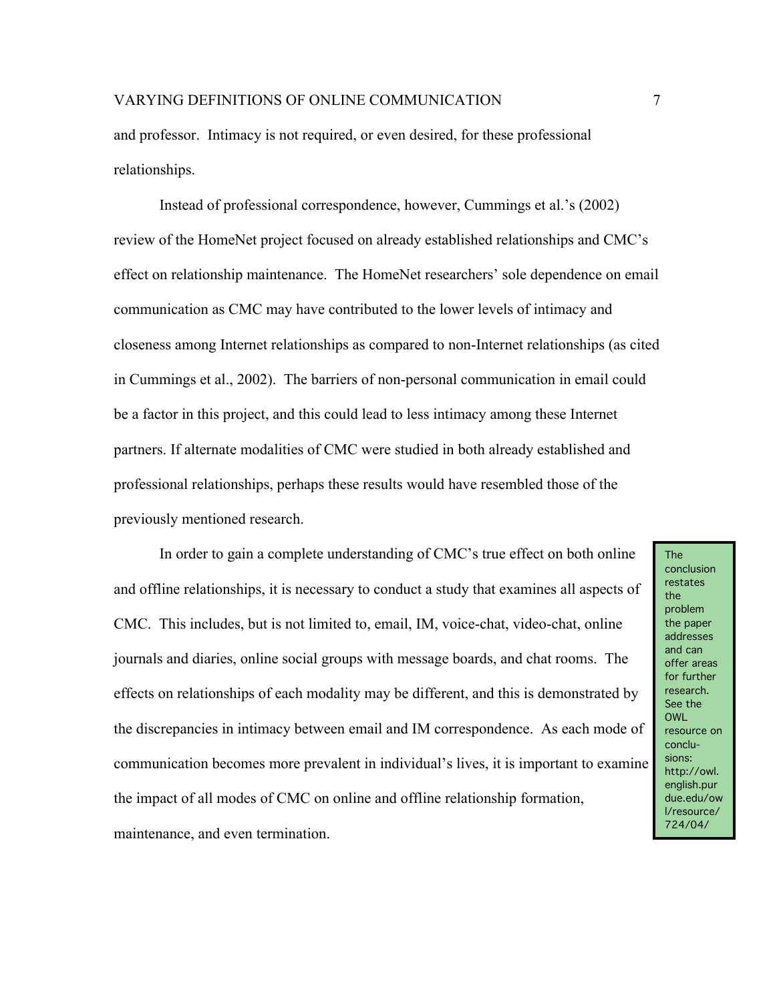and professor. Intimacy is not required, or even desired, for these professional relationships.

Instead of professional correspondence, however, Cummings et al.'s (2002) review of the HomeNet project focused on already established relationships and CMC's effect on relationship maintenance. The HomeNet researchers' sole dependence on email communication as CMC may have contributed to the lower levels of intimacy and closeness among Internet relationships as compared to non-Internet relationships (as cited in Cummings et al., 2002). The barriers of non-personal communication in email could be a factor in this project, and this could lead to less intimacy among these Internet partners. If alternate modalities of CMC were studied in both already established and professional relationships, perhaps these results would have resembled those of the previously mentioned research.

In order to gain a complete understanding of CMC's true effect on both online and offline relationships, it is necessary to conduct a study that examines all aspects of CMC. This includes, but is not limited to, email, IM, voice-chat, video-chat, online journals and diaries, online social groups with message boards, and chat rooms. The effects on relationships of each modality may be different, and this is demonstrated by the discrepancies in intimacy between email and IM correspondence. As each mode of communication becomes more prevalent in individual's lives, it is important to examine the impact of all modes of CMC on online and offline relationship formation, maintenance, and even termination.

The conclusion restates the problem the paper addresses and can offer areas for further research. See the OWL resource on conclusions: http://owl. english.pur due.edu/ow l/resource/ 724/04/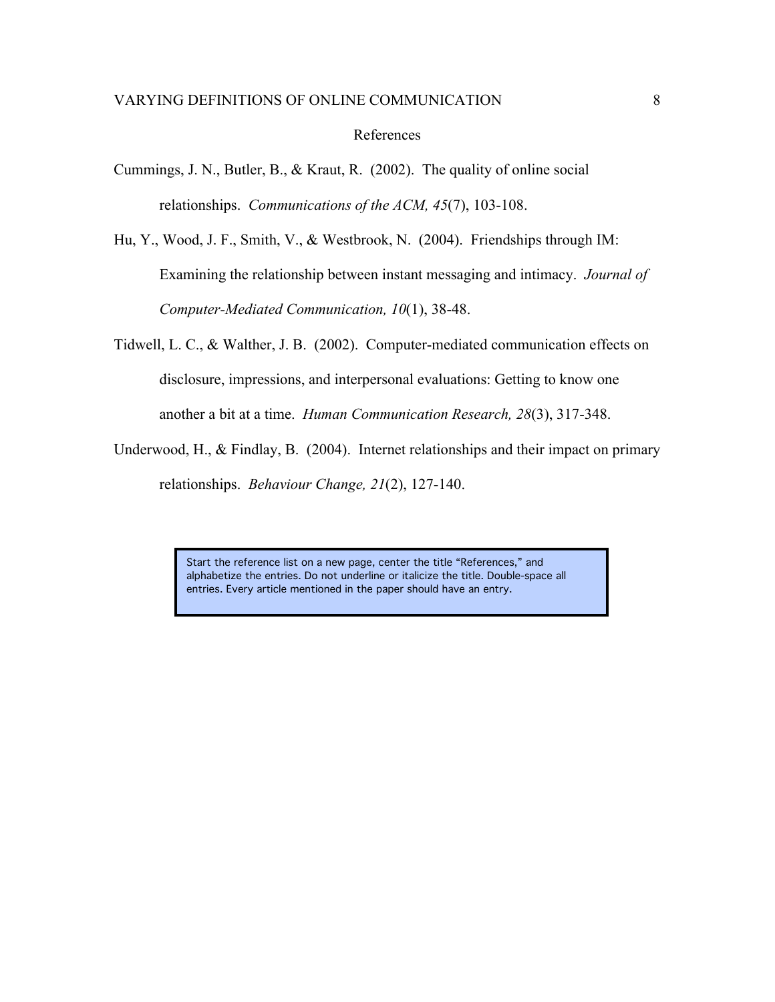#### References

- Cummings, J. N., Butler, B., & Kraut, R. (2002). The quality of online social relationships. *Communications of the ACM, 45*(7), 103-108.
- Hu, Y., Wood, J. F., Smith, V., & Westbrook, N. (2004). Friendships through IM: Examining the relationship between instant messaging and intimacy. *Journal of Computer-Mediated Communication, 10*(1), 38-48.
- Tidwell, L. C., & Walther, J. B. (2002). Computer-mediated communication effects on disclosure, impressions, and interpersonal evaluations: Getting to know one another a bit at a time. *Human Communication Research, 28*(3), 317-348.
- Underwood, H., & Findlay, B. (2004). Internet relationships and their impact on primary relationships. *Behaviour Change, 21*(2), 127-140.

Start the reference list on a new page, center the title "References," and alphabetize the entries. Do not underline or italicize the title. Double-space all entries. Every article mentioned in the paper should have an entry.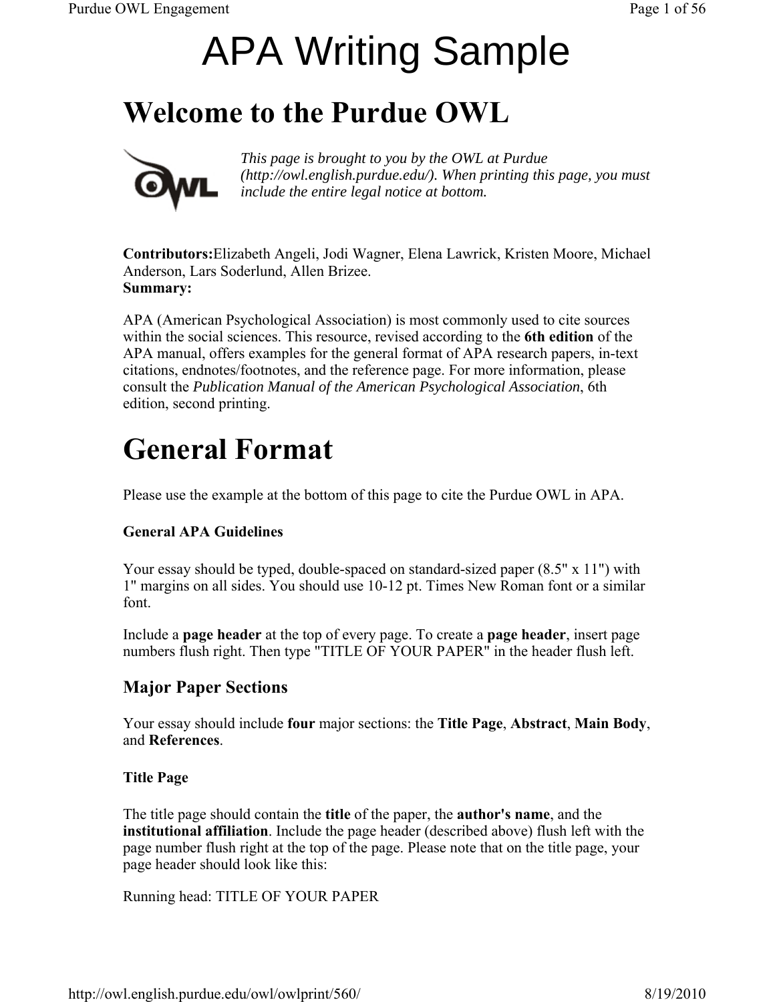### **Welcome to the Purdue OWL**



*This page is brought to you by the OWL at Purdue (http://owl.english.purdue.edu/). When printing this page, you must include the entire legal notice at bottom.*

**Contributors:**Elizabeth Angeli, Jodi Wagner, Elena Lawrick, Kristen Moore, Michael Anderson, Lars Soderlund, Allen Brizee. **Summary:**

APA (American Psychological Association) is most commonly used to cite sources within the social sciences. This resource, revised according to the **6th edition** of the APA manual, offers examples for the general format of APA research papers, in-text citations, endnotes/footnotes, and the reference page. For more information, please consult the *Publication Manual of the American Psychological Association*, 6th edition, second printing. **APA Writing Samples**<br>
Welcome to the Purdue OWL<br>
This page is broaded to you by the OWL at Partice<br>
This page is broaded to you by the OWL at Partice<br>
Contribution: Elizabeth english of the Section where the OWL at Parti

### **General Format**

Please use the example at the bottom of this page to cite the Purdue OWL in APA.

#### **General APA Guidelines**

Your essay should be typed, double-spaced on standard-sized paper  $(8.5" \times 11")$  with 1" margins on all sides. You should use 10-12 pt. Times New Roman font or a similar font.

Include a **page header** at the top of every page. To create a **page header**, insert page numbers flush right. Then type "TITLE OF YOUR PAPER" in the header flush left.

### **Major Paper Sections**

Your essay should include **four** major sections: the **Title Page**, **Abstract**, **Main Body**, and **References**.

#### **Title Page**

The title page should contain the **title** of the paper, the **author's name**, and the **institutional affiliation**. Include the page header (described above) flush left with the page number flush right at the top of the page. Please note that on the title page, your page header should look like this:

Running head: TITLE OF YOUR PAPER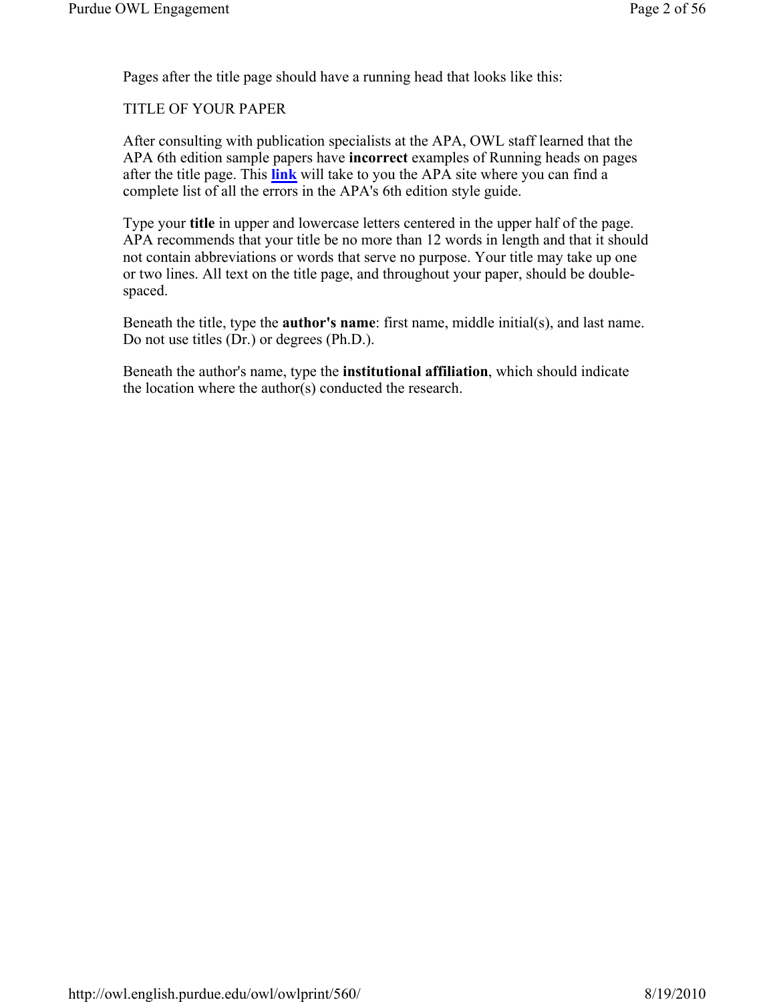Pages after the title page should have a running head that looks like this:

#### TITLE OF YOUR PAPER

After consulting with publication specialists at the APA, OWL staff learned that the APA 6th edition sample papers have **incorrect** examples of Running heads on pages after the title page. This **link** will take to you the APA site where you can find a complete list of all the errors in the APA's 6th edition style guide.

Type your **title** in upper and lowercase letters centered in the upper half of the page. APA recommends that your title be no more than 12 words in length and that it should not contain abbreviations or words that serve no purpose. Your title may take up one or two lines. All text on the title page, and throughout your paper, should be doublespaced.

Beneath the title, type the **author's name**: first name, middle initial(s), and last name. Do not use titles (Dr.) or degrees (Ph.D.).

Beneath the author's name, type the **institutional affiliation**, which should indicate the location where the author(s) conducted the research.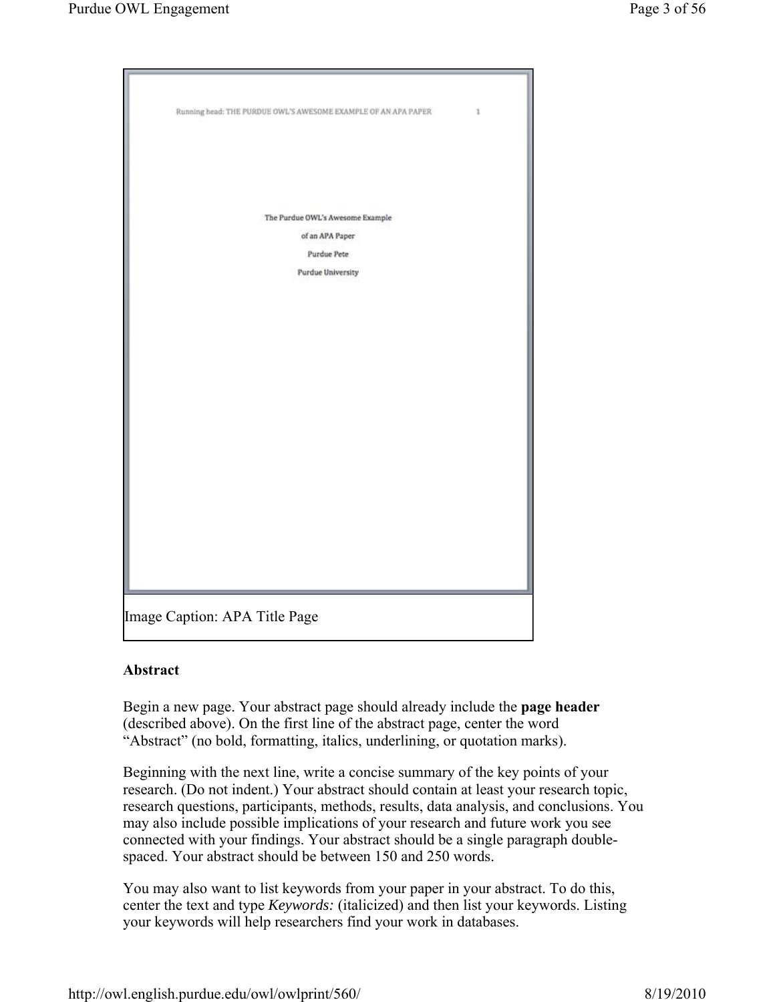

#### **Abstract**

Begin a new page. Your abstract page should already include the **page header** (described above). On the first line of the abstract page, center the word "Abstract" (no bold, formatting, italics, underlining, or quotation marks).

Beginning with the next line, write a concise summary of the key points of your research. (Do not indent.) Your abstract should contain at least your research topic, research questions, participants, methods, results, data analysis, and conclusions. You may also include possible implications of your research and future work you see connected with your findings. Your abstract should be a single paragraph doublespaced. Your abstract should be between 150 and 250 words.

You may also want to list keywords from your paper in your abstract. To do this, center the text and type *Keywords:* (italicized) and then list your keywords. Listing your keywords will help researchers find your work in databases.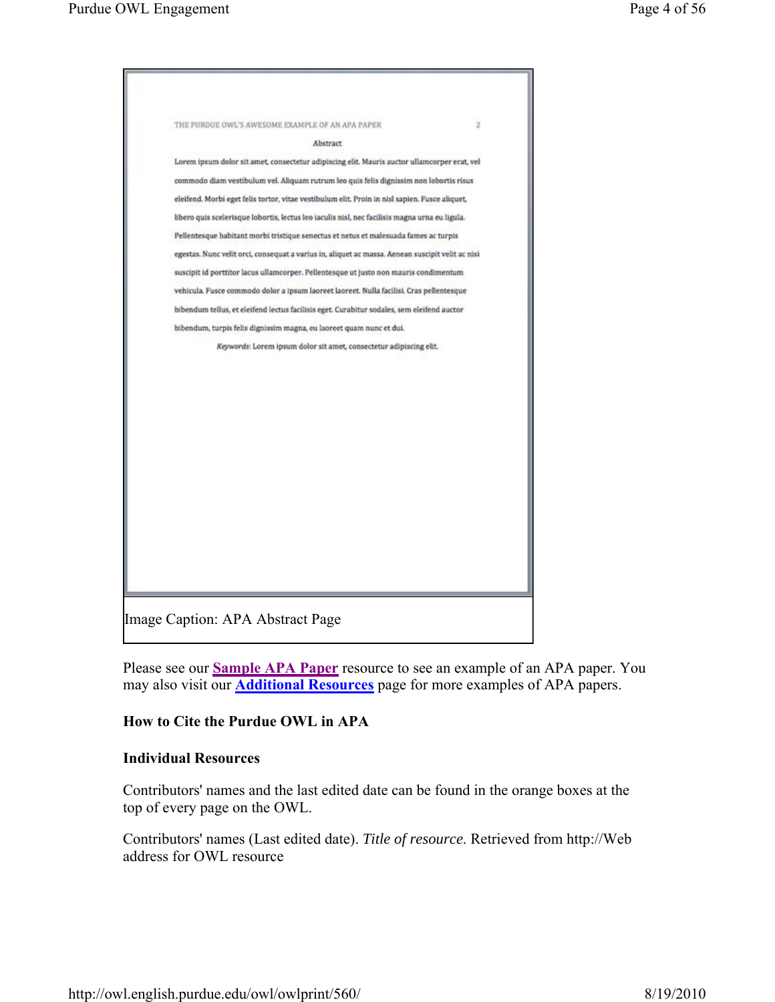| Abstract<br>Lorem ipsum dolor sit amet, consectetur adipiscing elit. Mauris auctor ullamcorper erat, vel<br>commodo diam vestibulum vel. Aliquam rutrum leo quis felis dignissim non lobortis risus<br>eleifend. Morbi eget felis tortor, vitae vestibulum elit. Proin in nisl sapien. Fusce aliquet,<br>libero quis scelerisque lobortis, lectus leo iaculis nisl, nec facilisis magna urna eu ligula.<br>Pellentesque habitant morbi tristique senectus et netus et malesuada fames ac turpis<br>egestas. Nunc velit orci, consequat a varius in, aliquet ac massa. Aenean suscipit velit ac nisi<br>suscipit id porttitor lacus ullamcorper. Pellentesque ut justo non mauris condimentum<br>vehicula. Fusce commodo dolor a ipsum laoreet laoreet. Nulla facilisi. Cras pellentesque<br>bibendum tellus, et eleifend lectus facilisis eget. Curabitur sodales, sem eleifend auctor<br>bibendum, turpis felis dignissim magna, eu laoreet quam nunc et dui.<br>Keywords: Lorem ipsum dolor sit amet, consectetur adipiscing elit. | THE PURDUE OWL'S AWESOME EXAMPLE OF AN APA PAPER | 2 |
|--------------------------------------------------------------------------------------------------------------------------------------------------------------------------------------------------------------------------------------------------------------------------------------------------------------------------------------------------------------------------------------------------------------------------------------------------------------------------------------------------------------------------------------------------------------------------------------------------------------------------------------------------------------------------------------------------------------------------------------------------------------------------------------------------------------------------------------------------------------------------------------------------------------------------------------------------------------------------------------------------------------------------------------|--------------------------------------------------|---|
|                                                                                                                                                                                                                                                                                                                                                                                                                                                                                                                                                                                                                                                                                                                                                                                                                                                                                                                                                                                                                                      |                                                  |   |
|                                                                                                                                                                                                                                                                                                                                                                                                                                                                                                                                                                                                                                                                                                                                                                                                                                                                                                                                                                                                                                      |                                                  |   |
|                                                                                                                                                                                                                                                                                                                                                                                                                                                                                                                                                                                                                                                                                                                                                                                                                                                                                                                                                                                                                                      |                                                  |   |
|                                                                                                                                                                                                                                                                                                                                                                                                                                                                                                                                                                                                                                                                                                                                                                                                                                                                                                                                                                                                                                      |                                                  |   |
|                                                                                                                                                                                                                                                                                                                                                                                                                                                                                                                                                                                                                                                                                                                                                                                                                                                                                                                                                                                                                                      |                                                  |   |
|                                                                                                                                                                                                                                                                                                                                                                                                                                                                                                                                                                                                                                                                                                                                                                                                                                                                                                                                                                                                                                      |                                                  |   |
|                                                                                                                                                                                                                                                                                                                                                                                                                                                                                                                                                                                                                                                                                                                                                                                                                                                                                                                                                                                                                                      |                                                  |   |
|                                                                                                                                                                                                                                                                                                                                                                                                                                                                                                                                                                                                                                                                                                                                                                                                                                                                                                                                                                                                                                      |                                                  |   |
|                                                                                                                                                                                                                                                                                                                                                                                                                                                                                                                                                                                                                                                                                                                                                                                                                                                                                                                                                                                                                                      |                                                  |   |
|                                                                                                                                                                                                                                                                                                                                                                                                                                                                                                                                                                                                                                                                                                                                                                                                                                                                                                                                                                                                                                      |                                                  |   |
|                                                                                                                                                                                                                                                                                                                                                                                                                                                                                                                                                                                                                                                                                                                                                                                                                                                                                                                                                                                                                                      |                                                  |   |
|                                                                                                                                                                                                                                                                                                                                                                                                                                                                                                                                                                                                                                                                                                                                                                                                                                                                                                                                                                                                                                      |                                                  |   |
|                                                                                                                                                                                                                                                                                                                                                                                                                                                                                                                                                                                                                                                                                                                                                                                                                                                                                                                                                                                                                                      |                                                  |   |

Please see our **Sample APA Paper** resource to see an example of an APA paper. You may also visit our **Additional Resources** page for more examples of APA papers.

#### **How to Cite the Purdue OWL in APA**

#### **Individual Resources**

Contributors' names and the last edited date can be found in the orange boxes at the top of every page on the OWL.

Contributors' names (Last edited date). *Title of resource*. Retrieved from http://Web address for OWL resource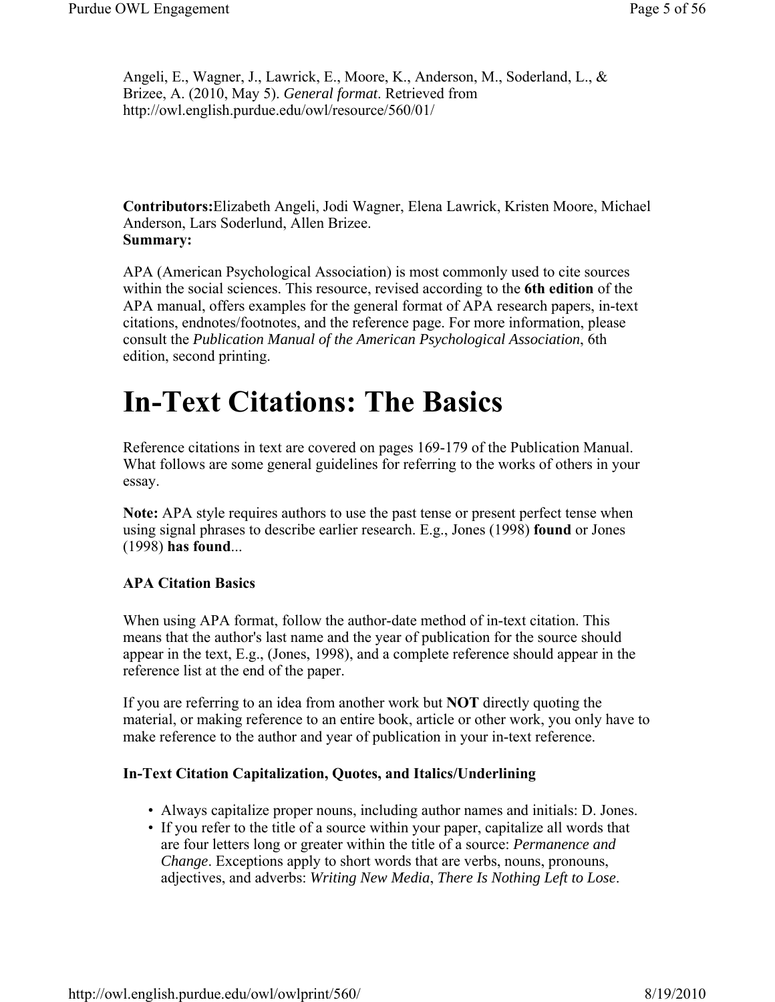Angeli, E., Wagner, J., Lawrick, E., Moore, K., Anderson, M., Soderland, L., & Brizee, A. (2010, May 5). *General format*. Retrieved from http://owl.english.purdue.edu/owl/resource/560/01/

**Contributors:**Elizabeth Angeli, Jodi Wagner, Elena Lawrick, Kristen Moore, Michael Anderson, Lars Soderlund, Allen Brizee. **Summary:**

APA (American Psychological Association) is most commonly used to cite sources within the social sciences. This resource, revised according to the **6th edition** of the APA manual, offers examples for the general format of APA research papers, in-text citations, endnotes/footnotes, and the reference page. For more information, please consult the *Publication Manual of the American Psychological Association*, 6th edition, second printing.

### **In-Text Citations: The Basics**

Reference citations in text are covered on pages 169-179 of the Publication Manual. What follows are some general guidelines for referring to the works of others in your essay.

**Note:** APA style requires authors to use the past tense or present perfect tense when using signal phrases to describe earlier research. E.g., Jones (1998) **found** or Jones (1998) **has found**...

#### **APA Citation Basics**

When using APA format, follow the author-date method of in-text citation. This means that the author's last name and the year of publication for the source should appear in the text, E.g., (Jones, 1998), and a complete reference should appear in the reference list at the end of the paper.

If you are referring to an idea from another work but **NOT** directly quoting the material, or making reference to an entire book, article or other work, you only have to make reference to the author and year of publication in your in-text reference.

#### **In-Text Citation Capitalization, Quotes, and Italics/Underlining**

- Always capitalize proper nouns, including author names and initials: D. Jones.
- If you refer to the title of a source within your paper, capitalize all words that are four letters long or greater within the title of a source: *Permanence and Change*. Exceptions apply to short words that are verbs, nouns, pronouns, adjectives, and adverbs: *Writing New Media*, *There Is Nothing Left to Lose*.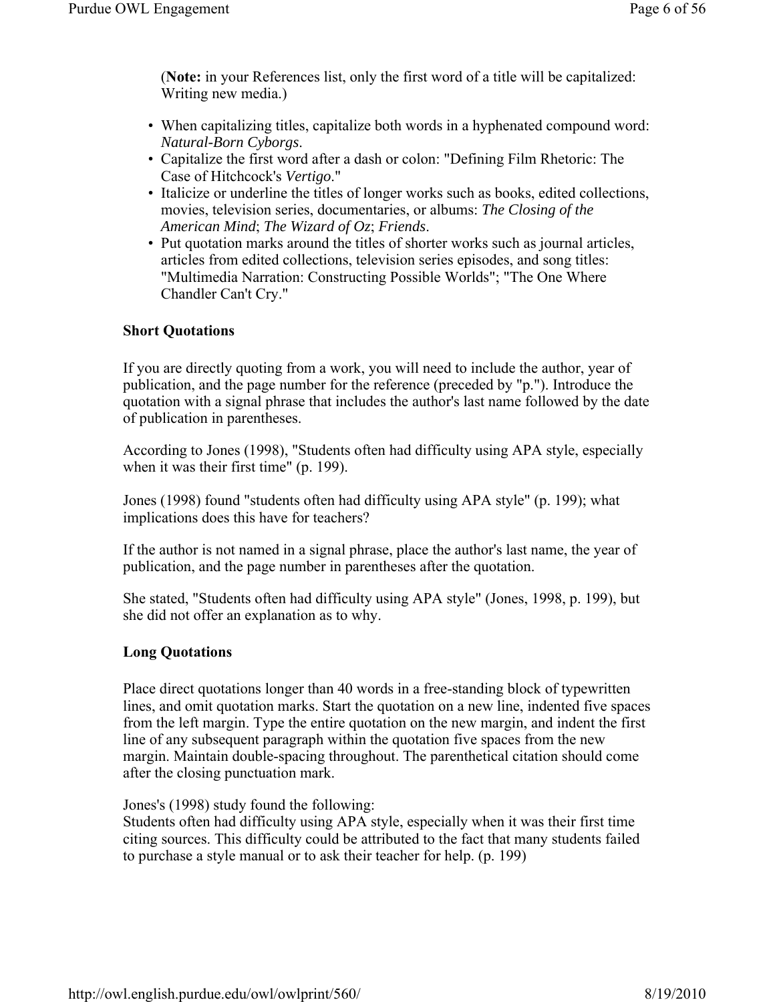(**Note:** in your References list, only the first word of a title will be capitalized: Writing new media.)

- When capitalizing titles, capitalize both words in a hyphenated compound word: *Natural-Born Cyborgs*.
- Capitalize the first word after a dash or colon: "Defining Film Rhetoric: The Case of Hitchcock's *Vertigo*."
- Italicize or underline the titles of longer works such as books, edited collections, movies, television series, documentaries, or albums: *The Closing of the American Mind*; *The Wizard of Oz*; *Friends*.
- Put quotation marks around the titles of shorter works such as journal articles, articles from edited collections, television series episodes, and song titles: "Multimedia Narration: Constructing Possible Worlds"; "The One Where Chandler Can't Cry."

#### **Short Quotations**

If you are directly quoting from a work, you will need to include the author, year of publication, and the page number for the reference (preceded by "p."). Introduce the quotation with a signal phrase that includes the author's last name followed by the date of publication in parentheses.

According to Jones (1998), "Students often had difficulty using APA style, especially when it was their first time" (p. 199).

Jones (1998) found "students often had difficulty using APA style" (p. 199); what implications does this have for teachers?

If the author is not named in a signal phrase, place the author's last name, the year of publication, and the page number in parentheses after the quotation.

She stated, "Students often had difficulty using APA style" (Jones, 1998, p. 199), but she did not offer an explanation as to why.

#### **Long Quotations**

Place direct quotations longer than 40 words in a free-standing block of typewritten lines, and omit quotation marks. Start the quotation on a new line, indented five spaces from the left margin. Type the entire quotation on the new margin, and indent the first line of any subsequent paragraph within the quotation five spaces from the new margin. Maintain double-spacing throughout. The parenthetical citation should come after the closing punctuation mark.

Jones's (1998) study found the following:

Students often had difficulty using APA style, especially when it was their first time citing sources. This difficulty could be attributed to the fact that many students failed to purchase a style manual or to ask their teacher for help. (p. 199)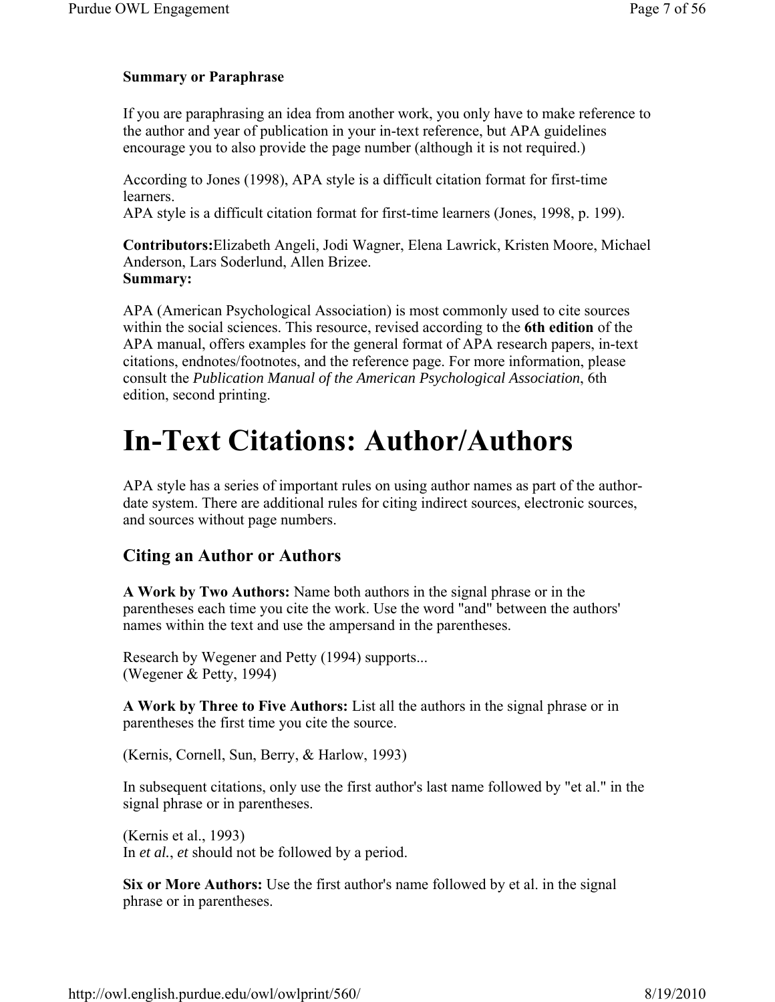#### **Summary or Paraphrase**

If you are paraphrasing an idea from another work, you only have to make reference to the author and year of publication in your in-text reference, but APA guidelines encourage you to also provide the page number (although it is not required.)

According to Jones (1998), APA style is a difficult citation format for first-time learners.

APA style is a difficult citation format for first-time learners (Jones, 1998, p. 199).

**Contributors:**Elizabeth Angeli, Jodi Wagner, Elena Lawrick, Kristen Moore, Michael Anderson, Lars Soderlund, Allen Brizee. **Summary:**

APA (American Psychological Association) is most commonly used to cite sources within the social sciences. This resource, revised according to the **6th edition** of the APA manual, offers examples for the general format of APA research papers, in-text citations, endnotes/footnotes, and the reference page. For more information, please consult the *Publication Manual of the American Psychological Association*, 6th edition, second printing.

### **In-Text Citations: Author/Authors**

APA style has a series of important rules on using author names as part of the authordate system. There are additional rules for citing indirect sources, electronic sources, and sources without page numbers.

#### **Citing an Author or Authors**

**A Work by Two Authors:** Name both authors in the signal phrase or in the parentheses each time you cite the work. Use the word "and" between the authors' names within the text and use the ampersand in the parentheses.

Research by Wegener and Petty (1994) supports... (Wegener & Petty, 1994)

**A Work by Three to Five Authors:** List all the authors in the signal phrase or in parentheses the first time you cite the source.

(Kernis, Cornell, Sun, Berry, & Harlow, 1993)

In subsequent citations, only use the first author's last name followed by "et al." in the signal phrase or in parentheses.

(Kernis et al., 1993) In *et al.*, *et* should not be followed by a period.

**Six or More Authors:** Use the first author's name followed by et al. in the signal phrase or in parentheses.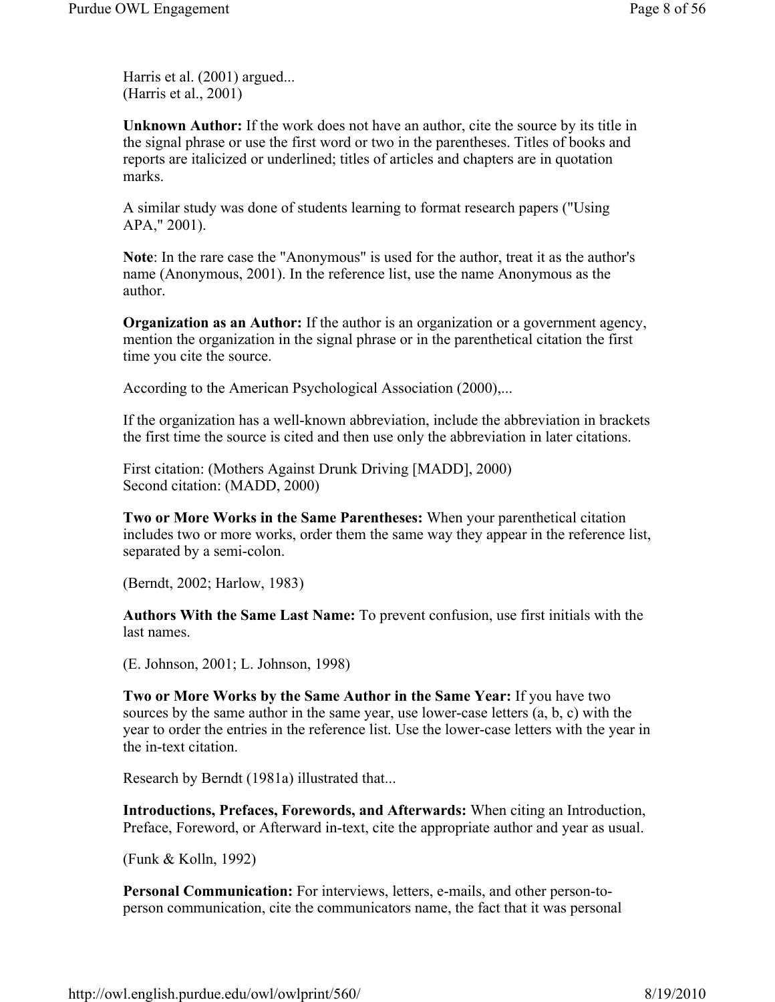Harris et al. (2001) argued... (Harris et al., 2001)

**Unknown Author:** If the work does not have an author, cite the source by its title in the signal phrase or use the first word or two in the parentheses. Titles of books and reports are italicized or underlined; titles of articles and chapters are in quotation marks.

A similar study was done of students learning to format research papers ("Using APA," 2001).

**Note**: In the rare case the "Anonymous" is used for the author, treat it as the author's name (Anonymous, 2001). In the reference list, use the name Anonymous as the author.

**Organization as an Author:** If the author is an organization or a government agency, mention the organization in the signal phrase or in the parenthetical citation the first time you cite the source.

According to the American Psychological Association (2000),...

If the organization has a well-known abbreviation, include the abbreviation in brackets the first time the source is cited and then use only the abbreviation in later citations.

First citation: (Mothers Against Drunk Driving [MADD], 2000) Second citation: (MADD, 2000)

**Two or More Works in the Same Parentheses:** When your parenthetical citation includes two or more works, order them the same way they appear in the reference list, separated by a semi-colon.

(Berndt, 2002; Harlow, 1983)

**Authors With the Same Last Name:** To prevent confusion, use first initials with the last names.

(E. Johnson, 2001; L. Johnson, 1998)

**Two or More Works by the Same Author in the Same Year:** If you have two sources by the same author in the same year, use lower-case letters (a, b, c) with the year to order the entries in the reference list. Use the lower-case letters with the year in the in-text citation.

Research by Berndt (1981a) illustrated that...

**Introductions, Prefaces, Forewords, and Afterwards:** When citing an Introduction, Preface, Foreword, or Afterward in-text, cite the appropriate author and year as usual.

(Funk & Kolln, 1992)

**Personal Communication:** For interviews, letters, e-mails, and other person-toperson communication, cite the communicators name, the fact that it was personal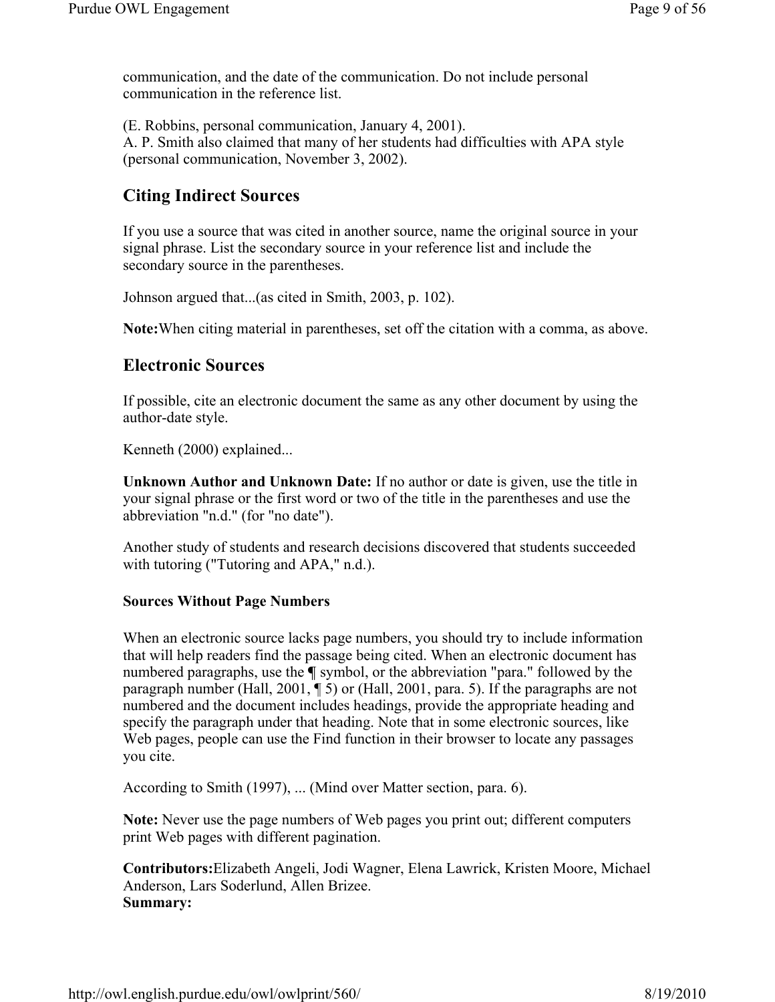communication, and the date of the communication. Do not include personal communication in the reference list.

(E. Robbins, personal communication, January 4, 2001). A. P. Smith also claimed that many of her students had difficulties with APA style (personal communication, November 3, 2002).

#### **Citing Indirect Sources**

If you use a source that was cited in another source, name the original source in your signal phrase. List the secondary source in your reference list and include the secondary source in the parentheses.

Johnson argued that...(as cited in Smith, 2003, p. 102).

**Note:**When citing material in parentheses, set off the citation with a comma, as above.

#### **Electronic Sources**

If possible, cite an electronic document the same as any other document by using the author-date style.

Kenneth (2000) explained...

**Unknown Author and Unknown Date:** If no author or date is given, use the title in your signal phrase or the first word or two of the title in the parentheses and use the abbreviation "n.d." (for "no date").

Another study of students and research decisions discovered that students succeeded with tutoring ("Tutoring and APA," n.d.).

#### **Sources Without Page Numbers**

When an electronic source lacks page numbers, you should try to include information that will help readers find the passage being cited. When an electronic document has numbered paragraphs, use the **¶** symbol, or the abbreviation "para." followed by the paragraph number (Hall, 2001, ¶ 5) or (Hall, 2001, para. 5). If the paragraphs are not numbered and the document includes headings, provide the appropriate heading and specify the paragraph under that heading. Note that in some electronic sources, like Web pages, people can use the Find function in their browser to locate any passages you cite.

According to Smith (1997), ... (Mind over Matter section, para. 6).

**Note:** Never use the page numbers of Web pages you print out; different computers print Web pages with different pagination.

**Contributors:**Elizabeth Angeli, Jodi Wagner, Elena Lawrick, Kristen Moore, Michael Anderson, Lars Soderlund, Allen Brizee. **Summary:**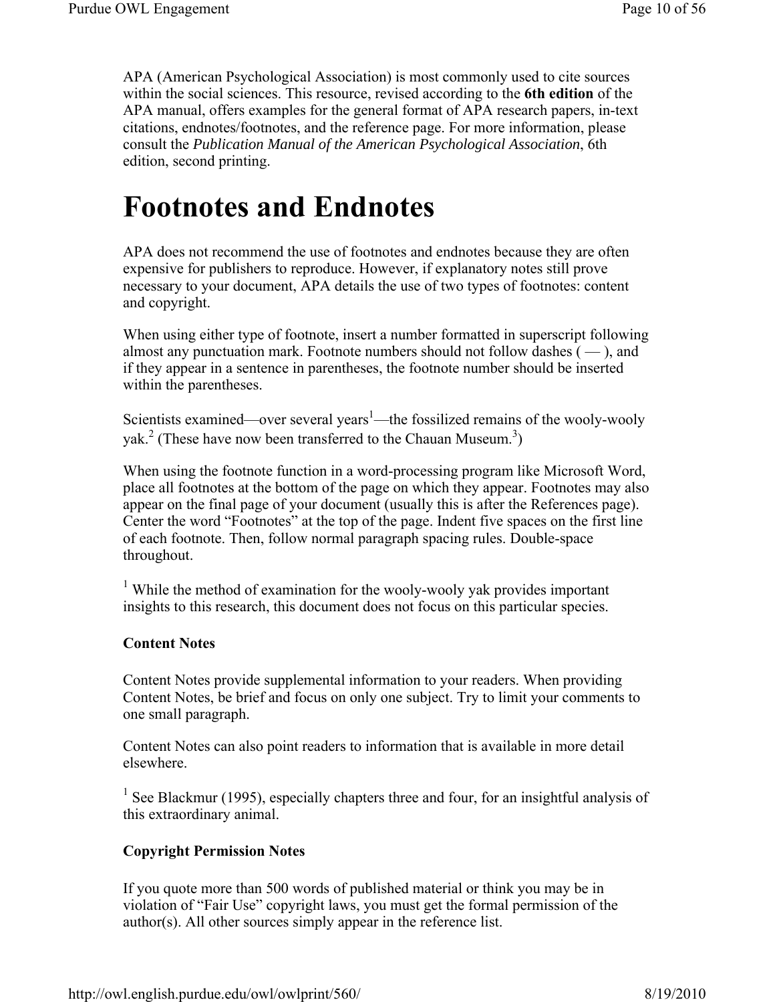APA (American Psychological Association) is most commonly used to cite sources within the social sciences. This resource, revised according to the **6th edition** of the APA manual, offers examples for the general format of APA research papers, in-text citations, endnotes/footnotes, and the reference page. For more information, please consult the *Publication Manual of the American Psychological Association*, 6th edition, second printing.

### **Footnotes and Endnotes**

APA does not recommend the use of footnotes and endnotes because they are often expensive for publishers to reproduce. However, if explanatory notes still prove necessary to your document, APA details the use of two types of footnotes: content and copyright.

When using either type of footnote, insert a number formatted in superscript following almost any punctuation mark. Footnote numbers should not follow dashes  $(-)$ , and if they appear in a sentence in parentheses, the footnote number should be inserted within the parentheses.

Scientists examined—over several years<sup>1</sup>—the fossilized remains of the wooly-wooly yak.<sup>2</sup> (These have now been transferred to the Chauan Museum.<sup>3</sup>)

When using the footnote function in a word-processing program like Microsoft Word, place all footnotes at the bottom of the page on which they appear. Footnotes may also appear on the final page of your document (usually this is after the References page). Center the word "Footnotes" at the top of the page. Indent five spaces on the first line of each footnote. Then, follow normal paragraph spacing rules. Double-space throughout.

<sup>1</sup> While the method of examination for the wooly-wooly yak provides important insights to this research, this document does not focus on this particular species.

#### **Content Notes**

Content Notes provide supplemental information to your readers. When providing Content Notes, be brief and focus on only one subject. Try to limit your comments to one small paragraph.

Content Notes can also point readers to information that is available in more detail elsewhere.

<sup>1</sup> See Blackmur (1995), especially chapters three and four, for an insightful analysis of this extraordinary animal.

#### **Copyright Permission Notes**

If you quote more than 500 words of published material or think you may be in violation of "Fair Use" copyright laws, you must get the formal permission of the author(s). All other sources simply appear in the reference list.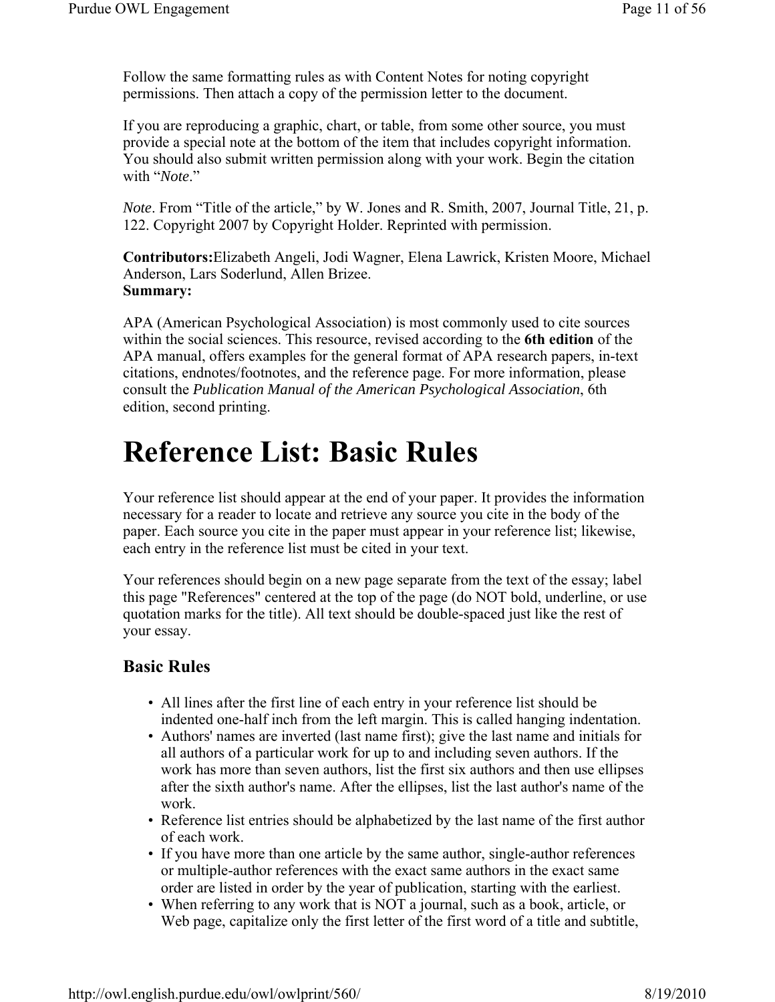Follow the same formatting rules as with Content Notes for noting copyright permissions. Then attach a copy of the permission letter to the document.

If you are reproducing a graphic, chart, or table, from some other source, you must provide a special note at the bottom of the item that includes copyright information. You should also submit written permission along with your work. Begin the citation with "*Note*."

*Note*. From "Title of the article," by W. Jones and R. Smith, 2007, Journal Title, 21, p. 122. Copyright 2007 by Copyright Holder. Reprinted with permission.

**Contributors:**Elizabeth Angeli, Jodi Wagner, Elena Lawrick, Kristen Moore, Michael Anderson, Lars Soderlund, Allen Brizee. **Summary:**

APA (American Psychological Association) is most commonly used to cite sources within the social sciences. This resource, revised according to the **6th edition** of the APA manual, offers examples for the general format of APA research papers, in-text citations, endnotes/footnotes, and the reference page. For more information, please consult the *Publication Manual of the American Psychological Association*, 6th edition, second printing.

### **Reference List: Basic Rules**

Your reference list should appear at the end of your paper. It provides the information necessary for a reader to locate and retrieve any source you cite in the body of the paper. Each source you cite in the paper must appear in your reference list; likewise, each entry in the reference list must be cited in your text.

Your references should begin on a new page separate from the text of the essay; label this page "References" centered at the top of the page (do NOT bold, underline, or use quotation marks for the title). All text should be double-spaced just like the rest of your essay.

### **Basic Rules**

- All lines after the first line of each entry in your reference list should be indented one-half inch from the left margin. This is called hanging indentation.
- Authors' names are inverted (last name first); give the last name and initials for all authors of a particular work for up to and including seven authors. If the work has more than seven authors, list the first six authors and then use ellipses after the sixth author's name. After the ellipses, list the last author's name of the work.
- Reference list entries should be alphabetized by the last name of the first author of each work.
- If you have more than one article by the same author, single-author references or multiple-author references with the exact same authors in the exact same order are listed in order by the year of publication, starting with the earliest.
- When referring to any work that is NOT a journal, such as a book, article, or Web page, capitalize only the first letter of the first word of a title and subtitle,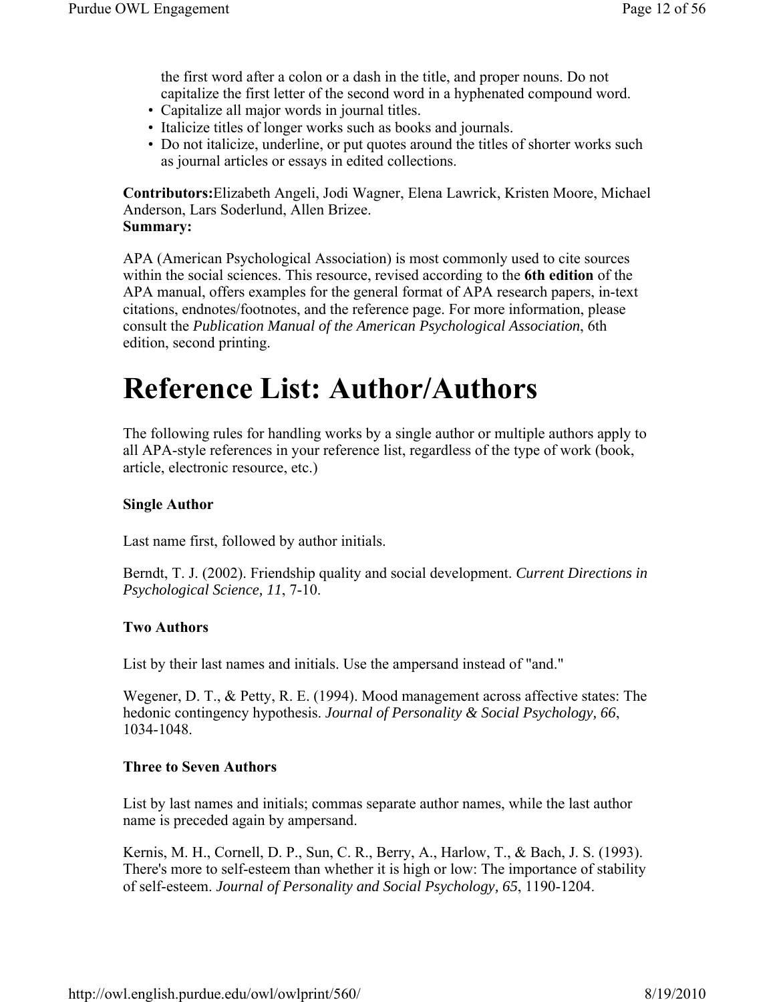the first word after a colon or a dash in the title, and proper nouns. Do not capitalize the first letter of the second word in a hyphenated compound word.

- Capitalize all major words in journal titles.
- Italicize titles of longer works such as books and journals.
- Do not italicize, underline, or put quotes around the titles of shorter works such as journal articles or essays in edited collections.

**Contributors:**Elizabeth Angeli, Jodi Wagner, Elena Lawrick, Kristen Moore, Michael Anderson, Lars Soderlund, Allen Brizee. **Summary:**

APA (American Psychological Association) is most commonly used to cite sources within the social sciences. This resource, revised according to the **6th edition** of the APA manual, offers examples for the general format of APA research papers, in-text citations, endnotes/footnotes, and the reference page. For more information, please consult the *Publication Manual of the American Psychological Association*, 6th edition, second printing.

### **Reference List: Author/Authors**

The following rules for handling works by a single author or multiple authors apply to all APA-style references in your reference list, regardless of the type of work (book, article, electronic resource, etc.)

#### **Single Author**

Last name first, followed by author initials.

Berndt, T. J. (2002). Friendship quality and social development. *Current Directions in Psychological Science, 11*, 7-10.

#### **Two Authors**

List by their last names and initials. Use the ampersand instead of "and."

Wegener, D. T., & Petty, R. E. (1994). Mood management across affective states: The hedonic contingency hypothesis. *Journal of Personality & Social Psychology, 66*, 1034-1048.

#### **Three to Seven Authors**

List by last names and initials; commas separate author names, while the last author name is preceded again by ampersand.

Kernis, M. H., Cornell, D. P., Sun, C. R., Berry, A., Harlow, T., & Bach, J. S. (1993). There's more to self-esteem than whether it is high or low: The importance of stability of self-esteem. *Journal of Personality and Social Psychology, 65*, 1190-1204.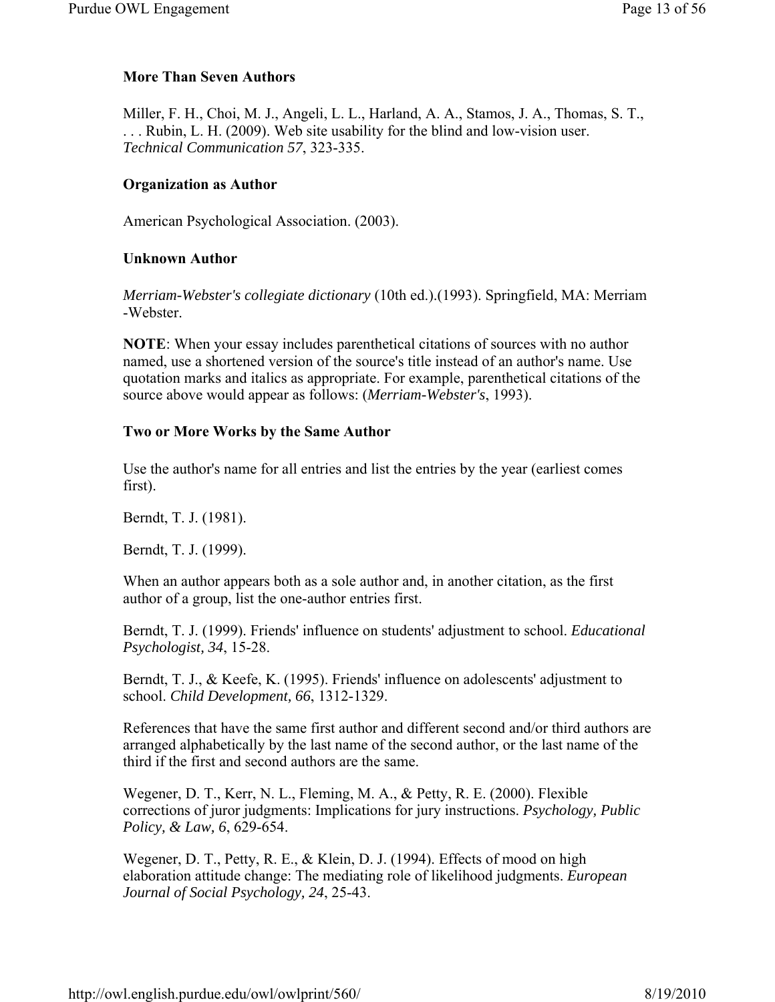#### **More Than Seven Authors**

Miller, F. H., Choi, M. J., Angeli, L. L., Harland, A. A., Stamos, J. A., Thomas, S. T., . . . Rubin, L. H. (2009). Web site usability for the blind and low-vision user. *Technical Communication 57*, 323-335.

#### **Organization as Author**

American Psychological Association. (2003).

#### **Unknown Author**

*Merriam-Webster's collegiate dictionary* (10th ed.).(1993). Springfield, MA: Merriam -Webster.

**NOTE**: When your essay includes parenthetical citations of sources with no author named, use a shortened version of the source's title instead of an author's name. Use quotation marks and italics as appropriate. For example, parenthetical citations of the source above would appear as follows: (*Merriam-Webster's*, 1993).

#### **Two or More Works by the Same Author**

Use the author's name for all entries and list the entries by the year (earliest comes first).

Berndt, T. J. (1981).

Berndt, T. J. (1999).

When an author appears both as a sole author and, in another citation, as the first author of a group, list the one-author entries first.

Berndt, T. J. (1999). Friends' influence on students' adjustment to school. *Educational Psychologist, 34*, 15-28.

Berndt, T. J., & Keefe, K. (1995). Friends' influence on adolescents' adjustment to school. *Child Development, 66*, 1312-1329.

References that have the same first author and different second and/or third authors are arranged alphabetically by the last name of the second author, or the last name of the third if the first and second authors are the same.

Wegener, D. T., Kerr, N. L., Fleming, M. A., & Petty, R. E. (2000). Flexible corrections of juror judgments: Implications for jury instructions. *Psychology, Public Policy, & Law, 6*, 629-654.

Wegener, D. T., Petty, R. E., & Klein, D. J. (1994). Effects of mood on high elaboration attitude change: The mediating role of likelihood judgments. *European Journal of Social Psychology, 24*, 25-43.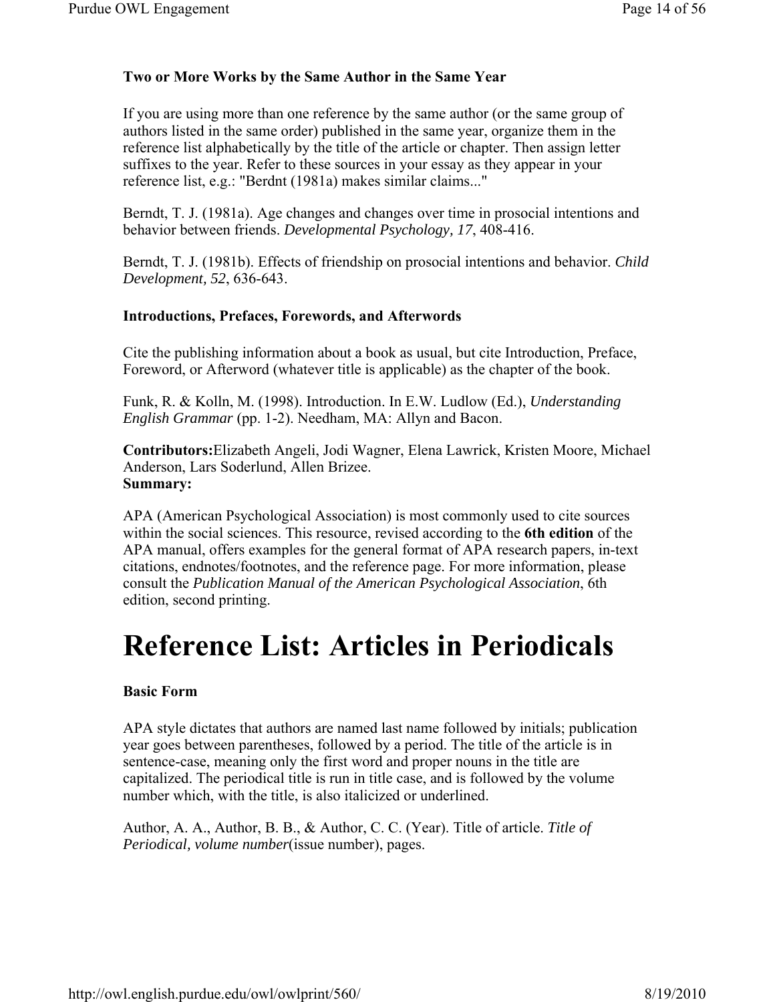#### **Two or More Works by the Same Author in the Same Year**

If you are using more than one reference by the same author (or the same group of authors listed in the same order) published in the same year, organize them in the reference list alphabetically by the title of the article or chapter. Then assign letter suffixes to the year. Refer to these sources in your essay as they appear in your reference list, e.g.: "Berdnt (1981a) makes similar claims..."

Berndt, T. J. (1981a). Age changes and changes over time in prosocial intentions and behavior between friends. *Developmental Psychology, 17*, 408-416.

Berndt, T. J. (1981b). Effects of friendship on prosocial intentions and behavior. *Child Development, 52*, 636-643.

#### **Introductions, Prefaces, Forewords, and Afterwords**

Cite the publishing information about a book as usual, but cite Introduction, Preface, Foreword, or Afterword (whatever title is applicable) as the chapter of the book.

Funk, R. & Kolln, M. (1998). Introduction. In E.W. Ludlow (Ed.), *Understanding English Grammar* (pp. 1-2). Needham, MA: Allyn and Bacon.

**Contributors:**Elizabeth Angeli, Jodi Wagner, Elena Lawrick, Kristen Moore, Michael Anderson, Lars Soderlund, Allen Brizee. **Summary:**

APA (American Psychological Association) is most commonly used to cite sources within the social sciences. This resource, revised according to the **6th edition** of the APA manual, offers examples for the general format of APA research papers, in-text citations, endnotes/footnotes, and the reference page. For more information, please consult the *Publication Manual of the American Psychological Association*, 6th edition, second printing.

### **Reference List: Articles in Periodicals**

#### **Basic Form**

APA style dictates that authors are named last name followed by initials; publication year goes between parentheses, followed by a period. The title of the article is in sentence-case, meaning only the first word and proper nouns in the title are capitalized. The periodical title is run in title case, and is followed by the volume number which, with the title, is also italicized or underlined.

Author, A. A., Author, B. B., & Author, C. C. (Year). Title of article. *Title of Periodical, volume number*(issue number), pages.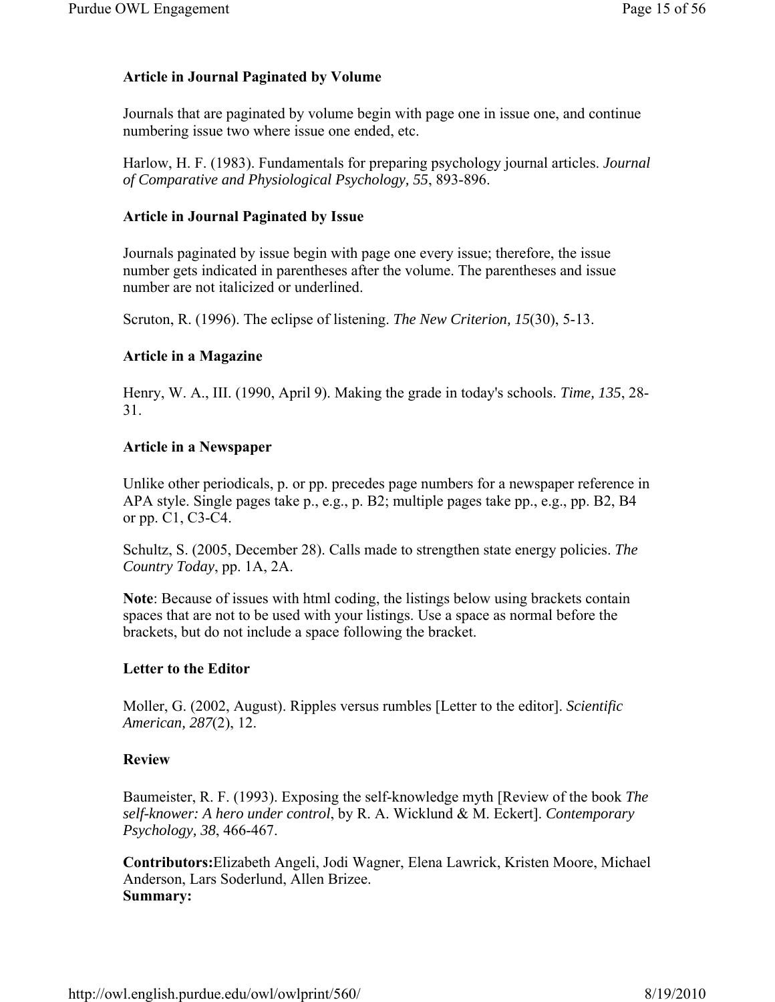#### **Article in Journal Paginated by Volume**

Journals that are paginated by volume begin with page one in issue one, and continue numbering issue two where issue one ended, etc.

Harlow, H. F. (1983). Fundamentals for preparing psychology journal articles. *Journal of Comparative and Physiological Psychology, 55*, 893-896.

#### **Article in Journal Paginated by Issue**

Journals paginated by issue begin with page one every issue; therefore, the issue number gets indicated in parentheses after the volume. The parentheses and issue number are not italicized or underlined.

Scruton, R. (1996). The eclipse of listening. *The New Criterion, 15*(30), 5-13.

#### **Article in a Magazine**

Henry, W. A., III. (1990, April 9). Making the grade in today's schools. *Time, 135*, 28- 31.

#### **Article in a Newspaper**

Unlike other periodicals, p. or pp. precedes page numbers for a newspaper reference in APA style. Single pages take p., e.g., p. B2; multiple pages take pp., e.g., pp. B2, B4 or pp. C1, C3-C4.

Schultz, S. (2005, December 28). Calls made to strengthen state energy policies. *The Country Today*, pp. 1A, 2A.

**Note**: Because of issues with html coding, the listings below using brackets contain spaces that are not to be used with your listings. Use a space as normal before the brackets, but do not include a space following the bracket.

#### **Letter to the Editor**

Moller, G. (2002, August). Ripples versus rumbles [Letter to the editor]. *Scientific American, 287*(2), 12.

#### **Review**

Baumeister, R. F. (1993). Exposing the self-knowledge myth [Review of the book *The self-knower: A hero under control*, by R. A. Wicklund & M. Eckert]. *Contemporary Psychology, 38*, 466-467.

**Contributors:**Elizabeth Angeli, Jodi Wagner, Elena Lawrick, Kristen Moore, Michael Anderson, Lars Soderlund, Allen Brizee. **Summary:**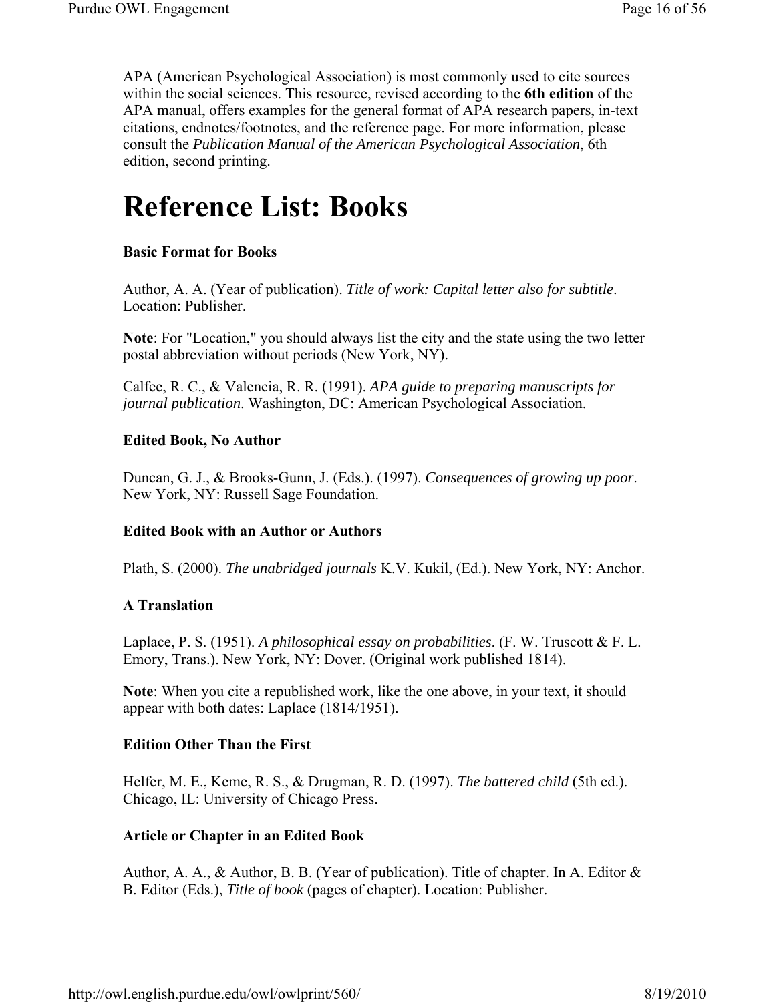APA (American Psychological Association) is most commonly used to cite sources within the social sciences. This resource, revised according to the **6th edition** of the APA manual, offers examples for the general format of APA research papers, in-text citations, endnotes/footnotes, and the reference page. For more information, please consult the *Publication Manual of the American Psychological Association*, 6th edition, second printing.

### **Reference List: Books**

#### **Basic Format for Books**

Author, A. A. (Year of publication). *Title of work: Capital letter also for subtitle*. Location: Publisher.

**Note**: For "Location," you should always list the city and the state using the two letter postal abbreviation without periods (New York, NY).

Calfee, R. C., & Valencia, R. R. (1991). *APA guide to preparing manuscripts for journal publication*. Washington, DC: American Psychological Association.

#### **Edited Book, No Author**

Duncan, G. J., & Brooks-Gunn, J. (Eds.). (1997). *Consequences of growing up poor*. New York, NY: Russell Sage Foundation.

#### **Edited Book with an Author or Authors**

Plath, S. (2000). *The unabridged journals* K.V. Kukil, (Ed.). New York, NY: Anchor.

#### **A Translation**

Laplace, P. S. (1951). *A philosophical essay on probabilities*. (F. W. Truscott & F. L. Emory, Trans.). New York, NY: Dover. (Original work published 1814).

**Note**: When you cite a republished work, like the one above, in your text, it should appear with both dates: Laplace (1814/1951).

#### **Edition Other Than the First**

Helfer, M. E., Keme, R. S., & Drugman, R. D. (1997). *The battered child* (5th ed.). Chicago, IL: University of Chicago Press.

#### **Article or Chapter in an Edited Book**

Author, A. A., & Author, B. B. (Year of publication). Title of chapter. In A. Editor & B. Editor (Eds.), *Title of book* (pages of chapter). Location: Publisher.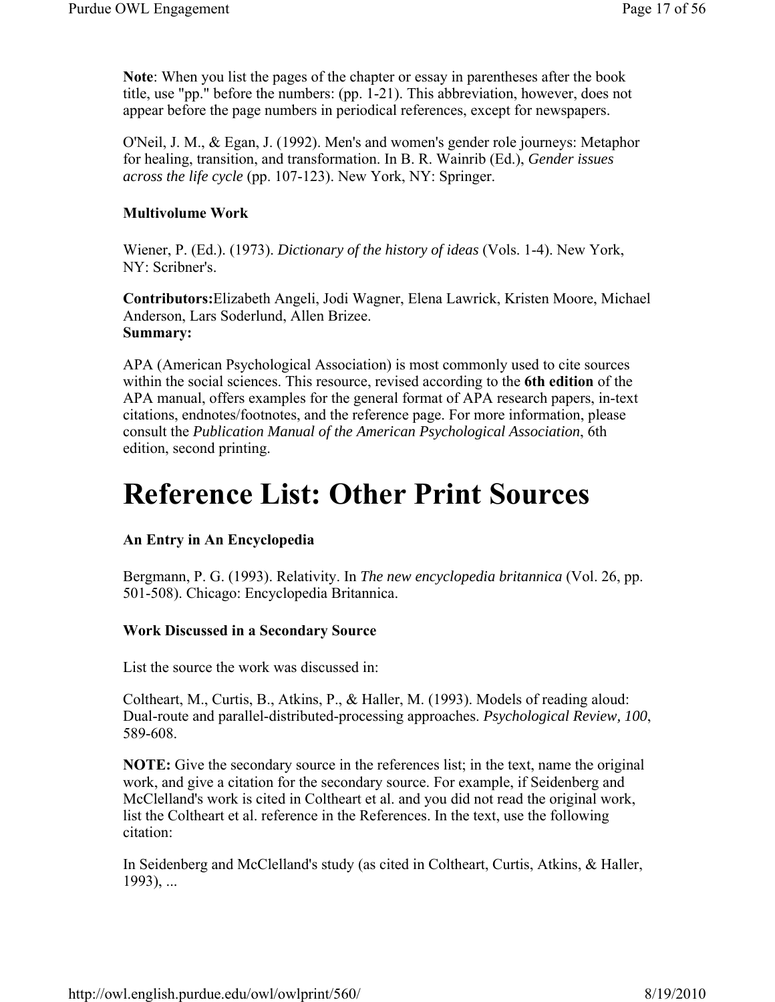**Note**: When you list the pages of the chapter or essay in parentheses after the book title, use "pp." before the numbers: (pp. 1-21). This abbreviation, however, does not appear before the page numbers in periodical references, except for newspapers.

O'Neil, J. M., & Egan, J. (1992). Men's and women's gender role journeys: Metaphor for healing, transition, and transformation. In B. R. Wainrib (Ed.), *Gender issues across the life cycle* (pp. 107-123). New York, NY: Springer.

#### **Multivolume Work**

Wiener, P. (Ed.). (1973). *Dictionary of the history of ideas* (Vols. 1-4). New York, NY: Scribner's.

**Contributors:**Elizabeth Angeli, Jodi Wagner, Elena Lawrick, Kristen Moore, Michael Anderson, Lars Soderlund, Allen Brizee. **Summary:**

APA (American Psychological Association) is most commonly used to cite sources within the social sciences. This resource, revised according to the **6th edition** of the APA manual, offers examples for the general format of APA research papers, in-text citations, endnotes/footnotes, and the reference page. For more information, please consult the *Publication Manual of the American Psychological Association*, 6th edition, second printing.

### **Reference List: Other Print Sources**

#### **An Entry in An Encyclopedia**

Bergmann, P. G. (1993). Relativity. In *The new encyclopedia britannica* (Vol. 26, pp. 501-508). Chicago: Encyclopedia Britannica.

#### **Work Discussed in a Secondary Source**

List the source the work was discussed in:

Coltheart, M., Curtis, B., Atkins, P., & Haller, M. (1993). Models of reading aloud: Dual-route and parallel-distributed-processing approaches. *Psychological Review, 100*, 589-608.

**NOTE:** Give the secondary source in the references list; in the text, name the original work, and give a citation for the secondary source. For example, if Seidenberg and McClelland's work is cited in Coltheart et al. and you did not read the original work, list the Coltheart et al. reference in the References. In the text, use the following citation:

In Seidenberg and McClelland's study (as cited in Coltheart, Curtis, Atkins, & Haller, 1993), ...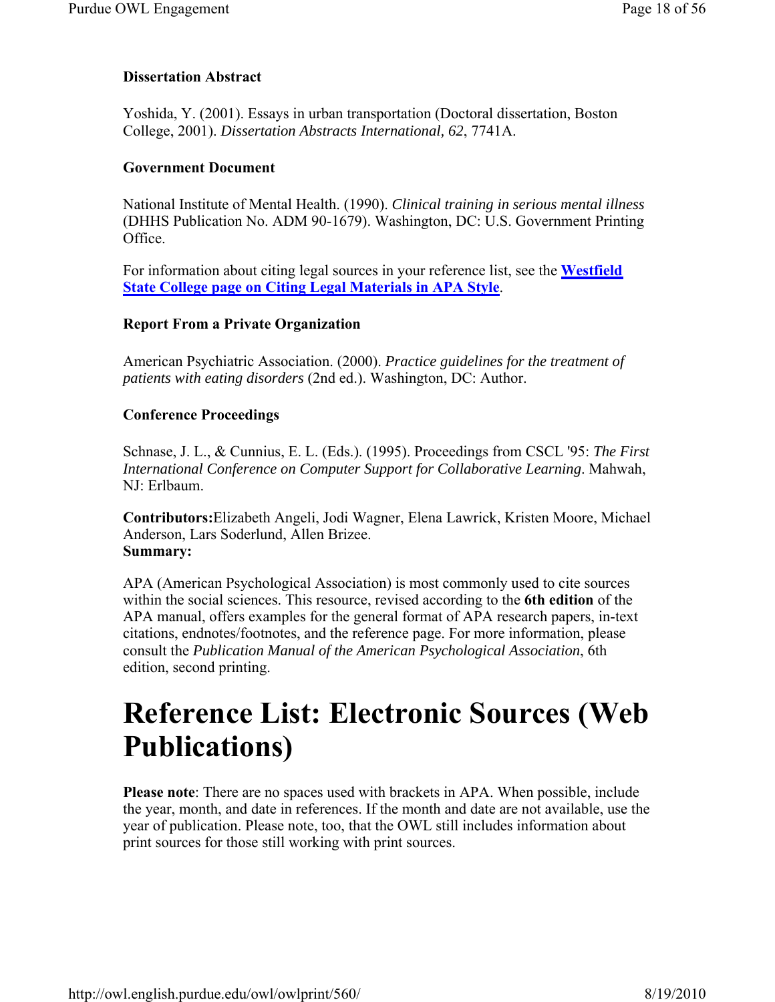#### **Dissertation Abstract**

Yoshida, Y. (2001). Essays in urban transportation (Doctoral dissertation, Boston College, 2001). *Dissertation Abstracts International, 62*, 7741A.

#### **Government Document**

National Institute of Mental Health. (1990). *Clinical training in serious mental illness* (DHHS Publication No. ADM 90-1679). Washington, DC: U.S. Government Printing Office.

For information about citing legal sources in your reference list, see the **Westfield State College page on Citing Legal Materials in APA Style**.

#### **Report From a Private Organization**

American Psychiatric Association. (2000). *Practice guidelines for the treatment of patients with eating disorders* (2nd ed.). Washington, DC: Author.

#### **Conference Proceedings**

Schnase, J. L., & Cunnius, E. L. (Eds.). (1995). Proceedings from CSCL '95: *The First International Conference on Computer Support for Collaborative Learning*. Mahwah, NJ: Erlbaum.

**Contributors:**Elizabeth Angeli, Jodi Wagner, Elena Lawrick, Kristen Moore, Michael Anderson, Lars Soderlund, Allen Brizee. **Summary:**

APA (American Psychological Association) is most commonly used to cite sources within the social sciences. This resource, revised according to the **6th edition** of the APA manual, offers examples for the general format of APA research papers, in-text citations, endnotes/footnotes, and the reference page. For more information, please consult the *Publication Manual of the American Psychological Association*, 6th edition, second printing.

### **Reference List: Electronic Sources (Web Publications)**

**Please note**: There are no spaces used with brackets in APA. When possible, include the year, month, and date in references. If the month and date are not available, use the year of publication. Please note, too, that the OWL still includes information about print sources for those still working with print sources.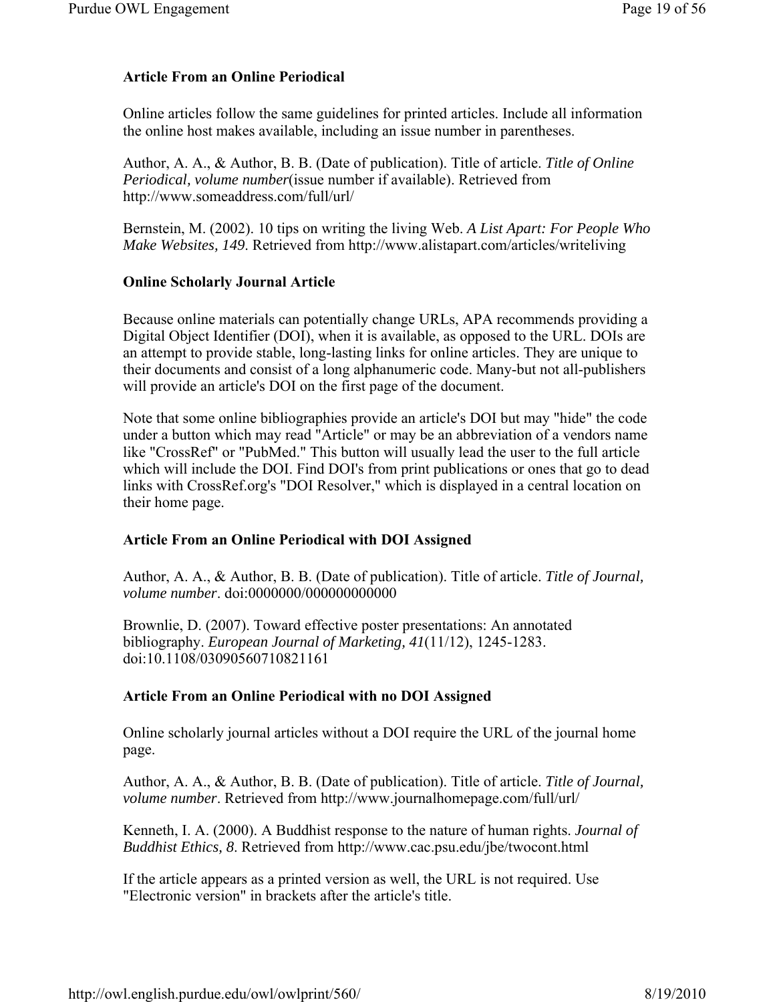#### **Article From an Online Periodical**

Online articles follow the same guidelines for printed articles. Include all information the online host makes available, including an issue number in parentheses.

Author, A. A., & Author, B. B. (Date of publication). Title of article. *Title of Online Periodical, volume number*(issue number if available). Retrieved from http://www.someaddress.com/full/url/

Bernstein, M. (2002). 10 tips on writing the living Web. *A List Apart: For People Who Make Websites, 149*. Retrieved from http://www.alistapart.com/articles/writeliving

#### **Online Scholarly Journal Article**

Because online materials can potentially change URLs, APA recommends providing a Digital Object Identifier (DOI), when it is available, as opposed to the URL. DOIs are an attempt to provide stable, long-lasting links for online articles. They are unique to their documents and consist of a long alphanumeric code. Many-but not all-publishers will provide an article's DOI on the first page of the document.

Note that some online bibliographies provide an article's DOI but may "hide" the code under a button which may read "Article" or may be an abbreviation of a vendors name like "CrossRef" or "PubMed." This button will usually lead the user to the full article which will include the DOI. Find DOI's from print publications or ones that go to dead links with CrossRef.org's "DOI Resolver," which is displayed in a central location on their home page.

#### **Article From an Online Periodical with DOI Assigned**

Author, A. A., & Author, B. B. (Date of publication). Title of article. *Title of Journal, volume number*. doi:0000000/000000000000

Brownlie, D. (2007). Toward effective poster presentations: An annotated bibliography. *European Journal of Marketing, 41*(11/12), 1245-1283. doi:10.1108/03090560710821161

#### **Article From an Online Periodical with no DOI Assigned**

Online scholarly journal articles without a DOI require the URL of the journal home page.

Author, A. A., & Author, B. B. (Date of publication). Title of article. *Title of Journal, volume number*. Retrieved from http://www.journalhomepage.com/full/url/

Kenneth, I. A. (2000). A Buddhist response to the nature of human rights. *Journal of Buddhist Ethics, 8*. Retrieved from http://www.cac.psu.edu/jbe/twocont.html

If the article appears as a printed version as well, the URL is not required. Use "Electronic version" in brackets after the article's title.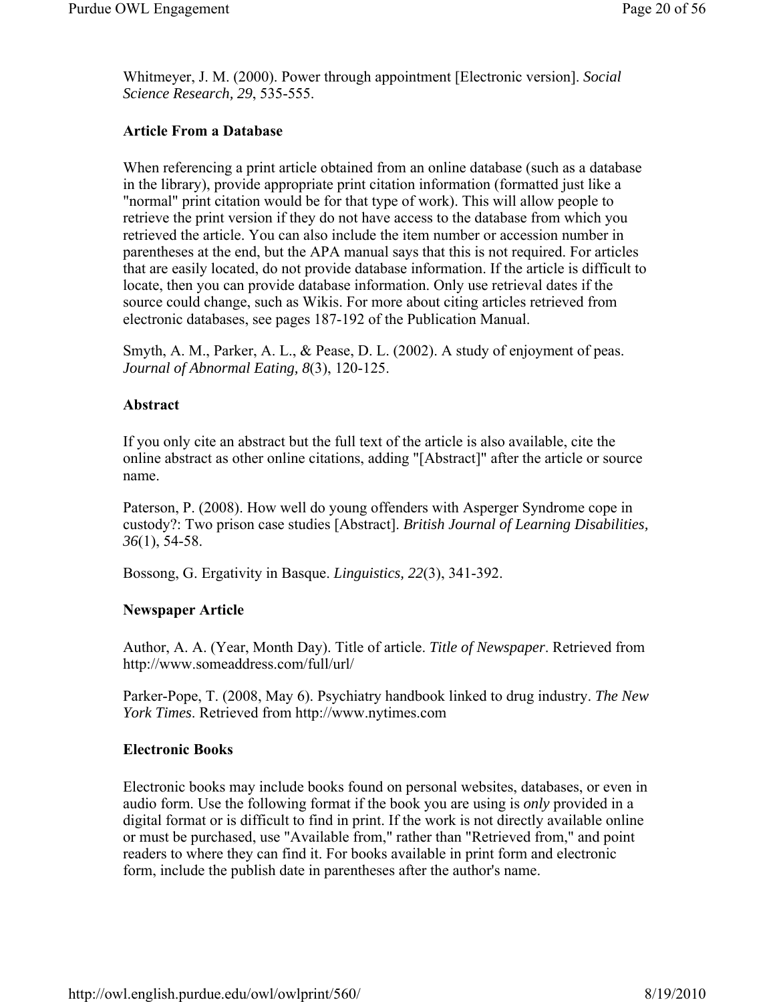Whitmeyer, J. M. (2000). Power through appointment [Electronic version]. *Social Science Research, 29*, 535-555.

#### **Article From a Database**

When referencing a print article obtained from an online database (such as a database in the library), provide appropriate print citation information (formatted just like a "normal" print citation would be for that type of work). This will allow people to retrieve the print version if they do not have access to the database from which you retrieved the article. You can also include the item number or accession number in parentheses at the end, but the APA manual says that this is not required. For articles that are easily located, do not provide database information. If the article is difficult to locate, then you can provide database information. Only use retrieval dates if the source could change, such as Wikis. For more about citing articles retrieved from electronic databases, see pages 187-192 of the Publication Manual.

Smyth, A. M., Parker, A. L., & Pease, D. L. (2002). A study of enjoyment of peas. *Journal of Abnormal Eating, 8*(3), 120-125.

#### **Abstract**

If you only cite an abstract but the full text of the article is also available, cite the online abstract as other online citations, adding "[Abstract]" after the article or source name.

Paterson, P. (2008). How well do young offenders with Asperger Syndrome cope in custody?: Two prison case studies [Abstract]. *British Journal of Learning Disabilities, 36*(1), 54-58.

Bossong, G. Ergativity in Basque. *Linguistics, 22*(3), 341-392.

#### **Newspaper Article**

Author, A. A. (Year, Month Day). Title of article. *Title of Newspaper*. Retrieved from http://www.someaddress.com/full/url/

Parker-Pope, T. (2008, May 6). Psychiatry handbook linked to drug industry. *The New York Times*. Retrieved from http://www.nytimes.com

#### **Electronic Books**

Electronic books may include books found on personal websites, databases, or even in audio form. Use the following format if the book you are using is *only* provided in a digital format or is difficult to find in print. If the work is not directly available online or must be purchased, use "Available from," rather than "Retrieved from," and point readers to where they can find it. For books available in print form and electronic form, include the publish date in parentheses after the author's name.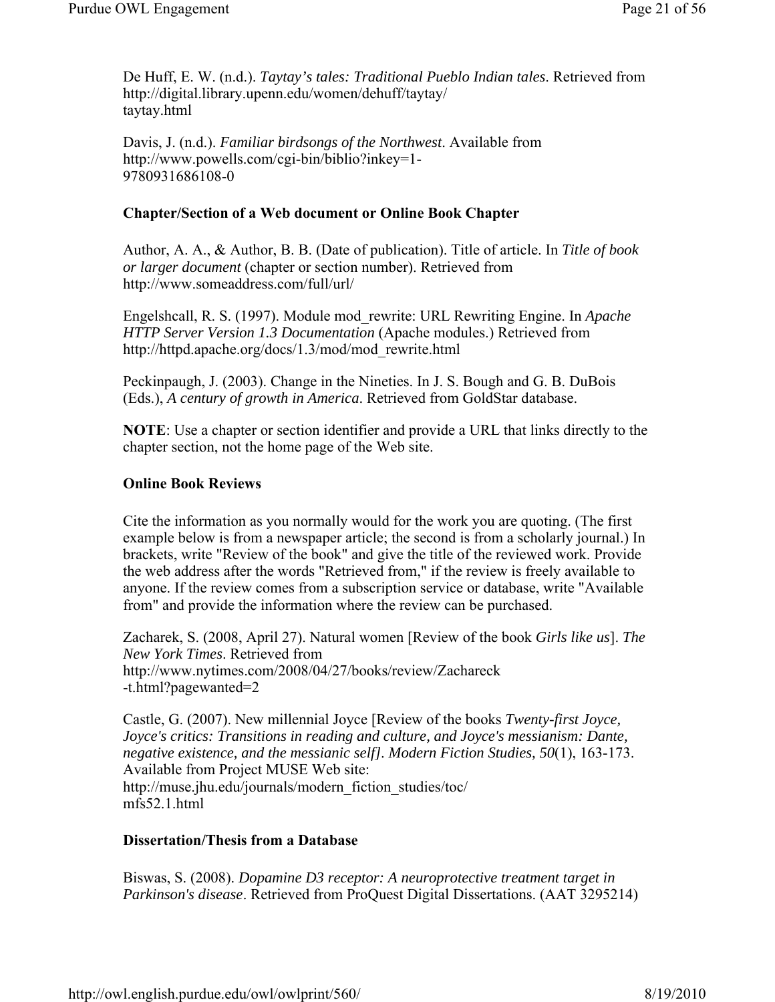De Huff, E. W. (n.d.). *Taytay's tales: Traditional Pueblo Indian tales*. Retrieved from http://digital.library.upenn.edu/women/dehuff/taytay/ taytay.html

Davis, J. (n.d.). *Familiar birdsongs of the Northwest*. Available from http://www.powells.com/cgi-bin/biblio?inkey=1- 9780931686108-0

#### **Chapter/Section of a Web document or Online Book Chapter**

Author, A. A., & Author, B. B. (Date of publication). Title of article. In *Title of book or larger document* (chapter or section number). Retrieved from http://www.someaddress.com/full/url/

Engelshcall, R. S. (1997). Module mod\_rewrite: URL Rewriting Engine. In *Apache HTTP Server Version 1.3 Documentation* (Apache modules.) Retrieved from http://httpd.apache.org/docs/1.3/mod/mod\_rewrite.html

Peckinpaugh, J. (2003). Change in the Nineties. In J. S. Bough and G. B. DuBois (Eds.), *A century of growth in America*. Retrieved from GoldStar database.

**NOTE**: Use a chapter or section identifier and provide a URL that links directly to the chapter section, not the home page of the Web site.

#### **Online Book Reviews**

Cite the information as you normally would for the work you are quoting. (The first example below is from a newspaper article; the second is from a scholarly journal.) In brackets, write "Review of the book" and give the title of the reviewed work. Provide the web address after the words "Retrieved from," if the review is freely available to anyone. If the review comes from a subscription service or database, write "Available from" and provide the information where the review can be purchased.

Zacharek, S. (2008, April 27). Natural women [Review of the book *Girls like us*]. *The New York Times*. Retrieved from http://www.nytimes.com/2008/04/27/books/review/Zachareck -t.html?pagewanted=2

Castle, G. (2007). New millennial Joyce [Review of the books *Twenty-first Joyce, Joyce's critics: Transitions in reading and culture, and Joyce's messianism: Dante, negative existence, and the messianic self]*. *Modern Fiction Studies, 50*(1), 163-173. Available from Project MUSE Web site: http://muse.jhu.edu/journals/modern\_fiction\_studies/toc/ mfs52.1.html

#### **Dissertation/Thesis from a Database**

Biswas, S. (2008). *Dopamine D3 receptor: A neuroprotective treatment target in Parkinson's disease*. Retrieved from ProQuest Digital Dissertations. (AAT 3295214)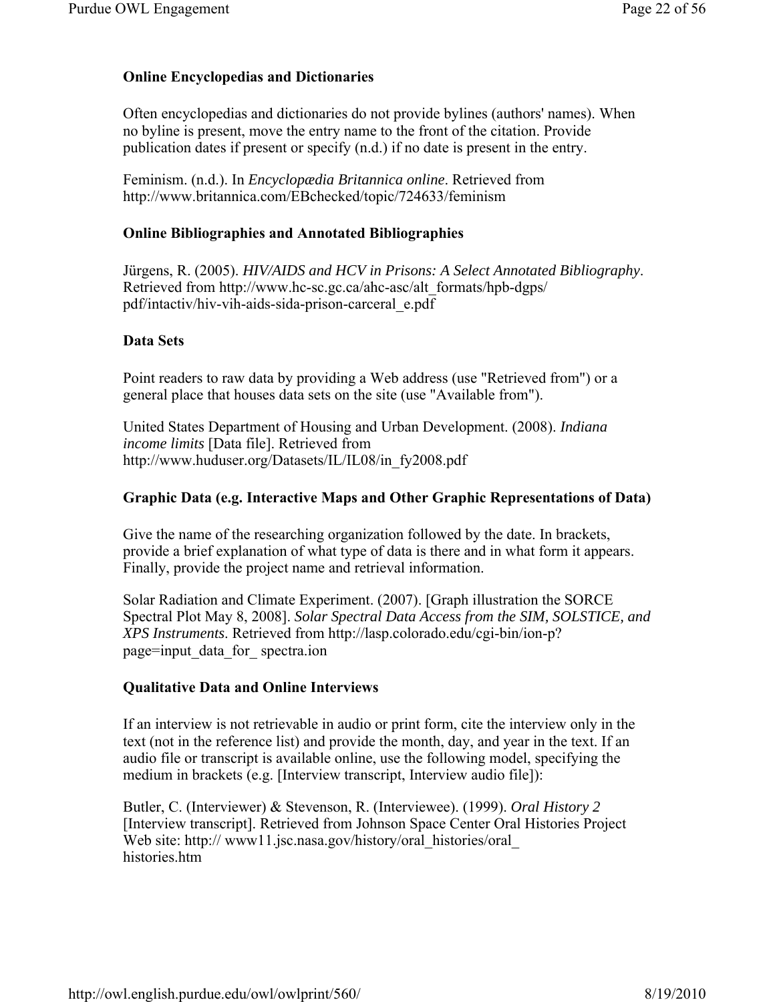#### **Online Encyclopedias and Dictionaries**

Often encyclopedias and dictionaries do not provide bylines (authors' names). When no byline is present, move the entry name to the front of the citation. Provide publication dates if present or specify (n.d.) if no date is present in the entry.

Feminism. (n.d.). In *Encyclopædia Britannica online*. Retrieved from http://www.britannica.com/EBchecked/topic/724633/feminism

#### **Online Bibliographies and Annotated Bibliographies**

Jürgens, R. (2005). *HIV/AIDS and HCV in Prisons: A Select Annotated Bibliography*. Retrieved from http://www.hc-sc.gc.ca/ahc-asc/alt\_formats/hpb-dgps/ pdf/intactiv/hiv-vih-aids-sida-prison-carceral\_e.pdf

#### **Data Sets**

Point readers to raw data by providing a Web address (use "Retrieved from") or a general place that houses data sets on the site (use "Available from").

United States Department of Housing and Urban Development. (2008). *Indiana income limits* [Data file]. Retrieved from http://www.huduser.org/Datasets/IL/IL08/in\_fy2008.pdf

#### **Graphic Data (e.g. Interactive Maps and Other Graphic Representations of Data)**

Give the name of the researching organization followed by the date. In brackets, provide a brief explanation of what type of data is there and in what form it appears. Finally, provide the project name and retrieval information.

Solar Radiation and Climate Experiment. (2007). [Graph illustration the SORCE Spectral Plot May 8, 2008]. *Solar Spectral Data Access from the SIM, SOLSTICE, and XPS Instruments*. Retrieved from http://lasp.colorado.edu/cgi-bin/ion-p? page=input\_data\_for\_ spectra.ion

#### **Qualitative Data and Online Interviews**

If an interview is not retrievable in audio or print form, cite the interview only in the text (not in the reference list) and provide the month, day, and year in the text. If an audio file or transcript is available online, use the following model, specifying the medium in brackets (e.g. [Interview transcript, Interview audio file]):

Butler, C. (Interviewer) & Stevenson, R. (Interviewee). (1999). *Oral History 2* [Interview transcript]. Retrieved from Johnson Space Center Oral Histories Project Web site: http:// www11.jsc.nasa.gov/history/oral\_histories/oral histories.htm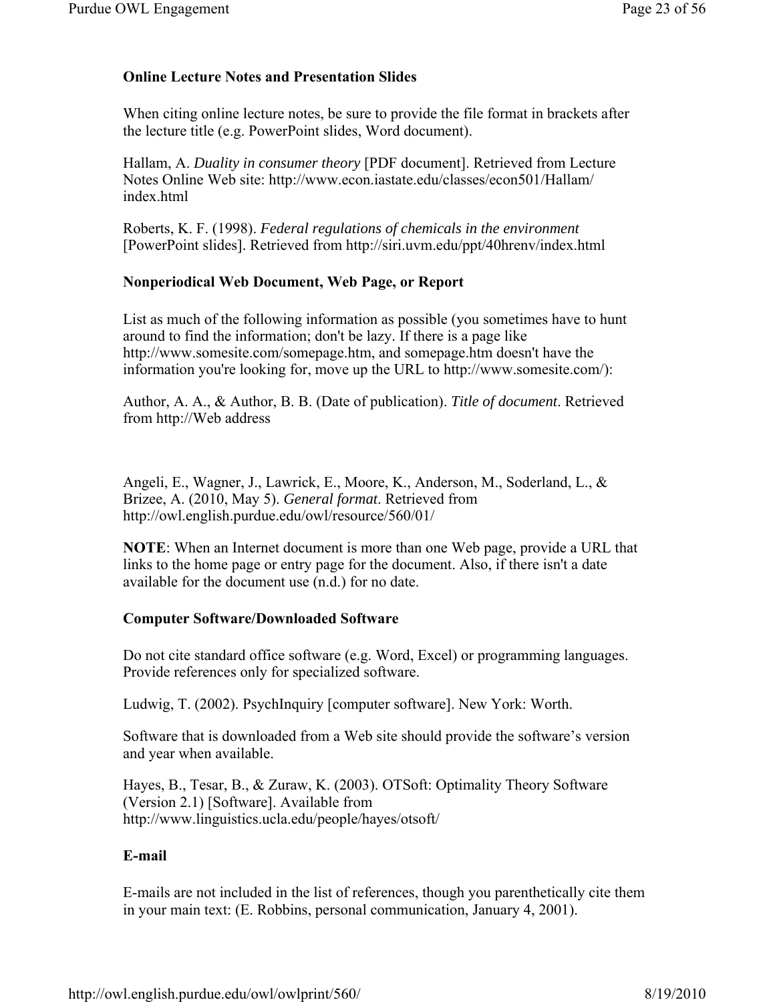#### **Online Lecture Notes and Presentation Slides**

When citing online lecture notes, be sure to provide the file format in brackets after the lecture title (e.g. PowerPoint slides, Word document).

Hallam, A. *Duality in consumer theory* [PDF document]. Retrieved from Lecture Notes Online Web site: http://www.econ.iastate.edu/classes/econ501/Hallam/ index.html

Roberts, K. F. (1998). *Federal regulations of chemicals in the environment* [PowerPoint slides]. Retrieved from http://siri.uvm.edu/ppt/40hrenv/index.html

#### **Nonperiodical Web Document, Web Page, or Report**

List as much of the following information as possible (you sometimes have to hunt around to find the information; don't be lazy. If there is a page like http://www.somesite.com/somepage.htm, and somepage.htm doesn't have the information you're looking for, move up the URL to http://www.somesite.com/):

Author, A. A., & Author, B. B. (Date of publication). *Title of document*. Retrieved from http://Web address

Angeli, E., Wagner, J., Lawrick, E., Moore, K., Anderson, M., Soderland, L., & Brizee, A. (2010, May 5). *General format*. Retrieved from http://owl.english.purdue.edu/owl/resource/560/01/

**NOTE**: When an Internet document is more than one Web page, provide a URL that links to the home page or entry page for the document. Also, if there isn't a date available for the document use (n.d.) for no date.

#### **Computer Software/Downloaded Software**

Do not cite standard office software (e.g. Word, Excel) or programming languages. Provide references only for specialized software.

Ludwig, T. (2002). PsychInquiry [computer software]. New York: Worth.

Software that is downloaded from a Web site should provide the software's version and year when available.

Hayes, B., Tesar, B., & Zuraw, K. (2003). OTSoft: Optimality Theory Software (Version 2.1) [Software]. Available from http://www.linguistics.ucla.edu/people/hayes/otsoft/

#### **E-mail**

E-mails are not included in the list of references, though you parenthetically cite them in your main text: (E. Robbins, personal communication, January 4, 2001).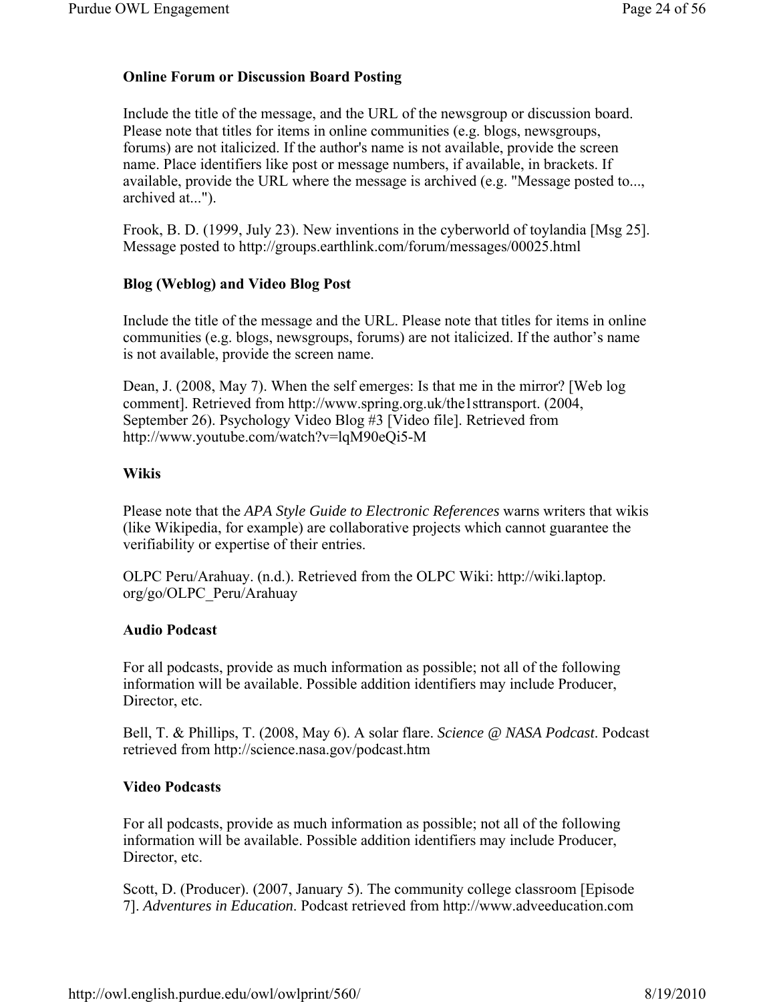#### **Online Forum or Discussion Board Posting**

Include the title of the message, and the URL of the newsgroup or discussion board. Please note that titles for items in online communities (e.g. blogs, newsgroups, forums) are not italicized. If the author's name is not available, provide the screen name. Place identifiers like post or message numbers, if available, in brackets. If available, provide the URL where the message is archived (e.g. "Message posted to..., archived at...").

Frook, B. D. (1999, July 23). New inventions in the cyberworld of toylandia [Msg 25]. Message posted to http://groups.earthlink.com/forum/messages/00025.html

#### **Blog (Weblog) and Video Blog Post**

Include the title of the message and the URL. Please note that titles for items in online communities (e.g. blogs, newsgroups, forums) are not italicized. If the author's name is not available, provide the screen name.

Dean, J. (2008, May 7). When the self emerges: Is that me in the mirror? [Web log comment]. Retrieved from http://www.spring.org.uk/the1sttransport. (2004, September 26). Psychology Video Blog #3 [Video file]. Retrieved from http://www.youtube.com/watch?v=lqM90eQi5-M

#### **Wikis**

Please note that the *APA Style Guide to Electronic References* warns writers that wikis (like Wikipedia, for example) are collaborative projects which cannot guarantee the verifiability or expertise of their entries.

OLPC Peru/Arahuay. (n.d.). Retrieved from the OLPC Wiki: http://wiki.laptop. org/go/OLPC\_Peru/Arahuay

#### **Audio Podcast**

For all podcasts, provide as much information as possible; not all of the following information will be available. Possible addition identifiers may include Producer, Director, etc.

Bell, T. & Phillips, T. (2008, May 6). A solar flare. *Science @ NASA Podcast*. Podcast retrieved from http://science.nasa.gov/podcast.htm

#### **Video Podcasts**

For all podcasts, provide as much information as possible; not all of the following information will be available. Possible addition identifiers may include Producer, Director, etc.

Scott, D. (Producer). (2007, January 5). The community college classroom [Episode 7]. *Adventures in Education*. Podcast retrieved from http://www.adveeducation.com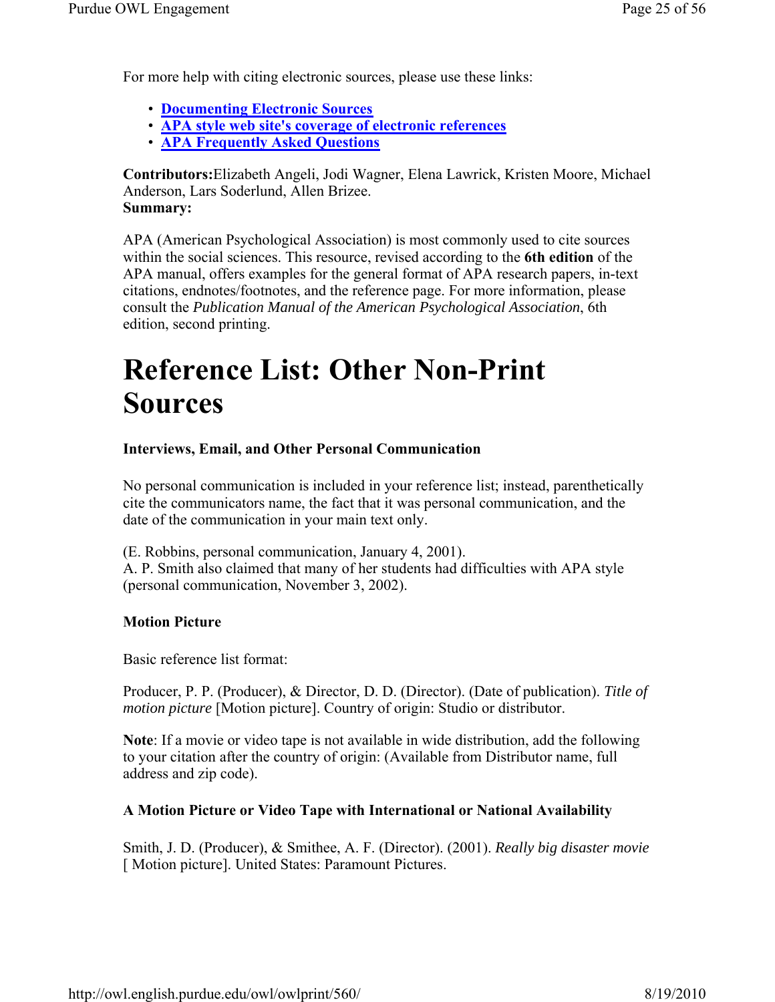For more help with citing electronic sources, please use these links:

- **Documenting Electronic Sources**
- **APA style web site's coverage of electronic references**
- **APA Frequently Asked Questions**

**Contributors:**Elizabeth Angeli, Jodi Wagner, Elena Lawrick, Kristen Moore, Michael Anderson, Lars Soderlund, Allen Brizee. **Summary:**

APA (American Psychological Association) is most commonly used to cite sources within the social sciences. This resource, revised according to the **6th edition** of the APA manual, offers examples for the general format of APA research papers, in-text citations, endnotes/footnotes, and the reference page. For more information, please consult the *Publication Manual of the American Psychological Association*, 6th edition, second printing.

### **Reference List: Other Non-Print Sources**

#### **Interviews, Email, and Other Personal Communication**

No personal communication is included in your reference list; instead, parenthetically cite the communicators name, the fact that it was personal communication, and the date of the communication in your main text only.

(E. Robbins, personal communication, January 4, 2001). A. P. Smith also claimed that many of her students had difficulties with APA style (personal communication, November 3, 2002).

#### **Motion Picture**

Basic reference list format:

Producer, P. P. (Producer), & Director, D. D. (Director). (Date of publication). *Title of motion picture* [Motion picture]. Country of origin: Studio or distributor.

**Note**: If a movie or video tape is not available in wide distribution, add the following to your citation after the country of origin: (Available from Distributor name, full address and zip code).

#### **A Motion Picture or Video Tape with International or National Availability**

Smith, J. D. (Producer), & Smithee, A. F. (Director). (2001). *Really big disaster movie* [ Motion picture]. United States: Paramount Pictures.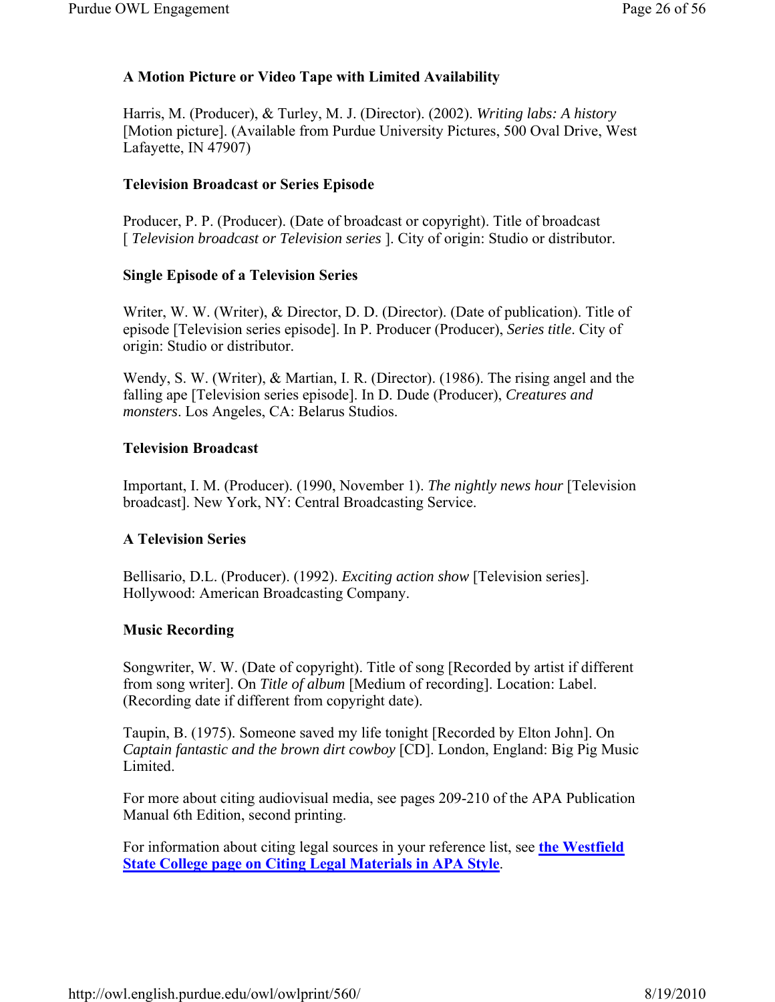#### **A Motion Picture or Video Tape with Limited Availability**

Harris, M. (Producer), & Turley, M. J. (Director). (2002). *Writing labs: A history* [Motion picture]. (Available from Purdue University Pictures, 500 Oval Drive, West Lafayette, IN 47907)

#### **Television Broadcast or Series Episode**

Producer, P. P. (Producer). (Date of broadcast or copyright). Title of broadcast [ *Television broadcast or Television series* ]. City of origin: Studio or distributor.

#### **Single Episode of a Television Series**

Writer, W. W. (Writer), & Director, D. D. (Director). (Date of publication). Title of episode [Television series episode]. In P. Producer (Producer), *Series title*. City of origin: Studio or distributor.

Wendy, S. W. (Writer), & Martian, I. R. (Director). (1986). The rising angel and the falling ape [Television series episode]. In D. Dude (Producer), *Creatures and monsters*. Los Angeles, CA: Belarus Studios.

#### **Television Broadcast**

Important, I. M. (Producer). (1990, November 1). *The nightly news hour* [Television broadcast]. New York, NY: Central Broadcasting Service.

#### **A Television Series**

Bellisario, D.L. (Producer). (1992). *Exciting action show* [Television series]. Hollywood: American Broadcasting Company.

#### **Music Recording**

Songwriter, W. W. (Date of copyright). Title of song [Recorded by artist if different from song writer]. On *Title of album* [Medium of recording]. Location: Label. (Recording date if different from copyright date).

Taupin, B. (1975). Someone saved my life tonight [Recorded by Elton John]. On *Captain fantastic and the brown dirt cowboy* [CD]. London, England: Big Pig Music Limited.

For more about citing audiovisual media, see pages 209-210 of the APA Publication Manual 6th Edition, second printing.

For information about citing legal sources in your reference list, see **the Westfield State College page on Citing Legal Materials in APA Style**.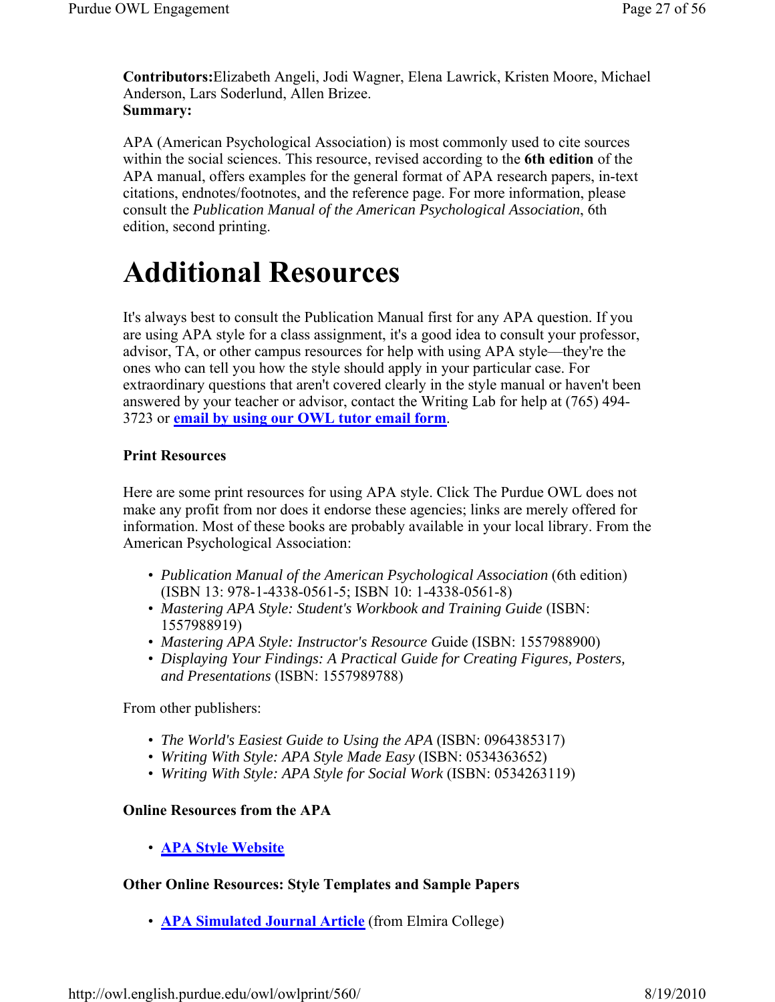**Contributors:**Elizabeth Angeli, Jodi Wagner, Elena Lawrick, Kristen Moore, Michael Anderson, Lars Soderlund, Allen Brizee. **Summary:**

APA (American Psychological Association) is most commonly used to cite sources within the social sciences. This resource, revised according to the **6th edition** of the APA manual, offers examples for the general format of APA research papers, in-text citations, endnotes/footnotes, and the reference page. For more information, please consult the *Publication Manual of the American Psychological Association*, 6th edition, second printing.

### **Additional Resources**

It's always best to consult the Publication Manual first for any APA question. If you are using APA style for a class assignment, it's a good idea to consult your professor, advisor, TA, or other campus resources for help with using APA style—they're the ones who can tell you how the style should apply in your particular case. For extraordinary questions that aren't covered clearly in the style manual or haven't been answered by your teacher or advisor, contact the Writing Lab for help at (765) 494- 3723 or **email by using our OWL tutor email form**.

#### **Print Resources**

Here are some print resources for using APA style. Click The Purdue OWL does not make any profit from nor does it endorse these agencies; links are merely offered for information. Most of these books are probably available in your local library. From the American Psychological Association:

- Publication Manual of the American Psychological Association (6th edition) (ISBN 13: 978-1-4338-0561-5; ISBN 10: 1-4338-0561-8)
- *Mastering APA Style: Student's Workbook and Training Guide* (ISBN: 1557988919)
- *Mastering APA Style: Instructor's Resource G*uide (ISBN: 1557988900)
- *Displaying Your Findings: A Practical Guide for Creating Figures, Posters, and Presentations* (ISBN: 1557989788)

From other publishers:

- *The World's Easiest Guide to Using the APA* (ISBN: 0964385317)
- *Writing With Style: APA Style Made Easy* (ISBN: 0534363652)
- *Writing With Style: APA Style for Social Work* (ISBN: 0534263119)

#### **Online Resources from the APA**

• **APA Style Website** 

#### **Other Online Resources: Style Templates and Sample Papers**

• **APA Simulated Journal Article** (from Elmira College)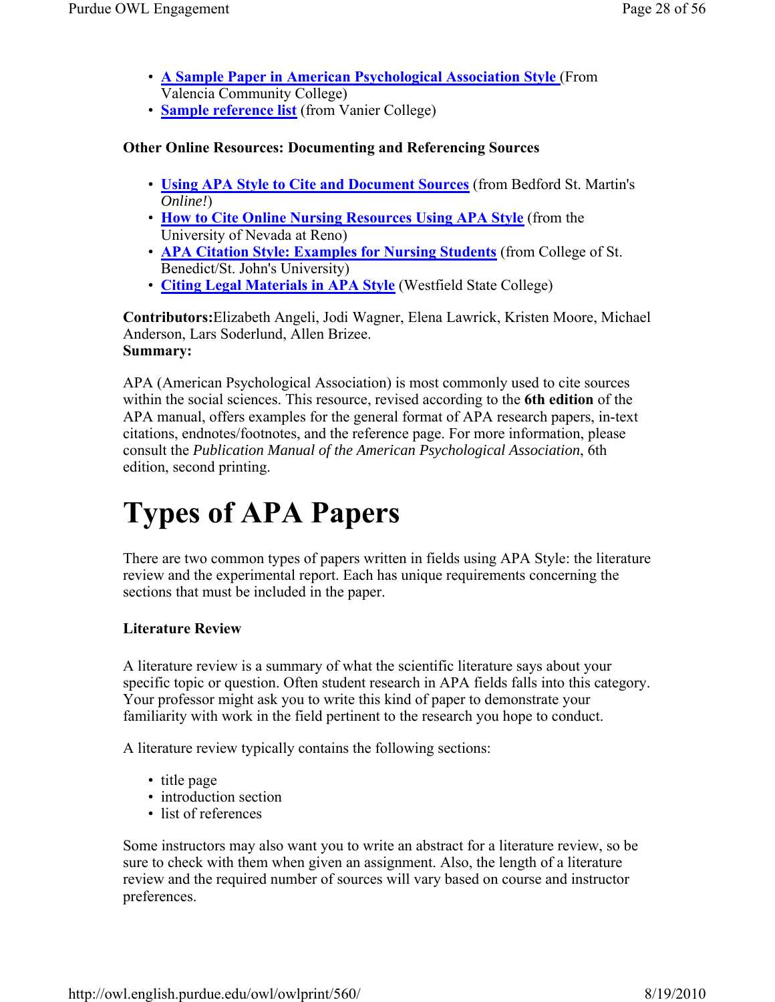- **A Sample Paper in American Psychological Association Style (From** Valencia Community College)
- **Sample reference list** (from Vanier College)

#### **Other Online Resources: Documenting and Referencing Sources**

- **Using APA Style to Cite and Document Sources** (from Bedford St. Martin's *Online!*)
- **How to Cite Online Nursing Resources Using APA Style** (from the University of Nevada at Reno)
- **APA Citation Style: Examples for Nursing Students** (from College of St. Benedict/St. John's University)
- **Citing Legal Materials in APA Style** (Westfield State College)

**Contributors:**Elizabeth Angeli, Jodi Wagner, Elena Lawrick, Kristen Moore, Michael Anderson, Lars Soderlund, Allen Brizee. **Summary:**

APA (American Psychological Association) is most commonly used to cite sources within the social sciences. This resource, revised according to the **6th edition** of the APA manual, offers examples for the general format of APA research papers, in-text citations, endnotes/footnotes, and the reference page. For more information, please consult the *Publication Manual of the American Psychological Association*, 6th edition, second printing.

# **Types of APA Papers**

There are two common types of papers written in fields using APA Style: the literature review and the experimental report. Each has unique requirements concerning the sections that must be included in the paper.

#### **Literature Review**

A literature review is a summary of what the scientific literature says about your specific topic or question. Often student research in APA fields falls into this category. Your professor might ask you to write this kind of paper to demonstrate your familiarity with work in the field pertinent to the research you hope to conduct.

A literature review typically contains the following sections:

- title page
- introduction section
- list of references

Some instructors may also want you to write an abstract for a literature review, so be sure to check with them when given an assignment. Also, the length of a literature review and the required number of sources will vary based on course and instructor preferences.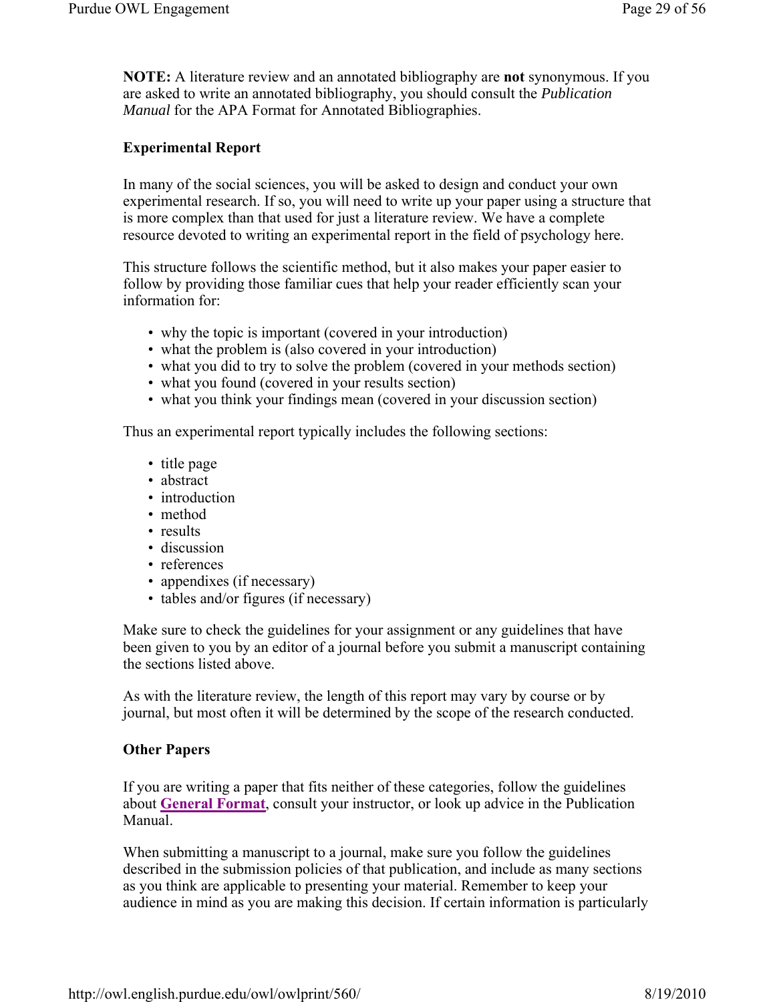**NOTE:** A literature review and an annotated bibliography are **not** synonymous. If you are asked to write an annotated bibliography, you should consult the *Publication Manual* for the APA Format for Annotated Bibliographies.

#### **Experimental Report**

In many of the social sciences, you will be asked to design and conduct your own experimental research. If so, you will need to write up your paper using a structure that is more complex than that used for just a literature review. We have a complete resource devoted to writing an experimental report in the field of psychology here.

This structure follows the scientific method, but it also makes your paper easier to follow by providing those familiar cues that help your reader efficiently scan your information for:

- why the topic is important (covered in your introduction)
- what the problem is (also covered in your introduction)
- what you did to try to solve the problem (covered in your methods section)
- what you found (covered in your results section)
- what you think your findings mean (covered in your discussion section)

Thus an experimental report typically includes the following sections:

- title page
- abstract
- introduction
- method
- results
- discussion
- references
- appendixes (if necessary)
- tables and/or figures (if necessary)

Make sure to check the guidelines for your assignment or any guidelines that have been given to you by an editor of a journal before you submit a manuscript containing the sections listed above.

As with the literature review, the length of this report may vary by course or by journal, but most often it will be determined by the scope of the research conducted.

#### **Other Papers**

If you are writing a paper that fits neither of these categories, follow the guidelines about **General Format**, consult your instructor, or look up advice in the Publication Manual.

When submitting a manuscript to a journal, make sure you follow the guidelines described in the submission policies of that publication, and include as many sections as you think are applicable to presenting your material. Remember to keep your audience in mind as you are making this decision. If certain information is particularly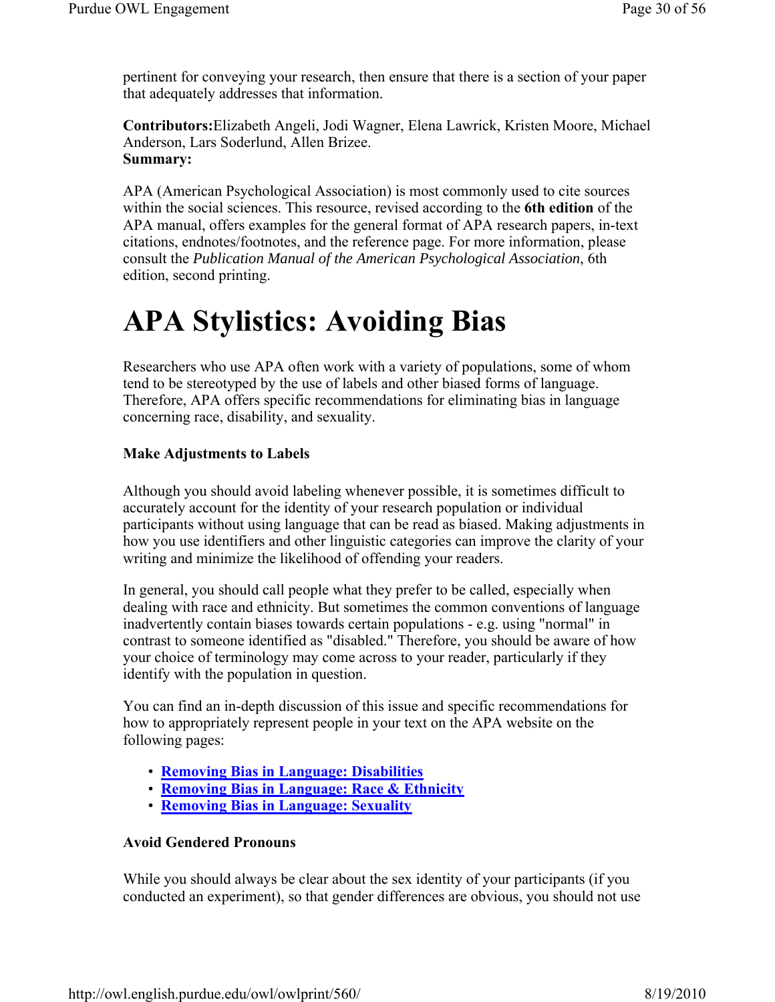pertinent for conveying your research, then ensure that there is a section of your paper that adequately addresses that information.

**Contributors:**Elizabeth Angeli, Jodi Wagner, Elena Lawrick, Kristen Moore, Michael Anderson, Lars Soderlund, Allen Brizee. **Summary:**

APA (American Psychological Association) is most commonly used to cite sources within the social sciences. This resource, revised according to the **6th edition** of the APA manual, offers examples for the general format of APA research papers, in-text citations, endnotes/footnotes, and the reference page. For more information, please consult the *Publication Manual of the American Psychological Association*, 6th edition, second printing.

### **APA Stylistics: Avoiding Bias**

Researchers who use APA often work with a variety of populations, some of whom tend to be stereotyped by the use of labels and other biased forms of language. Therefore, APA offers specific recommendations for eliminating bias in language concerning race, disability, and sexuality.

#### **Make Adjustments to Labels**

Although you should avoid labeling whenever possible, it is sometimes difficult to accurately account for the identity of your research population or individual participants without using language that can be read as biased. Making adjustments in how you use identifiers and other linguistic categories can improve the clarity of your writing and minimize the likelihood of offending your readers.

In general, you should call people what they prefer to be called, especially when dealing with race and ethnicity. But sometimes the common conventions of language inadvertently contain biases towards certain populations - e.g. using "normal" in contrast to someone identified as "disabled." Therefore, you should be aware of how your choice of terminology may come across to your reader, particularly if they identify with the population in question.

You can find an in-depth discussion of this issue and specific recommendations for how to appropriately represent people in your text on the APA website on the following pages:

- **Removing Bias in Language: Disabilities**
- **Removing Bias in Language: Race & Ethnicity**
- **Removing Bias in Language: Sexuality**

#### **Avoid Gendered Pronouns**

While you should always be clear about the sex identity of your participants (if you conducted an experiment), so that gender differences are obvious, you should not use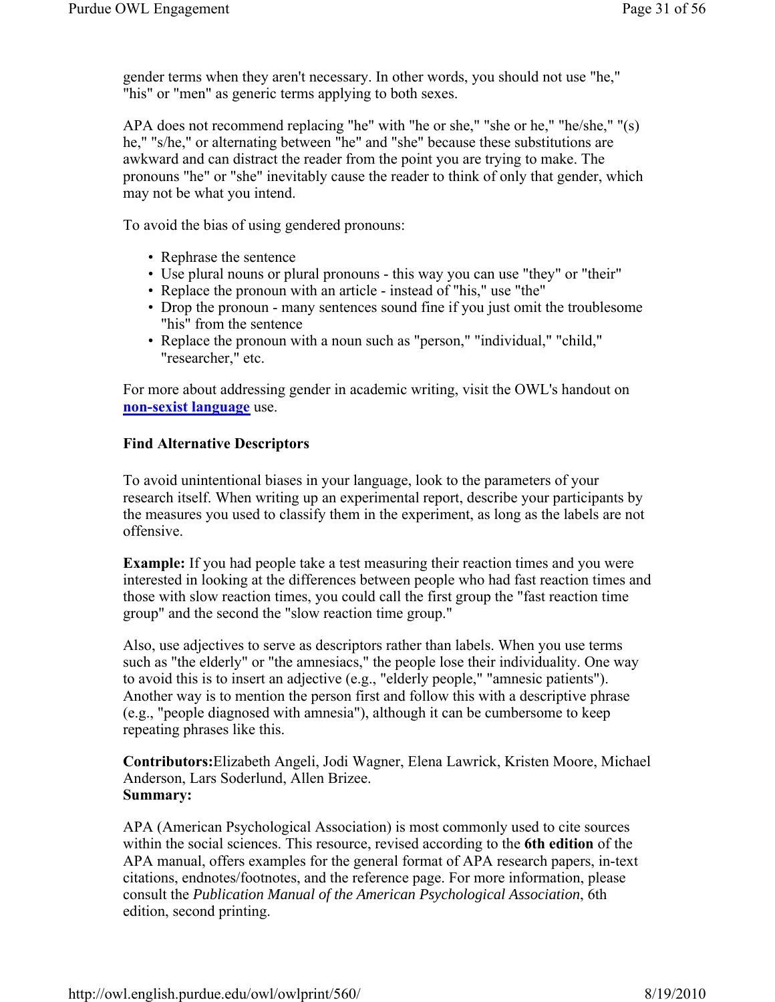gender terms when they aren't necessary. In other words, you should not use "he," "his" or "men" as generic terms applying to both sexes.

APA does not recommend replacing "he" with "he or she," "she or he," "he/she," "(s) he," "s/he," or alternating between "he" and "she" because these substitutions are awkward and can distract the reader from the point you are trying to make. The pronouns "he" or "she" inevitably cause the reader to think of only that gender, which may not be what you intend.

To avoid the bias of using gendered pronouns:

- Rephrase the sentence
- Use plural nouns or plural pronouns this way you can use "they" or "their"
- Replace the pronoun with an article instead of "his," use "the"
- Drop the pronoun many sentences sound fine if you just omit the troublesome "his" from the sentence
- Replace the pronoun with a noun such as "person," "individual," "child," "researcher," etc.

For more about addressing gender in academic writing, visit the OWL's handout on **non-sexist language** use.

#### **Find Alternative Descriptors**

To avoid unintentional biases in your language, look to the parameters of your research itself. When writing up an experimental report, describe your participants by the measures you used to classify them in the experiment, as long as the labels are not offensive.

**Example:** If you had people take a test measuring their reaction times and you were interested in looking at the differences between people who had fast reaction times and those with slow reaction times, you could call the first group the "fast reaction time group" and the second the "slow reaction time group."

Also, use adjectives to serve as descriptors rather than labels. When you use terms such as "the elderly" or "the amnesiacs," the people lose their individuality. One way to avoid this is to insert an adjective (e.g., "elderly people," "amnesic patients"). Another way is to mention the person first and follow this with a descriptive phrase (e.g., "people diagnosed with amnesia"), although it can be cumbersome to keep repeating phrases like this.

**Contributors:**Elizabeth Angeli, Jodi Wagner, Elena Lawrick, Kristen Moore, Michael Anderson, Lars Soderlund, Allen Brizee. **Summary:**

APA (American Psychological Association) is most commonly used to cite sources within the social sciences. This resource, revised according to the **6th edition** of the APA manual, offers examples for the general format of APA research papers, in-text citations, endnotes/footnotes, and the reference page. For more information, please consult the *Publication Manual of the American Psychological Association*, 6th edition, second printing.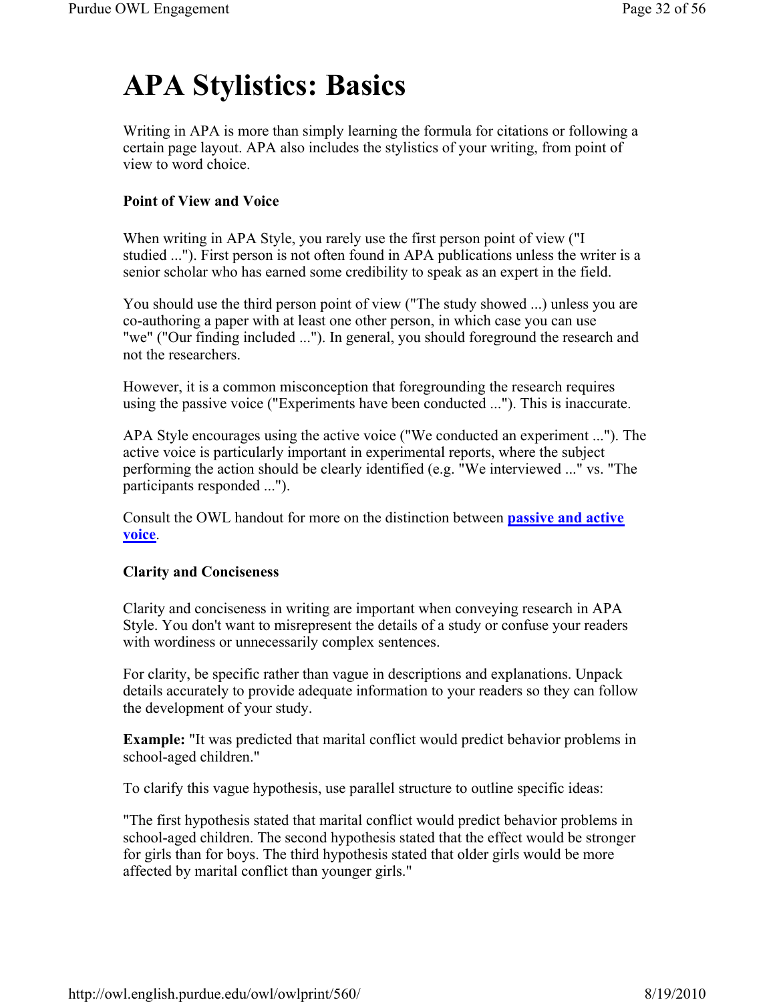## **APA Stylistics: Basics**

Writing in APA is more than simply learning the formula for citations or following a certain page layout. APA also includes the stylistics of your writing, from point of view to word choice.

#### **Point of View and Voice**

When writing in APA Style, you rarely use the first person point of view ("I studied ..."). First person is not often found in APA publications unless the writer is a senior scholar who has earned some credibility to speak as an expert in the field.

You should use the third person point of view ("The study showed ...) unless you are co-authoring a paper with at least one other person, in which case you can use "we" ("Our finding included ..."). In general, you should foreground the research and not the researchers.

However, it is a common misconception that foregrounding the research requires using the passive voice ("Experiments have been conducted ..."). This is inaccurate.

APA Style encourages using the active voice ("We conducted an experiment ..."). The active voice is particularly important in experimental reports, where the subject performing the action should be clearly identified (e.g. "We interviewed ..." vs. "The participants responded ...").

Consult the OWL handout for more on the distinction between **passive and active voice**.

#### **Clarity and Conciseness**

Clarity and conciseness in writing are important when conveying research in APA Style. You don't want to misrepresent the details of a study or confuse your readers with wordiness or unnecessarily complex sentences.

For clarity, be specific rather than vague in descriptions and explanations. Unpack details accurately to provide adequate information to your readers so they can follow the development of your study.

**Example:** "It was predicted that marital conflict would predict behavior problems in school-aged children."

To clarify this vague hypothesis, use parallel structure to outline specific ideas:

"The first hypothesis stated that marital conflict would predict behavior problems in school-aged children. The second hypothesis stated that the effect would be stronger for girls than for boys. The third hypothesis stated that older girls would be more affected by marital conflict than younger girls."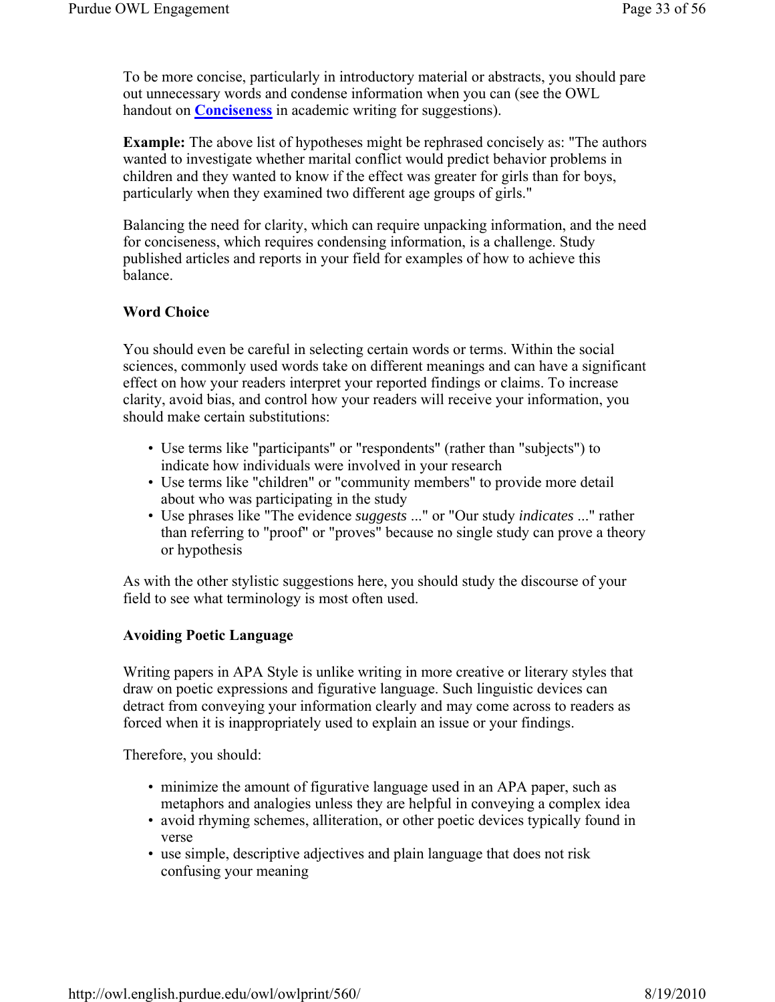To be more concise, particularly in introductory material or abstracts, you should pare out unnecessary words and condense information when you can (see the OWL handout on **Conciseness** in academic writing for suggestions).

**Example:** The above list of hypotheses might be rephrased concisely as: "The authors wanted to investigate whether marital conflict would predict behavior problems in children and they wanted to know if the effect was greater for girls than for boys, particularly when they examined two different age groups of girls."

Balancing the need for clarity, which can require unpacking information, and the need for conciseness, which requires condensing information, is a challenge. Study published articles and reports in your field for examples of how to achieve this balance.

#### **Word Choice**

You should even be careful in selecting certain words or terms. Within the social sciences, commonly used words take on different meanings and can have a significant effect on how your readers interpret your reported findings or claims. To increase clarity, avoid bias, and control how your readers will receive your information, you should make certain substitutions:

- Use terms like "participants" or "respondents" (rather than "subjects") to indicate how individuals were involved in your research
- Use terms like "children" or "community members" to provide more detail about who was participating in the study
- Use phrases like "The evidence *suggests* ..." or "Our study *indicates* ..." rather than referring to "proof" or "proves" because no single study can prove a theory or hypothesis

As with the other stylistic suggestions here, you should study the discourse of your field to see what terminology is most often used.

#### **Avoiding Poetic Language**

Writing papers in APA Style is unlike writing in more creative or literary styles that draw on poetic expressions and figurative language. Such linguistic devices can detract from conveying your information clearly and may come across to readers as forced when it is inappropriately used to explain an issue or your findings.

Therefore, you should:

- minimize the amount of figurative language used in an APA paper, such as metaphors and analogies unless they are helpful in conveying a complex idea
- avoid rhyming schemes, alliteration, or other poetic devices typically found in verse
- use simple, descriptive adjectives and plain language that does not risk confusing your meaning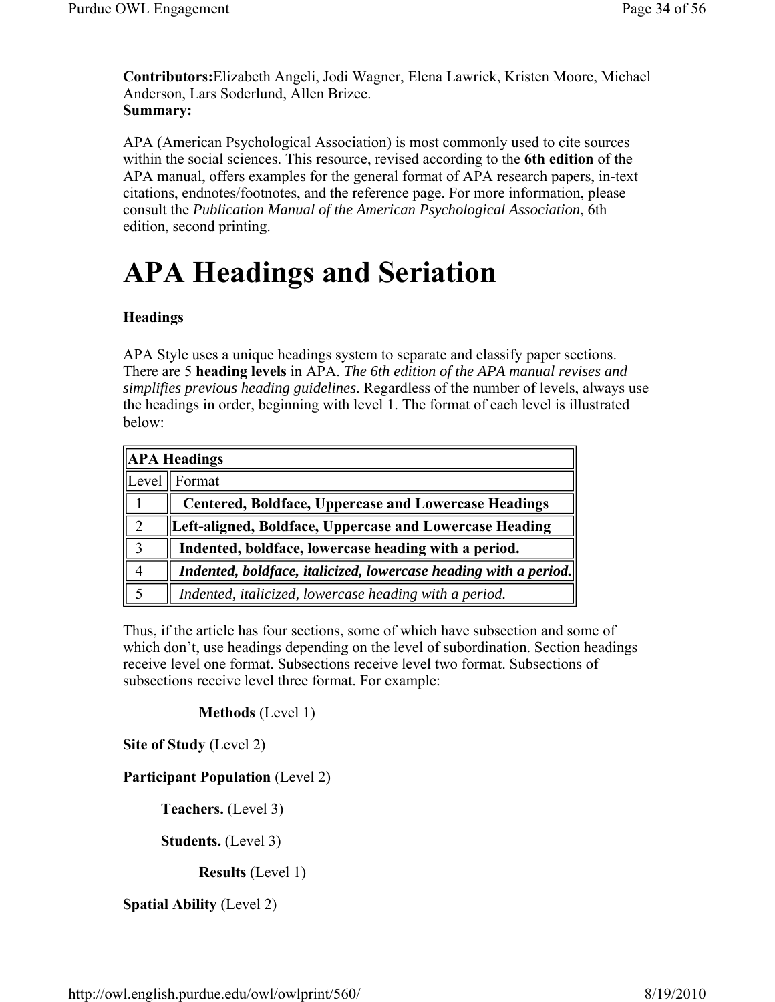**Contributors:**Elizabeth Angeli, Jodi Wagner, Elena Lawrick, Kristen Moore, Michael Anderson, Lars Soderlund, Allen Brizee. **Summary:**

APA (American Psychological Association) is most commonly used to cite sources within the social sciences. This resource, revised according to the **6th edition** of the APA manual, offers examples for the general format of APA research papers, in-text citations, endnotes/footnotes, and the reference page. For more information, please consult the *Publication Manual of the American Psychological Association*, 6th edition, second printing.

## **APA Headings and Seriation**

#### **Headings**

APA Style uses a unique headings system to separate and classify paper sections. There are 5 **heading levels** in APA. *The 6th edition of the APA manual revises and simplifies previous heading guidelines*. Regardless of the number of levels, always use the headings in order, beginning with level 1. The format of each level is illustrated below:

|                | $\parallel$ APA Headings                                         |  |  |
|----------------|------------------------------------------------------------------|--|--|
|                | $\parallel$ Level $\parallel$ Format                             |  |  |
|                | <b>Centered, Boldface, Uppercase and Lowercase Headings</b>      |  |  |
| $\vert$ 2      | Left-aligned, Boldface, Uppercase and Lowercase Heading          |  |  |
| $\overline{3}$ | Indented, boldface, lowercase heading with a period.             |  |  |
| $\overline{4}$ | Indented, boldface, italicized, lowercase heading with a period. |  |  |
| 5              | Indented, italicized, lowercase heading with a period.           |  |  |

Thus, if the article has four sections, some of which have subsection and some of which don't, use headings depending on the level of subordination. Section headings receive level one format. Subsections receive level two format. Subsections of subsections receive level three format. For example:

**Methods** (Level 1)

**Site of Study** (Level 2)

**Participant Population** (Level 2)

**Teachers.** (Level 3)

**Students.** (Level 3)

**Results** (Level 1)

**Spatial Ability** (Level 2)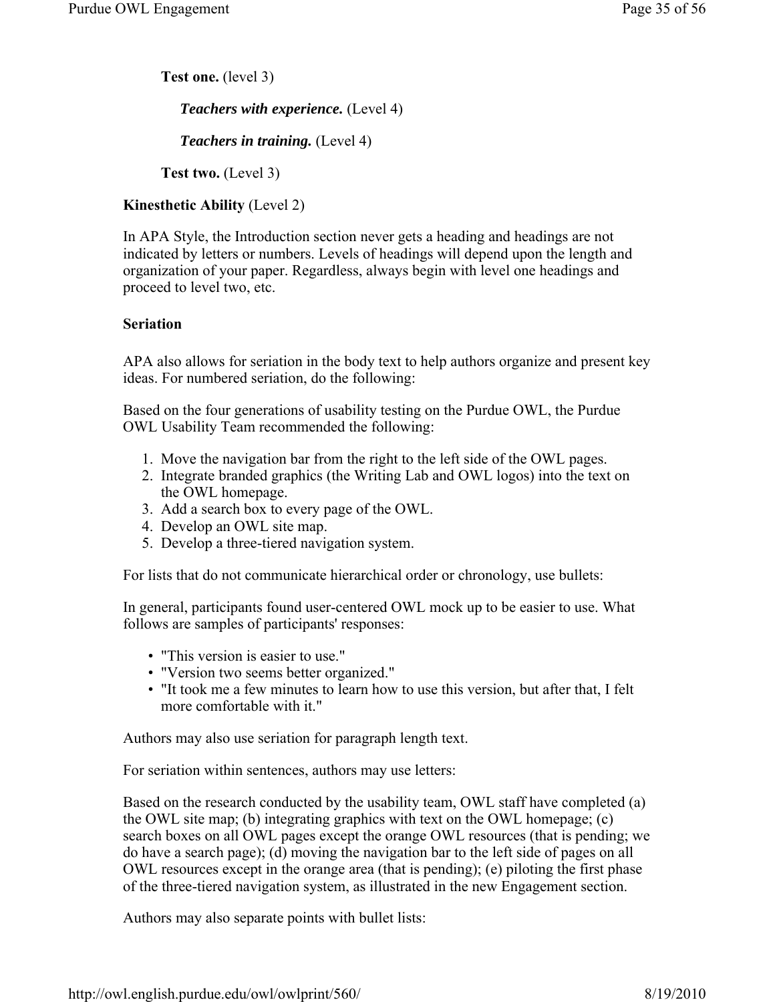**Test one.** (level 3)

*Teachers with experience.* (Level 4)

*Teachers in training.* (Level 4)

**Test two.** (Level 3)

#### **Kinesthetic Ability** (Level 2)

In APA Style, the Introduction section never gets a heading and headings are not indicated by letters or numbers. Levels of headings will depend upon the length and organization of your paper. Regardless, always begin with level one headings and proceed to level two, etc.

#### **Seriation**

APA also allows for seriation in the body text to help authors organize and present key ideas. For numbered seriation, do the following:

Based on the four generations of usability testing on the Purdue OWL, the Purdue OWL Usability Team recommended the following:

- 1. Move the navigation bar from the right to the left side of the OWL pages.
- 2. Integrate branded graphics (the Writing Lab and OWL logos) into the text on the OWL homepage.
- 3. Add a search box to every page of the OWL.
- 4. Develop an OWL site map.
- 5. Develop a three-tiered navigation system.

For lists that do not communicate hierarchical order or chronology, use bullets:

In general, participants found user-centered OWL mock up to be easier to use. What follows are samples of participants' responses:

- "This version is easier to use."
- "Version two seems better organized."
- "It took me a few minutes to learn how to use this version, but after that, I felt more comfortable with it."

Authors may also use seriation for paragraph length text.

For seriation within sentences, authors may use letters:

Based on the research conducted by the usability team, OWL staff have completed (a) the OWL site map; (b) integrating graphics with text on the OWL homepage; (c) search boxes on all OWL pages except the orange OWL resources (that is pending; we do have a search page); (d) moving the navigation bar to the left side of pages on all OWL resources except in the orange area (that is pending); (e) piloting the first phase of the three-tiered navigation system, as illustrated in the new Engagement section.

Authors may also separate points with bullet lists: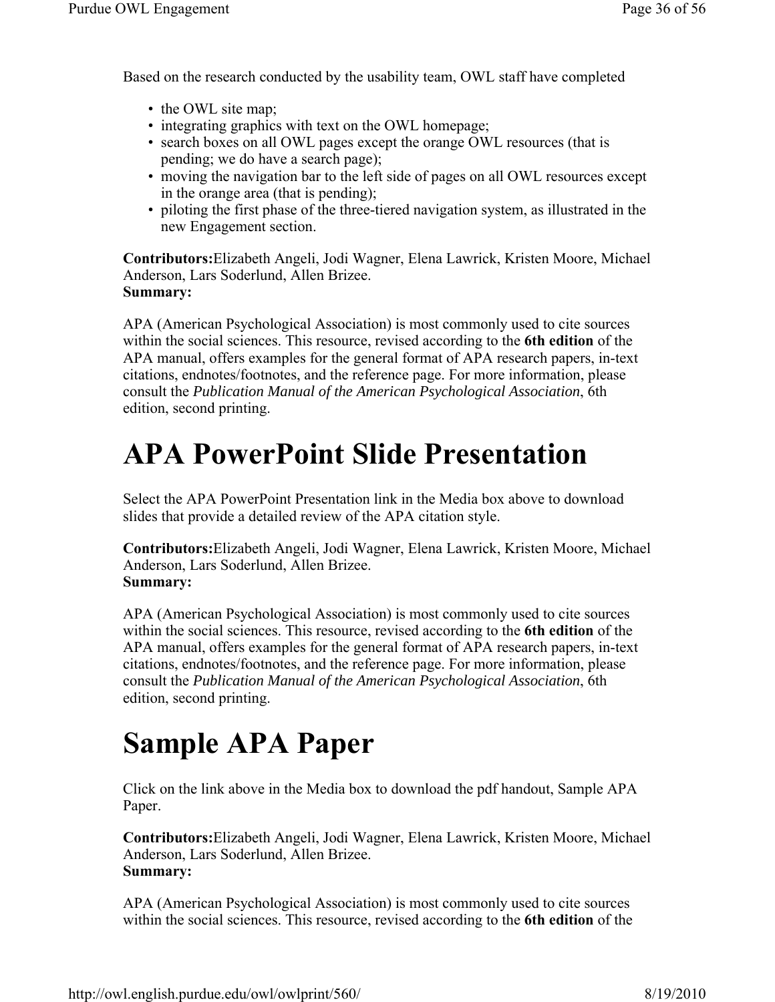Based on the research conducted by the usability team, OWL staff have completed

- the OWL site map;
- integrating graphics with text on the OWL homepage;
- search boxes on all OWL pages except the orange OWL resources (that is pending; we do have a search page);
- moving the navigation bar to the left side of pages on all OWL resources except in the orange area (that is pending);
- piloting the first phase of the three-tiered navigation system, as illustrated in the new Engagement section.

**Contributors:**Elizabeth Angeli, Jodi Wagner, Elena Lawrick, Kristen Moore, Michael Anderson, Lars Soderlund, Allen Brizee. **Summary:**

APA (American Psychological Association) is most commonly used to cite sources within the social sciences. This resource, revised according to the **6th edition** of the APA manual, offers examples for the general format of APA research papers, in-text citations, endnotes/footnotes, and the reference page. For more information, please consult the *Publication Manual of the American Psychological Association*, 6th edition, second printing.

### **APA PowerPoint Slide Presentation**

Select the APA PowerPoint Presentation link in the Media box above to download slides that provide a detailed review of the APA citation style.

**Contributors:**Elizabeth Angeli, Jodi Wagner, Elena Lawrick, Kristen Moore, Michael Anderson, Lars Soderlund, Allen Brizee. **Summary:**

APA (American Psychological Association) is most commonly used to cite sources within the social sciences. This resource, revised according to the **6th edition** of the APA manual, offers examples for the general format of APA research papers, in-text citations, endnotes/footnotes, and the reference page. For more information, please consult the *Publication Manual of the American Psychological Association*, 6th edition, second printing.

## **Sample APA Paper**

Click on the link above in the Media box to download the pdf handout, Sample APA Paper.

**Contributors:**Elizabeth Angeli, Jodi Wagner, Elena Lawrick, Kristen Moore, Michael Anderson, Lars Soderlund, Allen Brizee. **Summary:**

APA (American Psychological Association) is most commonly used to cite sources within the social sciences. This resource, revised according to the **6th edition** of the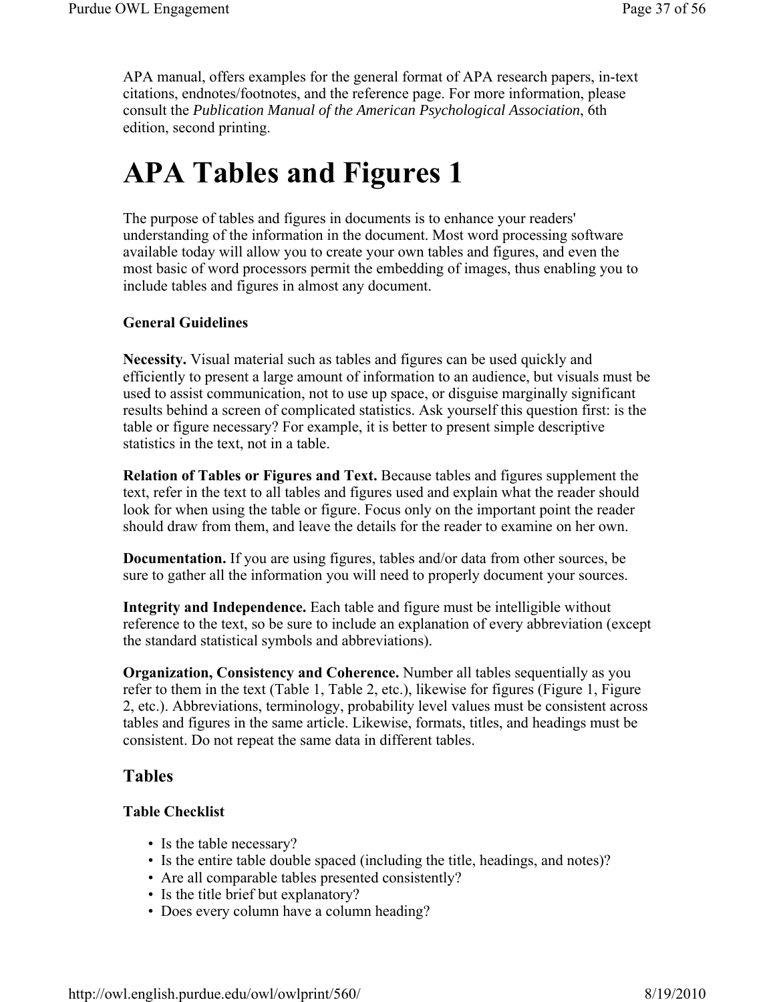APA manual, offers examples for the general format of APA research papers, in-text citations, endnotes/footnotes, and the reference page. For more information, please consult the *Publication Manual of the American Psychological Association*, 6th edition, second printing.

### **APA Tables and Figures 1**

The purpose of tables and figures in documents is to enhance your readers' understanding of the information in the document. Most word processing software available today will allow you to create your own tables and figures, and even the most basic of word processors permit the embedding of images, thus enabling you to include tables and figures in almost any document.

#### **General Guidelines**

**Necessity.** Visual material such as tables and figures can be used quickly and efficiently to present a large amount of information to an audience, but visuals must be used to assist communication, not to use up space, or disguise marginally significant results behind a screen of complicated statistics. Ask yourself this question first: is the table or figure necessary? For example, it is better to present simple descriptive statistics in the text, not in a table.

**Relation of Tables or Figures and Text.** Because tables and figures supplement the text, refer in the text to all tables and figures used and explain what the reader should look for when using the table or figure. Focus only on the important point the reader should draw from them, and leave the details for the reader to examine on her own.

**Documentation.** If you are using figures, tables and/or data from other sources, be sure to gather all the information you will need to properly document your sources.

**Integrity and Independence.** Each table and figure must be intelligible without reference to the text, so be sure to include an explanation of every abbreviation (except the standard statistical symbols and abbreviations).

**Organization, Consistency and Coherence.** Number all tables sequentially as you refer to them in the text (Table 1, Table 2, etc.), likewise for figures (Figure 1, Figure 2, etc.). Abbreviations, terminology, probability level values must be consistent across tables and figures in the same article. Likewise, formats, titles, and headings must be consistent. Do not repeat the same data in different tables.

#### **Tables**

#### **Table Checklist**

- Is the table necessary?
- Is the entire table double spaced (including the title, headings, and notes)?
- Are all comparable tables presented consistently?
- Is the title brief but explanatory?
- Does every column have a column heading?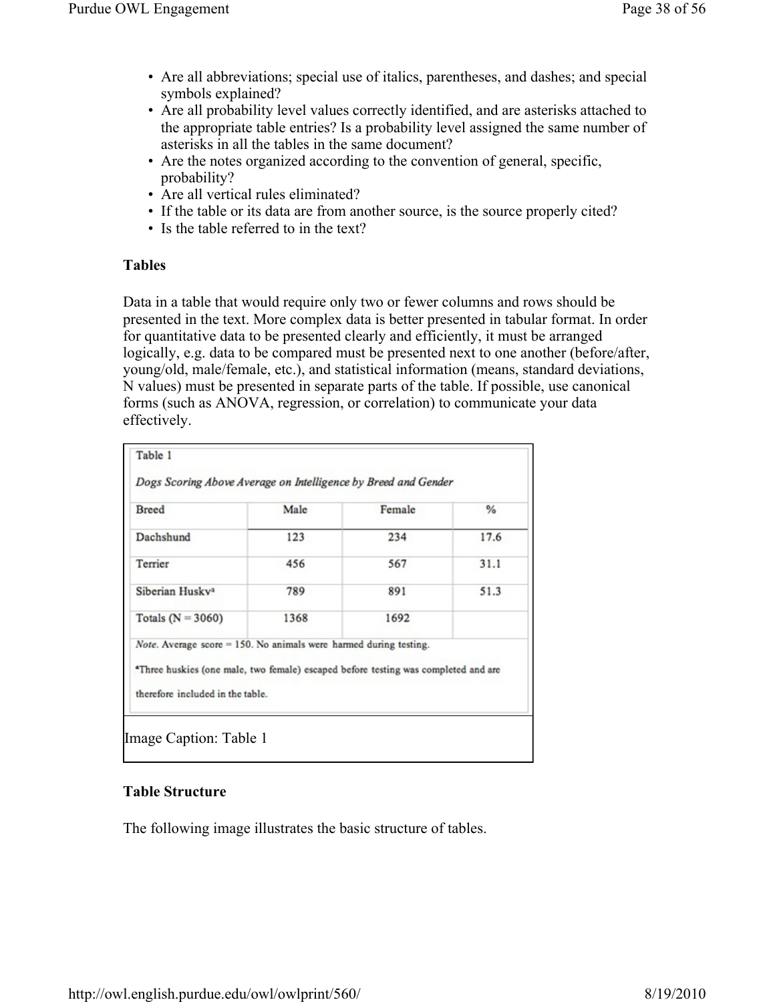- Are all abbreviations; special use of italics, parentheses, and dashes; and special symbols explained?
- Are all probability level values correctly identified, and are asterisks attached to the appropriate table entries? Is a probability level assigned the same number of asterisks in all the tables in the same document?
- Are the notes organized according to the convention of general, specific, probability?
- Are all vertical rules eliminated?
- If the table or its data are from another source, is the source properly cited?
- Is the table referred to in the text?

#### **Tables**

Data in a table that would require only two or fewer columns and rows should be presented in the text. More complex data is better presented in tabular format. In order for quantitative data to be presented clearly and efficiently, it must be arranged logically, e.g. data to be compared must be presented next to one another (before/after, young/old, male/female, etc.), and statistical information (means, standard deviations, N values) must be presented in separate parts of the table. If possible, use canonical forms (such as ANOVA, regression, or correlation) to communicate your data effectively.

| <b>Breed</b>                                                                                                                                                                                | Male | Female | %    |
|---------------------------------------------------------------------------------------------------------------------------------------------------------------------------------------------|------|--------|------|
| Dachshund                                                                                                                                                                                   | 123  | 234    | 17.6 |
| Terrier                                                                                                                                                                                     | 456  | 567    | 31.1 |
| Siberian Huskv <sup>a</sup>                                                                                                                                                                 | 789  | 891    | 51.3 |
| Totals ( $N = 3060$ )                                                                                                                                                                       | 1368 | 1692   |      |
| Note. Average score = 150. No animals were harmed during testing.<br>"Three huskies (one male, two female) escaped before testing was completed and are<br>therefore included in the table. |      |        |      |

#### **Table Structure**

The following image illustrates the basic structure of tables.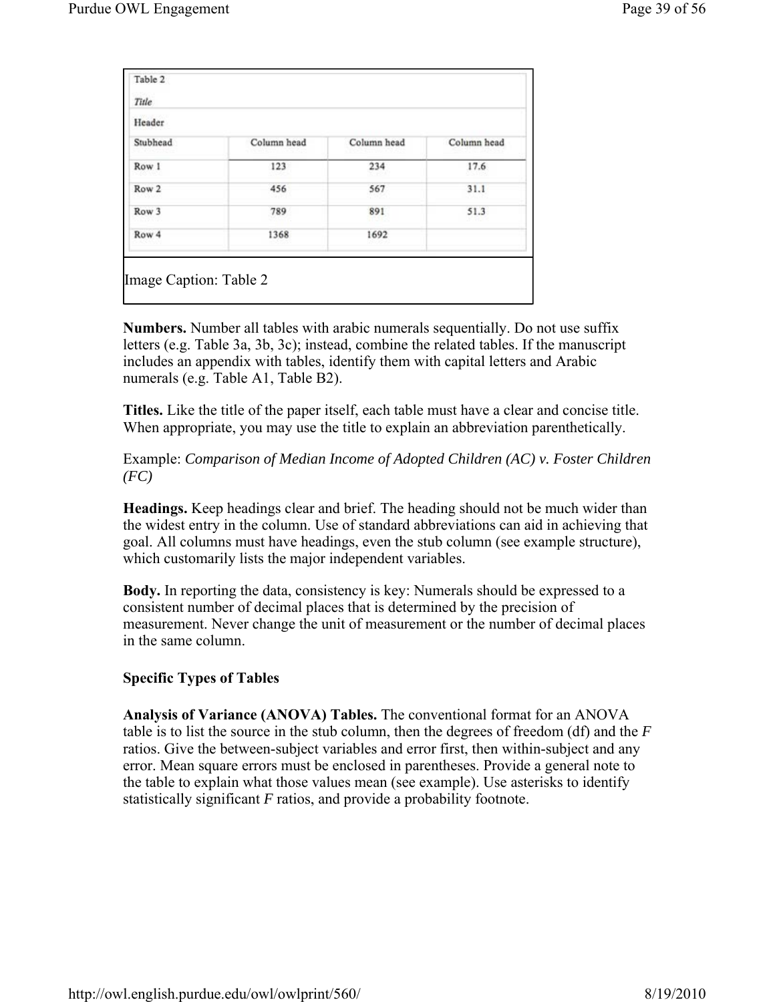| Header   |             |             |             |
|----------|-------------|-------------|-------------|
| Stubhead | Column head | Column head | Column head |
| Row 1    | 123         | 234         | 17.6        |
| Row 2    | 456         | 567         | 31.1        |
| Row 3    | 789         | 891         | 51.3        |
| Row 4    | 1368        | 1692        |             |

**Numbers.** Number all tables with arabic numerals sequentially. Do not use suffix letters (e.g. Table 3a, 3b, 3c); instead, combine the related tables. If the manuscript includes an appendix with tables, identify them with capital letters and Arabic numerals (e.g. Table A1, Table B2).

**Titles.** Like the title of the paper itself, each table must have a clear and concise title. When appropriate, you may use the title to explain an abbreviation parenthetically.

#### Example: *Comparison of Median Income of Adopted Children (AC) v. Foster Children (FC)*

**Headings.** Keep headings clear and brief. The heading should not be much wider than the widest entry in the column. Use of standard abbreviations can aid in achieving that goal. All columns must have headings, even the stub column (see example structure), which customarily lists the major independent variables.

**Body.** In reporting the data, consistency is key: Numerals should be expressed to a consistent number of decimal places that is determined by the precision of measurement. Never change the unit of measurement or the number of decimal places in the same column.

#### **Specific Types of Tables**

**Analysis of Variance (ANOVA) Tables.** The conventional format for an ANOVA table is to list the source in the stub column, then the degrees of freedom (df) and the *F* ratios. Give the between-subject variables and error first, then within-subject and any error. Mean square errors must be enclosed in parentheses. Provide a general note to the table to explain what those values mean (see example). Use asterisks to identify statistically significant *F* ratios, and provide a probability footnote.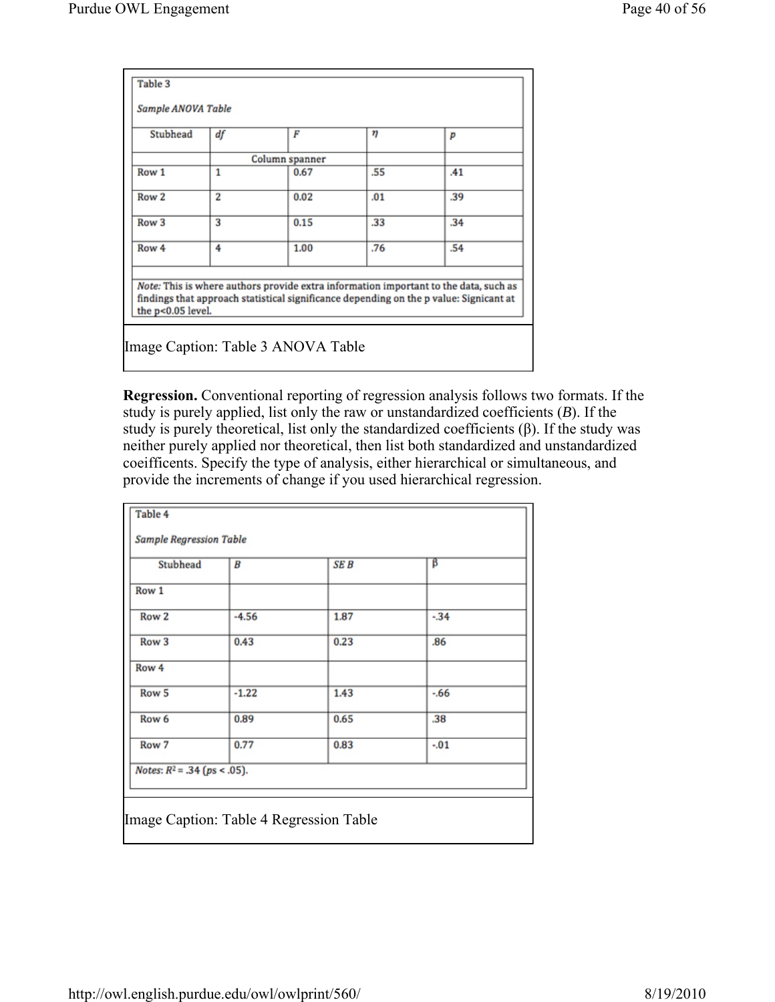| Stubhead         | df | F              | η   | p                                                                                    |
|------------------|----|----------------|-----|--------------------------------------------------------------------------------------|
|                  |    | Column spanner |     |                                                                                      |
| Row 1            | 1  | 0.67           | .55 | .41                                                                                  |
| Row 2            | 2  | 0.02           | .01 | .39                                                                                  |
| Row <sub>3</sub> | 3  | 0.15           | .33 | .34                                                                                  |
| Row 4            | 4  | 1.00           | .76 | .54                                                                                  |
|                  |    |                |     | Note: This is where authors provide extra information important to the data, such as |

**Regression.** Conventional reporting of regression analysis follows two formats. If the study is purely applied, list only the raw or unstandardized coefficients (*B*). If the study is purely theoretical, list only the standardized coefficients  $(\beta)$ . If the study was neither purely applied nor theoretical, then list both standardized and unstandardized coeifficents. Specify the type of analysis, either hierarchical or simultaneous, and provide the increments of change if you used hierarchical regression.

| Stubhead         | B       | SE B | β      |
|------------------|---------|------|--------|
| Row 1            |         |      |        |
| Row <sub>2</sub> | $-4.56$ | 1.87 | $-34$  |
| Row <sub>3</sub> | 0.43    | 0.23 | .86    |
| Row 4            |         |      |        |
| Row <sub>5</sub> | $-1.22$ | 1.43 | $-66$  |
| Row <sub>6</sub> | 0.89    | 0.65 | .38    |
| Row 7            | 0.77    | 0.83 | $-.01$ |

Image Caption: Table 4 Regression Table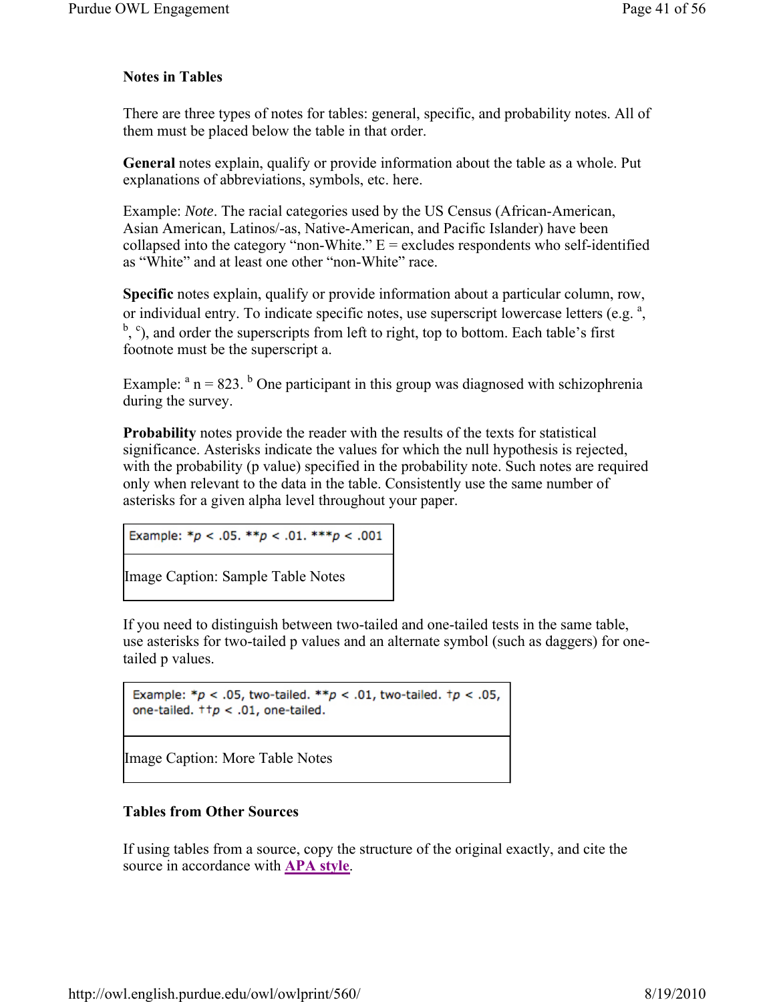#### **Notes in Tables**

There are three types of notes for tables: general, specific, and probability notes. All of them must be placed below the table in that order.

**General** notes explain, qualify or provide information about the table as a whole. Put explanations of abbreviations, symbols, etc. here.

Example: *Note*. The racial categories used by the US Census (African-American, Asian American, Latinos/-as, Native-American, and Pacific Islander) have been collapsed into the category "non-White."  $E =$  excludes respondents who self-identified as "White" and at least one other "non-White" race.

**Specific** notes explain, qualify or provide information about a particular column, row, or individual entry. To indicate specific notes, use superscript lowercase letters (e.g.  $a$ ,  $b$ ,  $c$ ), and order the superscripts from left to right, top to bettern. Each table's first  $,^{\circ}$ ), and order the superscripts from left to right, top to bottom. Each table's first footnote must be the superscript a.

Example:  $a_n = 823$ .  $b$  One participant in this group was diagnosed with schizophrenia during the survey.

**Probability** notes provide the reader with the results of the texts for statistical significance. Asterisks indicate the values for which the null hypothesis is rejected, with the probability (p value) specified in the probability note. Such notes are required only when relevant to the data in the table. Consistently use the same number of asterisks for a given alpha level throughout your paper.

Example: \* $p < .05$ . \*\* $p < .01$ . \*\*\* $p < .001$ Image Caption: Sample Table Notes

If you need to distinguish between two-tailed and one-tailed tests in the same table, use asterisks for two-tailed p values and an alternate symbol (such as daggers) for onetailed p values.

Example: \* $p < .05$ , two-tailed. \*\* $p < .01$ , two-tailed.  $tp < .05$ , one-tailed.  $\text{tp}$  < .01, one-tailed.

Image Caption: More Table Notes

#### **Tables from Other Sources**

If using tables from a source, copy the structure of the original exactly, and cite the source in accordance with **APA style**.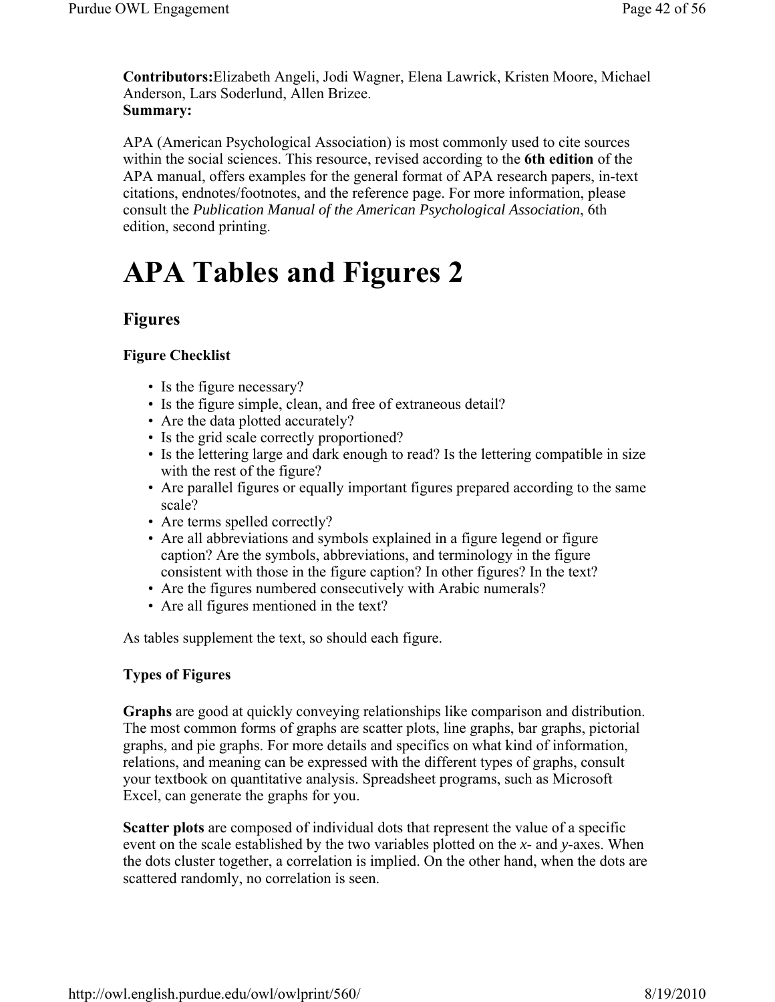**Contributors:**Elizabeth Angeli, Jodi Wagner, Elena Lawrick, Kristen Moore, Michael Anderson, Lars Soderlund, Allen Brizee. **Summary:**

APA (American Psychological Association) is most commonly used to cite sources within the social sciences. This resource, revised according to the **6th edition** of the APA manual, offers examples for the general format of APA research papers, in-text citations, endnotes/footnotes, and the reference page. For more information, please consult the *Publication Manual of the American Psychological Association*, 6th edition, second printing.

## **APA Tables and Figures 2**

#### **Figures**

#### **Figure Checklist**

- Is the figure necessary?
- Is the figure simple, clean, and free of extraneous detail?
- Are the data plotted accurately?
- Is the grid scale correctly proportioned?
- Is the lettering large and dark enough to read? Is the lettering compatible in size with the rest of the figure?
- Are parallel figures or equally important figures prepared according to the same scale?
- Are terms spelled correctly?
- Are all abbreviations and symbols explained in a figure legend or figure caption? Are the symbols, abbreviations, and terminology in the figure consistent with those in the figure caption? In other figures? In the text?
- Are the figures numbered consecutively with Arabic numerals?
- Are all figures mentioned in the text?

As tables supplement the text, so should each figure.

#### **Types of Figures**

**Graphs** are good at quickly conveying relationships like comparison and distribution. The most common forms of graphs are scatter plots, line graphs, bar graphs, pictorial graphs, and pie graphs. For more details and specifics on what kind of information, relations, and meaning can be expressed with the different types of graphs, consult your textbook on quantitative analysis. Spreadsheet programs, such as Microsoft Excel, can generate the graphs for you.

**Scatter plots** are composed of individual dots that represent the value of a specific event on the scale established by the two variables plotted on the *x*- and *y*-axes. When the dots cluster together, a correlation is implied. On the other hand, when the dots are scattered randomly, no correlation is seen.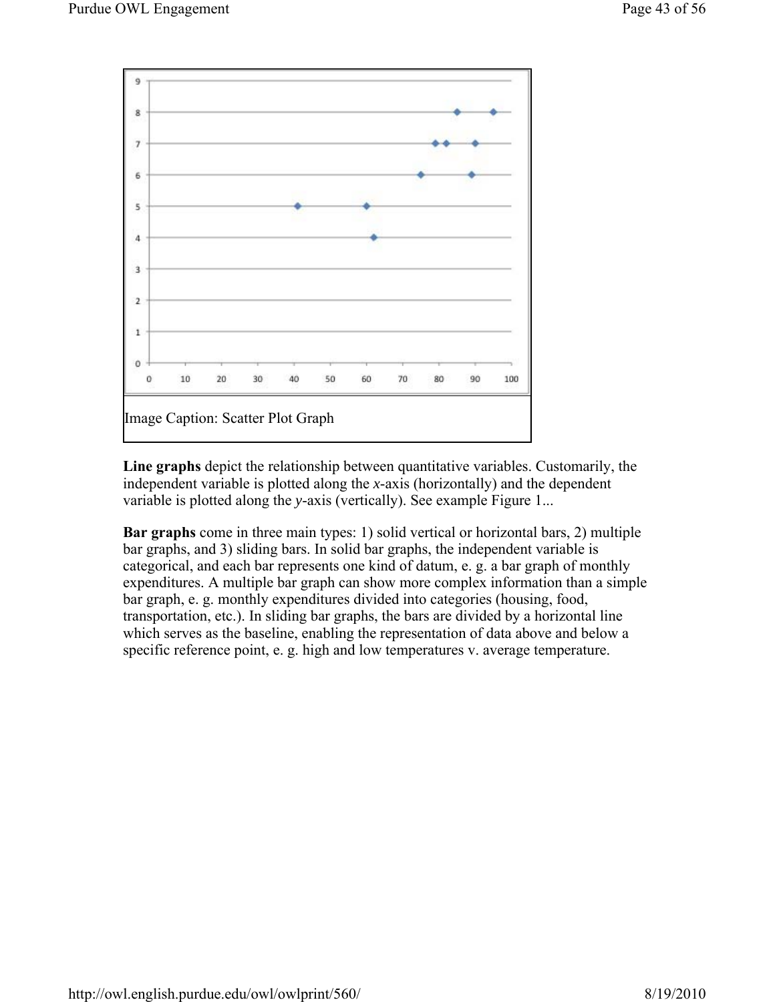

**Line graphs** depict the relationship between quantitative variables. Customarily, the independent variable is plotted along the *x*-axis (horizontally) and the dependent variable is plotted along the *y*-axis (vertically). See example Figure 1...

**Bar graphs** come in three main types: 1) solid vertical or horizontal bars, 2) multiple bar graphs, and 3) sliding bars. In solid bar graphs, the independent variable is categorical, and each bar represents one kind of datum, e. g. a bar graph of monthly expenditures. A multiple bar graph can show more complex information than a simple bar graph, e. g. monthly expenditures divided into categories (housing, food, transportation, etc.). In sliding bar graphs, the bars are divided by a horizontal line which serves as the baseline, enabling the representation of data above and below a specific reference point, e. g. high and low temperatures v. average temperature.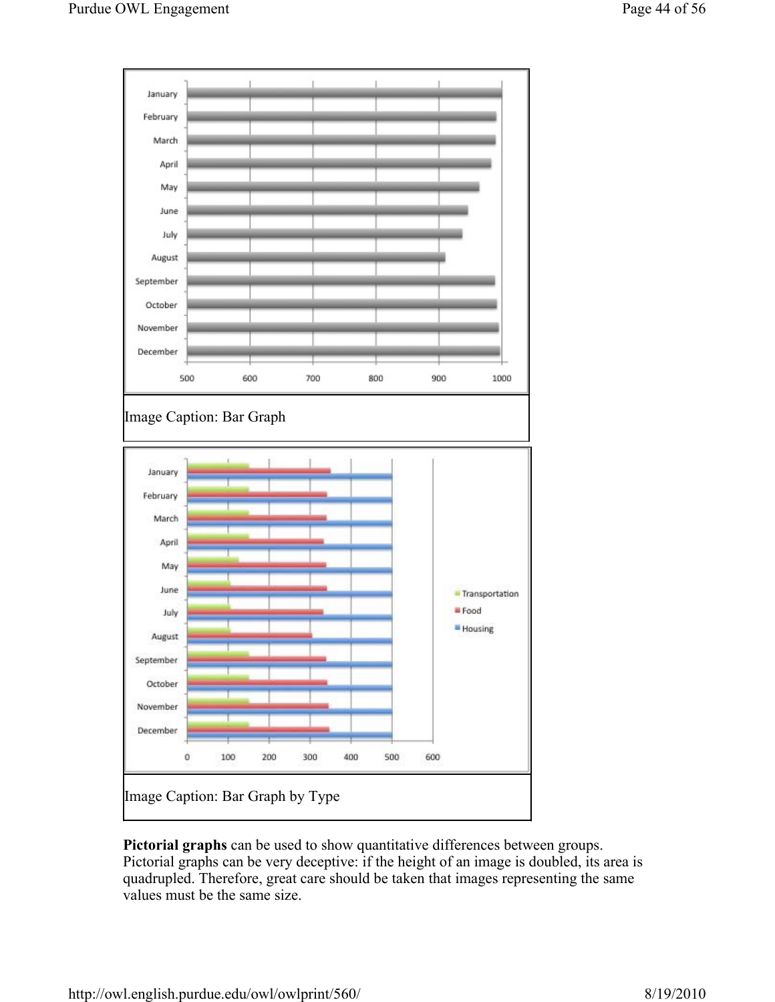

**Pictorial graphs** can be used to show quantitative differences between groups. Pictorial graphs can be very deceptive: if the height of an image is doubled, its area is quadrupled. Therefore, great care should be taken that images representing the same values must be the same size.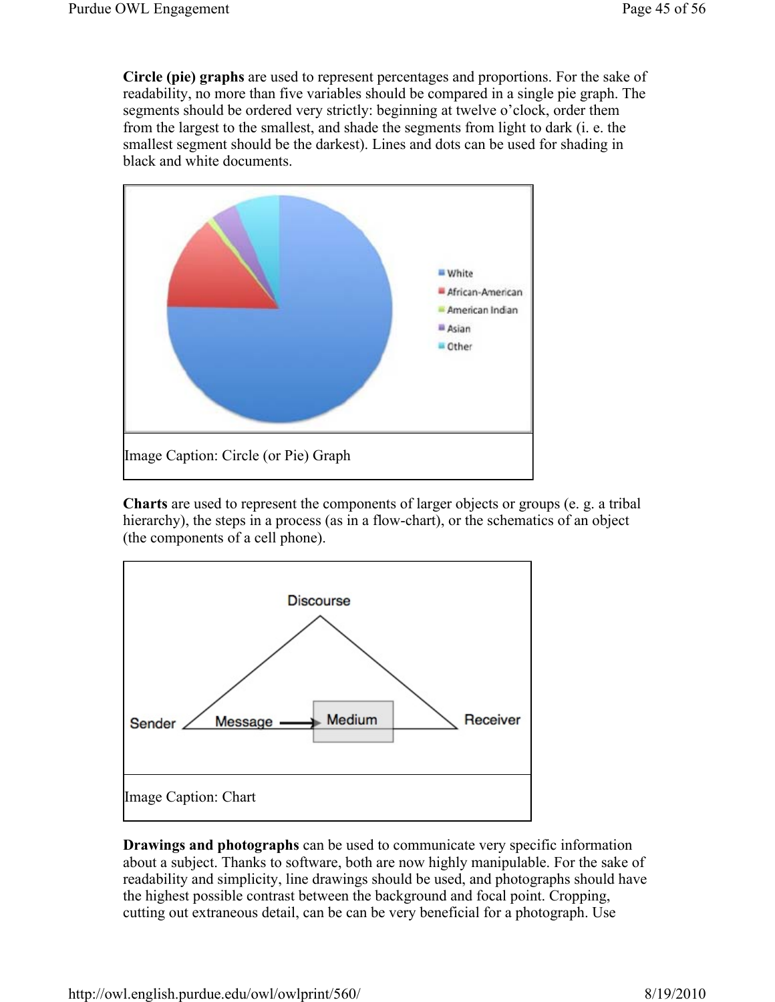**Circle (pie) graphs** are used to represent percentages and proportions. For the sake of readability, no more than five variables should be compared in a single pie graph. The segments should be ordered very strictly: beginning at twelve o'clock, order them from the largest to the smallest, and shade the segments from light to dark (i. e. the smallest segment should be the darkest). Lines and dots can be used for shading in black and white documents.



**Charts** are used to represent the components of larger objects or groups (e. g. a tribal hierarchy), the steps in a process (as in a flow-chart), or the schematics of an object (the components of a cell phone).



**Drawings and photographs** can be used to communicate very specific information about a subject. Thanks to software, both are now highly manipulable. For the sake of readability and simplicity, line drawings should be used, and photographs should have the highest possible contrast between the background and focal point. Cropping, cutting out extraneous detail, can be can be very beneficial for a photograph. Use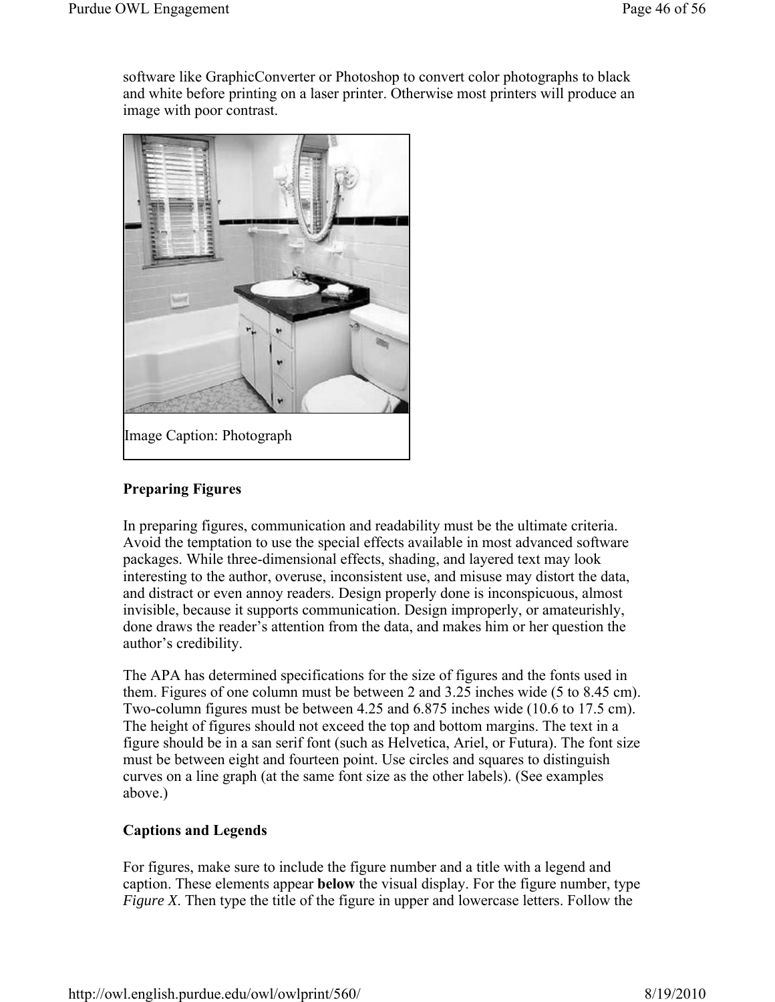software like GraphicConverter or Photoshop to convert color photographs to black and white before printing on a laser printer. Otherwise most printers will produce an image with poor contrast.



#### **Preparing Figures**

In preparing figures, communication and readability must be the ultimate criteria. Avoid the temptation to use the special effects available in most advanced software packages. While three-dimensional effects, shading, and layered text may look interesting to the author, overuse, inconsistent use, and misuse may distort the data, and distract or even annoy readers. Design properly done is inconspicuous, almost invisible, because it supports communication. Design improperly, or amateurishly, done draws the reader's attention from the data, and makes him or her question the author's credibility.

The APA has determined specifications for the size of figures and the fonts used in them. Figures of one column must be between 2 and 3.25 inches wide (5 to 8.45 cm). Two-column figures must be between 4.25 and 6.875 inches wide (10.6 to 17.5 cm). The height of figures should not exceed the top and bottom margins. The text in a figure should be in a san serif font (such as Helvetica, Ariel, or Futura). The font size must be between eight and fourteen point. Use circles and squares to distinguish curves on a line graph (at the same font size as the other labels). (See examples above.)

#### **Captions and Legends**

For figures, make sure to include the figure number and a title with a legend and caption. These elements appear **below** the visual display. For the figure number, type *Figure X*. Then type the title of the figure in upper and lowercase letters. Follow the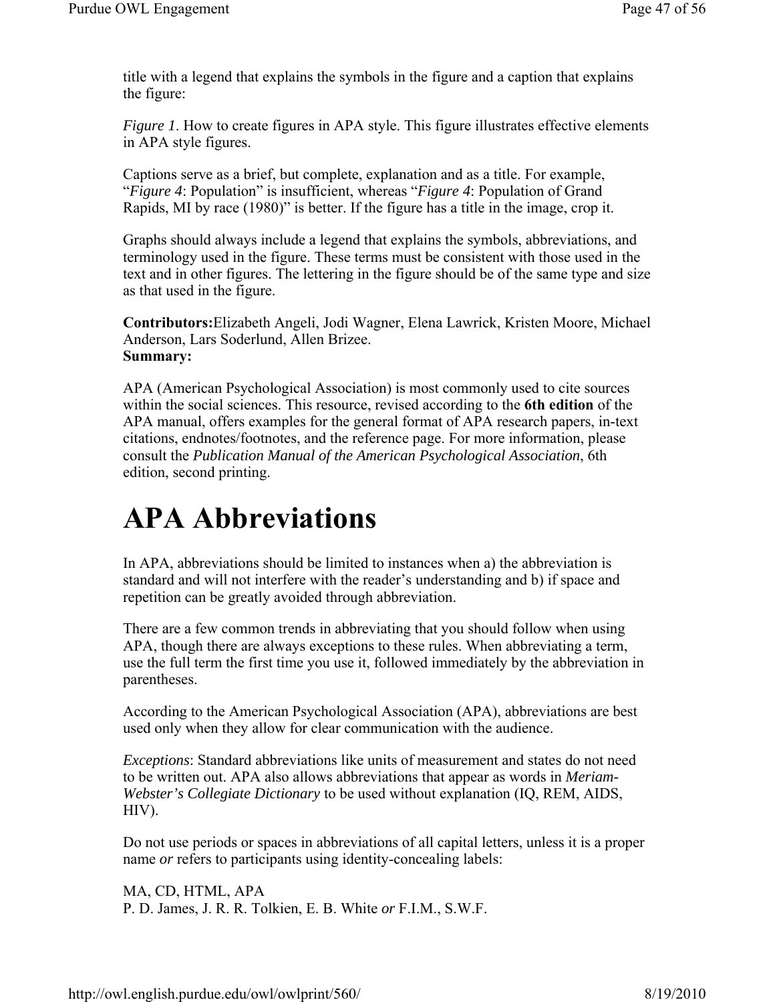title with a legend that explains the symbols in the figure and a caption that explains the figure:

*Figure 1*. How to create figures in APA style. This figure illustrates effective elements in APA style figures.

Captions serve as a brief, but complete, explanation and as a title. For example, "*Figure 4*: Population" is insufficient, whereas "*Figure 4*: Population of Grand Rapids, MI by race (1980)" is better. If the figure has a title in the image, crop it.

Graphs should always include a legend that explains the symbols, abbreviations, and terminology used in the figure. These terms must be consistent with those used in the text and in other figures. The lettering in the figure should be of the same type and size as that used in the figure.

**Contributors:**Elizabeth Angeli, Jodi Wagner, Elena Lawrick, Kristen Moore, Michael Anderson, Lars Soderlund, Allen Brizee. **Summary:**

APA (American Psychological Association) is most commonly used to cite sources within the social sciences. This resource, revised according to the **6th edition** of the APA manual, offers examples for the general format of APA research papers, in-text citations, endnotes/footnotes, and the reference page. For more information, please consult the *Publication Manual of the American Psychological Association*, 6th edition, second printing.

### **APA Abbreviations**

In APA, abbreviations should be limited to instances when a) the abbreviation is standard and will not interfere with the reader's understanding and b) if space and repetition can be greatly avoided through abbreviation.

There are a few common trends in abbreviating that you should follow when using APA, though there are always exceptions to these rules. When abbreviating a term, use the full term the first time you use it, followed immediately by the abbreviation in parentheses.

According to the American Psychological Association (APA), abbreviations are best used only when they allow for clear communication with the audience.

*Exceptions*: Standard abbreviations like units of measurement and states do not need to be written out. APA also allows abbreviations that appear as words in *Meriam-Webster's Collegiate Dictionary* to be used without explanation (IQ, REM, AIDS, HIV).

Do not use periods or spaces in abbreviations of all capital letters, unless it is a proper name *or* refers to participants using identity-concealing labels:

MA, CD, HTML, APA P. D. James, J. R. R. Tolkien, E. B. White *or* F.I.M., S.W.F.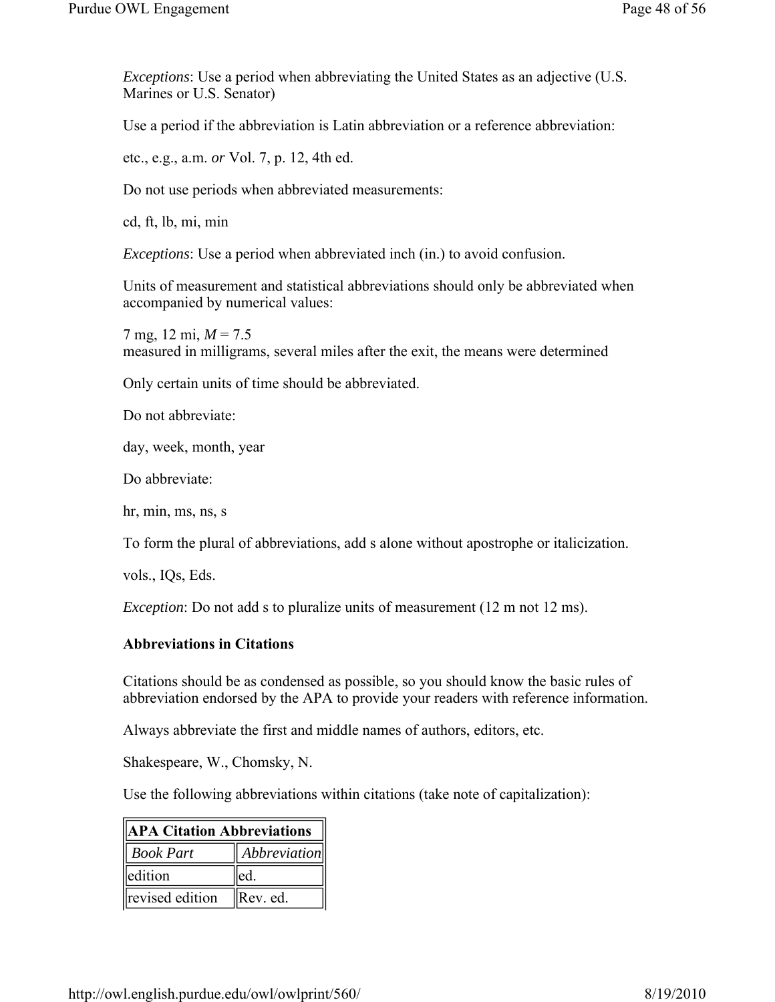*Exceptions*: Use a period when abbreviating the United States as an adjective (U.S. Marines or U.S. Senator)

Use a period if the abbreviation is Latin abbreviation or a reference abbreviation:

etc., e.g., a.m. *or* Vol. 7, p. 12, 4th ed.

Do not use periods when abbreviated measurements:

cd, ft, lb, mi, min

*Exceptions*: Use a period when abbreviated inch (in.) to avoid confusion.

Units of measurement and statistical abbreviations should only be abbreviated when accompanied by numerical values:

7 mg, 12 mi, *M* = 7.5 measured in milligrams, several miles after the exit, the means were determined

Only certain units of time should be abbreviated.

Do not abbreviate:

day, week, month, year

Do abbreviate:

hr, min, ms, ns, s

To form the plural of abbreviations, add s alone without apostrophe or italicization.

vols., IQs, Eds.

*Exception*: Do not add s to pluralize units of measurement (12 m not 12 ms).

#### **Abbreviations in Citations**

Citations should be as condensed as possible, so you should know the basic rules of abbreviation endorsed by the APA to provide your readers with reference information.

Always abbreviate the first and middle names of authors, editors, etc.

Shakespeare, W., Chomsky, N.

Use the following abbreviations within citations (take note of capitalization):

| <b>APA Citation Abbreviations</b> |              |
|-----------------------------------|--------------|
| <b>Book Part</b>                  | Abbreviation |
| ledition                          | 'led.        |
| llrevised edition                 | IRev. ed.    |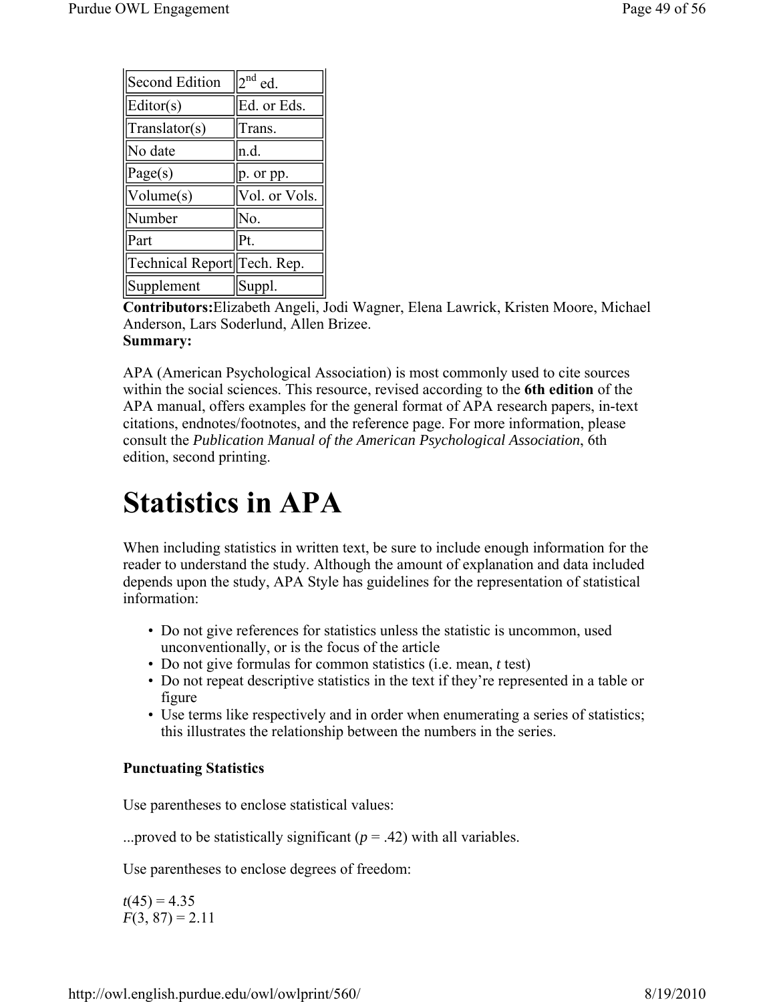| <b>Second Edition</b>       | $2^{nd}$ ed.   |
|-----------------------------|----------------|
| Editor(s)                   | Ed. or Eds.    |
| Translator(s)               | Trans.         |
| No date                     | n.d.           |
| Page(s)                     | $ p.$ or $pp.$ |
| Volume(s)                   | Vol. or Vols.  |
| Number                      | No.            |
| Part                        | Pt.            |
| Technical Report Tech. Rep. |                |
| Supplement                  | Suppl.         |

**Contributors:**Elizabeth Angeli, Jodi Wagner, Elena Lawrick, Kristen Moore, Michael Anderson, Lars Soderlund, Allen Brizee. **Summary:**

APA (American Psychological Association) is most commonly used to cite sources within the social sciences. This resource, revised according to the **6th edition** of the APA manual, offers examples for the general format of APA research papers, in-text citations, endnotes/footnotes, and the reference page. For more information, please consult the *Publication Manual of the American Psychological Association*, 6th edition, second printing.

## **Statistics in APA**

When including statistics in written text, be sure to include enough information for the reader to understand the study. Although the amount of explanation and data included depends upon the study, APA Style has guidelines for the representation of statistical information:

- Do not give references for statistics unless the statistic is uncommon, used unconventionally, or is the focus of the article
- Do not give formulas for common statistics (i.e. mean, *t* test)
- Do not repeat descriptive statistics in the text if they're represented in a table or figure
- Use terms like respectively and in order when enumerating a series of statistics; this illustrates the relationship between the numbers in the series.

#### **Punctuating Statistics**

Use parentheses to enclose statistical values:

...proved to be statistically significant (*p* = .42) with all variables.

Use parentheses to enclose degrees of freedom:

 $t(45) = 4.35$  $F(3, 87) = 2.11$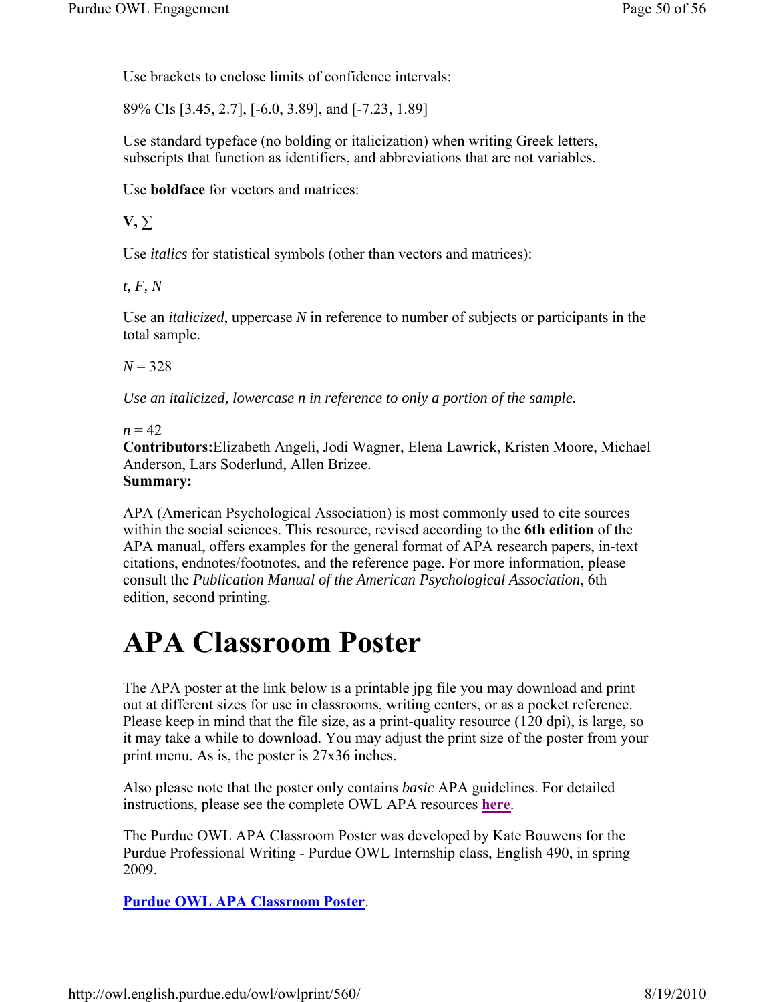Use brackets to enclose limits of confidence intervals:

89% CIs [3.45, 2.7], [-6.0, 3.89], and [-7.23, 1.89]

Use standard typeface (no bolding or italicization) when writing Greek letters, subscripts that function as identifiers, and abbreviations that are not variables.

Use **boldface** for vectors and matrices:

**V, ∑**

Use *italics* for statistical symbols (other than vectors and matrices):

*t, F, N*

Use an *italicized*, uppercase *N* in reference to number of subjects or participants in the total sample.

 $N = 328$ 

*Use an italicized, lowercase n in reference to only a portion of the sample.*

 $n = 42$ 

**Contributors:**Elizabeth Angeli, Jodi Wagner, Elena Lawrick, Kristen Moore, Michael Anderson, Lars Soderlund, Allen Brizee. **Summary:**

APA (American Psychological Association) is most commonly used to cite sources within the social sciences. This resource, revised according to the **6th edition** of the APA manual, offers examples for the general format of APA research papers, in-text citations, endnotes/footnotes, and the reference page. For more information, please consult the *Publication Manual of the American Psychological Association*, 6th edition, second printing.

## **APA Classroom Poster**

The APA poster at the link below is a printable jpg file you may download and print out at different sizes for use in classrooms, writing centers, or as a pocket reference. Please keep in mind that the file size, as a print-quality resource (120 dpi), is large, so it may take a while to download. You may adjust the print size of the poster from your print menu. As is, the poster is 27x36 inches.

Also please note that the poster only contains *basic* APA guidelines. For detailed instructions, please see the complete OWL APA resources **here**.

The Purdue OWL APA Classroom Poster was developed by Kate Bouwens for the Purdue Professional Writing - Purdue OWL Internship class, English 490, in spring 2009.

**Purdue OWL APA Classroom Poster**.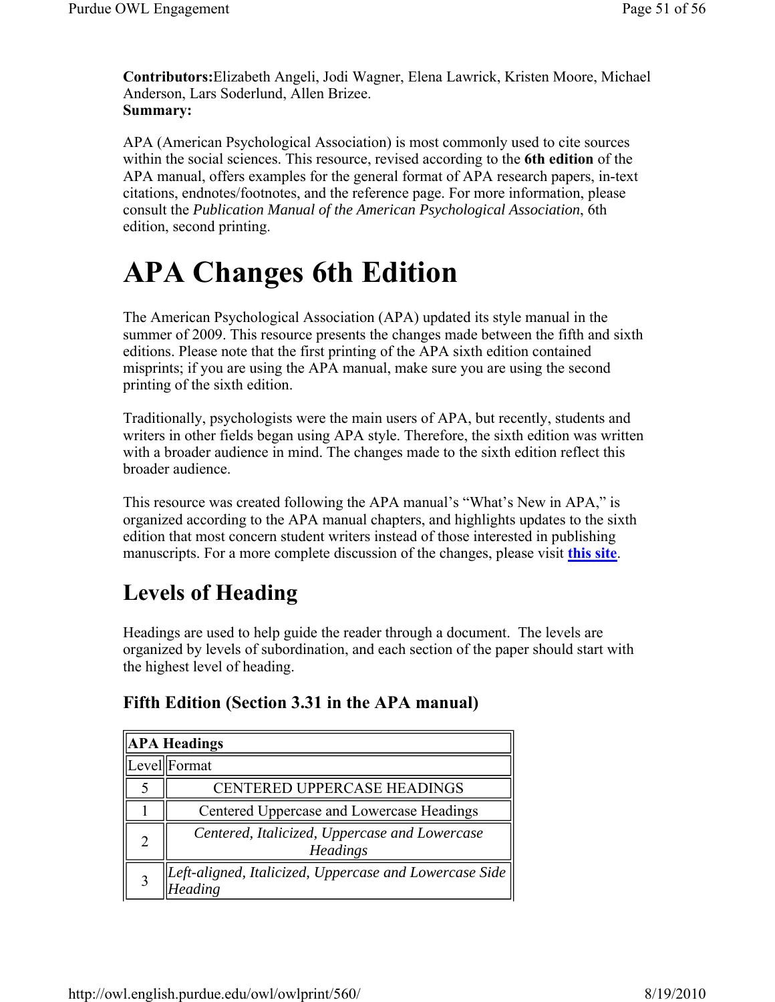**Contributors:**Elizabeth Angeli, Jodi Wagner, Elena Lawrick, Kristen Moore, Michael Anderson, Lars Soderlund, Allen Brizee. **Summary:**

APA (American Psychological Association) is most commonly used to cite sources within the social sciences. This resource, revised according to the **6th edition** of the APA manual, offers examples for the general format of APA research papers, in-text citations, endnotes/footnotes, and the reference page. For more information, please consult the *Publication Manual of the American Psychological Association*, 6th edition, second printing.

## **APA Changes 6th Edition**

The American Psychological Association (APA) updated its style manual in the summer of 2009. This resource presents the changes made between the fifth and sixth editions. Please note that the first printing of the APA sixth edition contained misprints; if you are using the APA manual, make sure you are using the second printing of the sixth edition.

Traditionally, psychologists were the main users of APA, but recently, students and writers in other fields began using APA style. Therefore, the sixth edition was written with a broader audience in mind. The changes made to the sixth edition reflect this broader audience.

This resource was created following the APA manual's "What's New in APA," is organized according to the APA manual chapters, and highlights updates to the sixth edition that most concern student writers instead of those interested in publishing manuscripts. For a more complete discussion of the changes, please visit **this site**.

### **Levels of Heading**

Headings are used to help guide the reader through a document. The levels are organized by levels of subordination, and each section of the paper should start with the highest level of heading.

|   | <b>APA Headings</b>                                                         |  |  |
|---|-----------------------------------------------------------------------------|--|--|
|   | Level Format                                                                |  |  |
|   | CENTERED UPPERCASE HEADINGS                                                 |  |  |
|   | Centered Uppercase and Lowercase Headings                                   |  |  |
| 2 | Centered, Italicized, Uppercase and Lowercase<br><b>Headings</b>            |  |  |
|   | Left-aligned, Italicized, Uppercase and Lowercase Side   <br><b>Heading</b> |  |  |

#### **Fifth Edition (Section 3.31 in the APA manual)**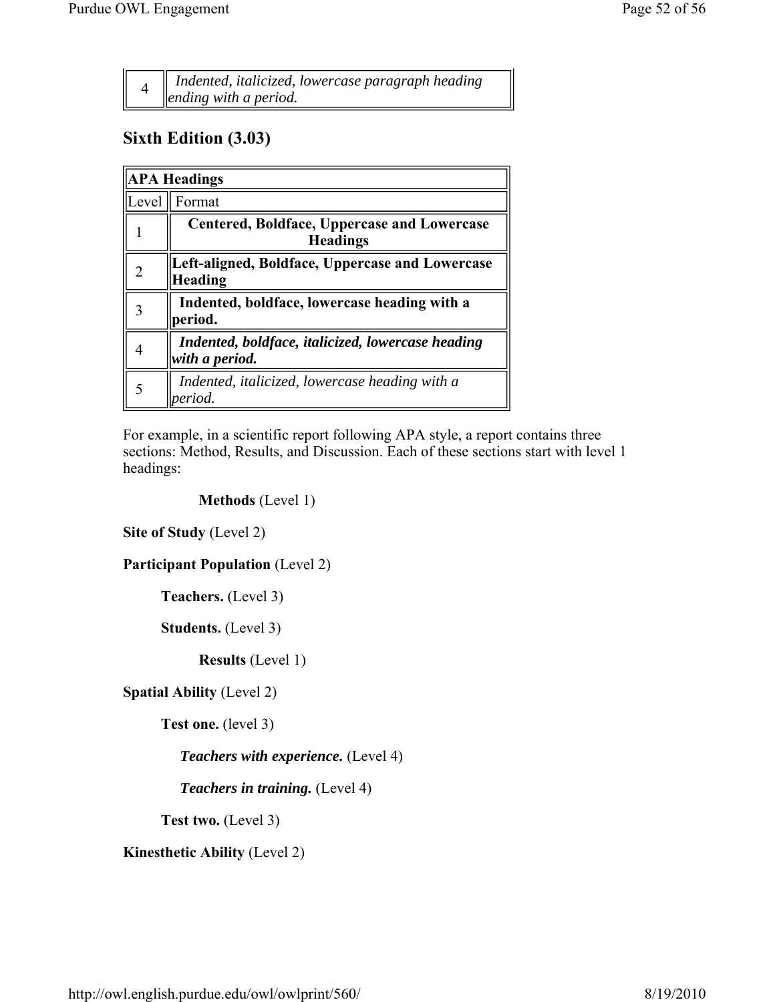<sup>4</sup> *Indented, italicized, lowercase paragraph heading ending with a period.*

#### **Sixth Edition (3.03)**

|       | <b>APA Headings</b>                                                 |  |  |
|-------|---------------------------------------------------------------------|--|--|
| Level | Format                                                              |  |  |
|       | Centered, Boldface, Uppercase and Lowercase<br><b>Headings</b>      |  |  |
|       | Left-aligned, Boldface, Uppercase and Lowercase<br><b>Heading</b>   |  |  |
|       | Indented, boldface, lowercase heading with a<br>period.             |  |  |
|       | Indented, boldface, italicized, lowercase heading<br>with a period. |  |  |
|       | Indented, italicized, lowercase heading with a<br>period.           |  |  |

For example, in a scientific report following APA style, a report contains three sections: Method, Results, and Discussion. Each of these sections start with level 1 headings:

 **Methods** (Level 1)

**Site of Study** (Level 2)

#### **Participant Population** (Level 2)

**Teachers.** (Level 3)

**Students.** (Level 3)

**Results** (Level 1)

**Spatial Ability** (Level 2)

**Test one.** (level 3)

*Teachers with experience.* (Level 4)

*Teachers in training.* (Level 4)

**Test two.** (Level 3)

**Kinesthetic Ability** (Level 2)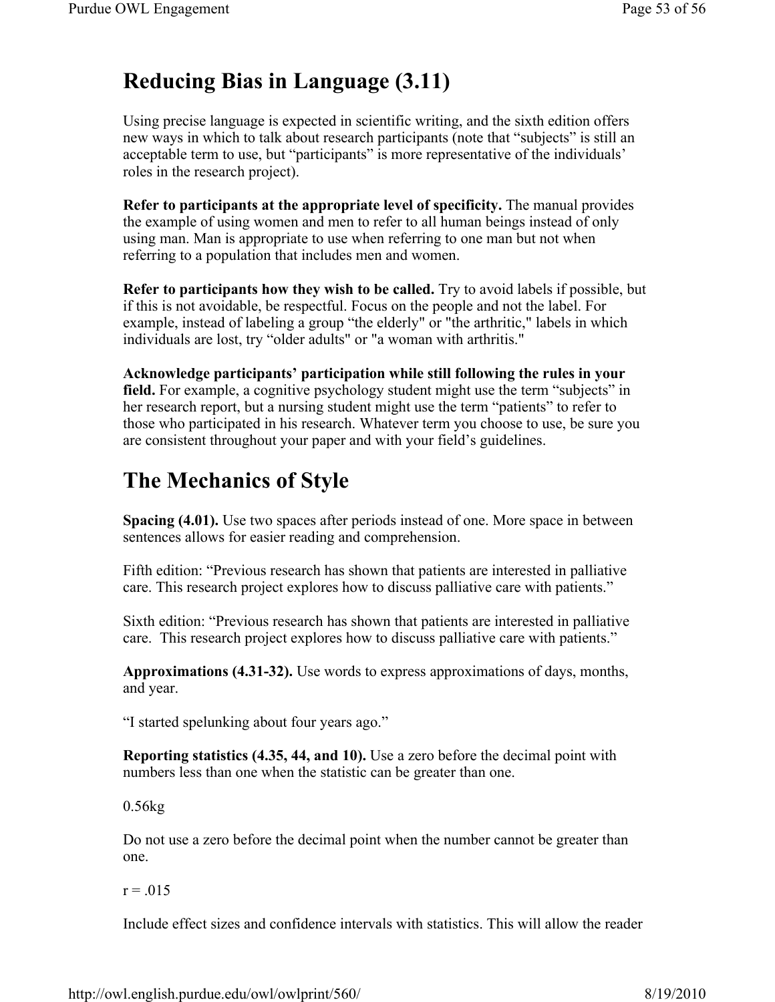### **Reducing Bias in Language (3.11)**

Using precise language is expected in scientific writing, and the sixth edition offers new ways in which to talk about research participants (note that "subjects" is still an acceptable term to use, but "participants" is more representative of the individuals' roles in the research project).

**Refer to participants at the appropriate level of specificity.** The manual provides the example of using women and men to refer to all human beings instead of only using man. Man is appropriate to use when referring to one man but not when referring to a population that includes men and women.

**Refer to participants how they wish to be called.** Try to avoid labels if possible, but if this is not avoidable, be respectful. Focus on the people and not the label. For example, instead of labeling a group "the elderly" or "the arthritic," labels in which individuals are lost, try "older adults" or "a woman with arthritis."

**Acknowledge participants' participation while still following the rules in your field.** For example, a cognitive psychology student might use the term "subjects" in her research report, but a nursing student might use the term "patients" to refer to those who participated in his research. Whatever term you choose to use, be sure you are consistent throughout your paper and with your field's guidelines.

### **The Mechanics of Style**

**Spacing (4.01).** Use two spaces after periods instead of one. More space in between sentences allows for easier reading and comprehension.

Fifth edition: "Previous research has shown that patients are interested in palliative care. This research project explores how to discuss palliative care with patients."

Sixth edition: "Previous research has shown that patients are interested in palliative care. This research project explores how to discuss palliative care with patients."

**Approximations (4.31-32).** Use words to express approximations of days, months, and year.

"I started spelunking about four years ago."

**Reporting statistics (4.35, 44, and 10).** Use a zero before the decimal point with numbers less than one when the statistic can be greater than one.

#### 0.56kg

Do not use a zero before the decimal point when the number cannot be greater than one.

 $r = .015$ 

Include effect sizes and confidence intervals with statistics. This will allow the reader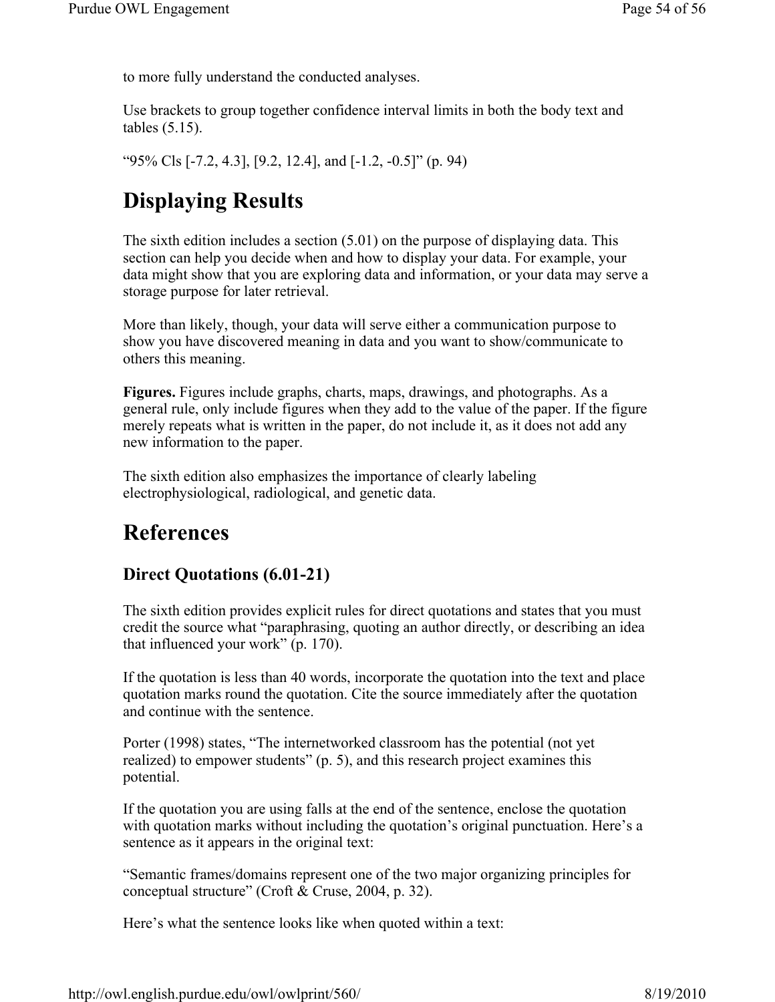to more fully understand the conducted analyses.

Use brackets to group together confidence interval limits in both the body text and tables (5.15).

"95% Cls [-7.2, 4.3], [9.2, 12.4], and [-1.2, -0.5]" (p. 94)

### **Displaying Results**

The sixth edition includes a section (5.01) on the purpose of displaying data. This section can help you decide when and how to display your data. For example, your data might show that you are exploring data and information, or your data may serve a storage purpose for later retrieval.

More than likely, though, your data will serve either a communication purpose to show you have discovered meaning in data and you want to show/communicate to others this meaning.

**Figures.** Figures include graphs, charts, maps, drawings, and photographs. As a general rule, only include figures when they add to the value of the paper. If the figure merely repeats what is written in the paper, do not include it, as it does not add any new information to the paper.

The sixth edition also emphasizes the importance of clearly labeling electrophysiological, radiological, and genetic data.

### **References**

#### **Direct Quotations (6.01-21)**

The sixth edition provides explicit rules for direct quotations and states that you must credit the source what "paraphrasing, quoting an author directly, or describing an idea that influenced your work" (p. 170).

If the quotation is less than 40 words, incorporate the quotation into the text and place quotation marks round the quotation. Cite the source immediately after the quotation and continue with the sentence.

Porter (1998) states, "The internetworked classroom has the potential (not yet realized) to empower students" (p. 5), and this research project examines this potential.

If the quotation you are using falls at the end of the sentence, enclose the quotation with quotation marks without including the quotation's original punctuation. Here's a sentence as it appears in the original text:

"Semantic frames/domains represent one of the two major organizing principles for conceptual structure" (Croft & Cruse, 2004, p. 32).

Here's what the sentence looks like when quoted within a text: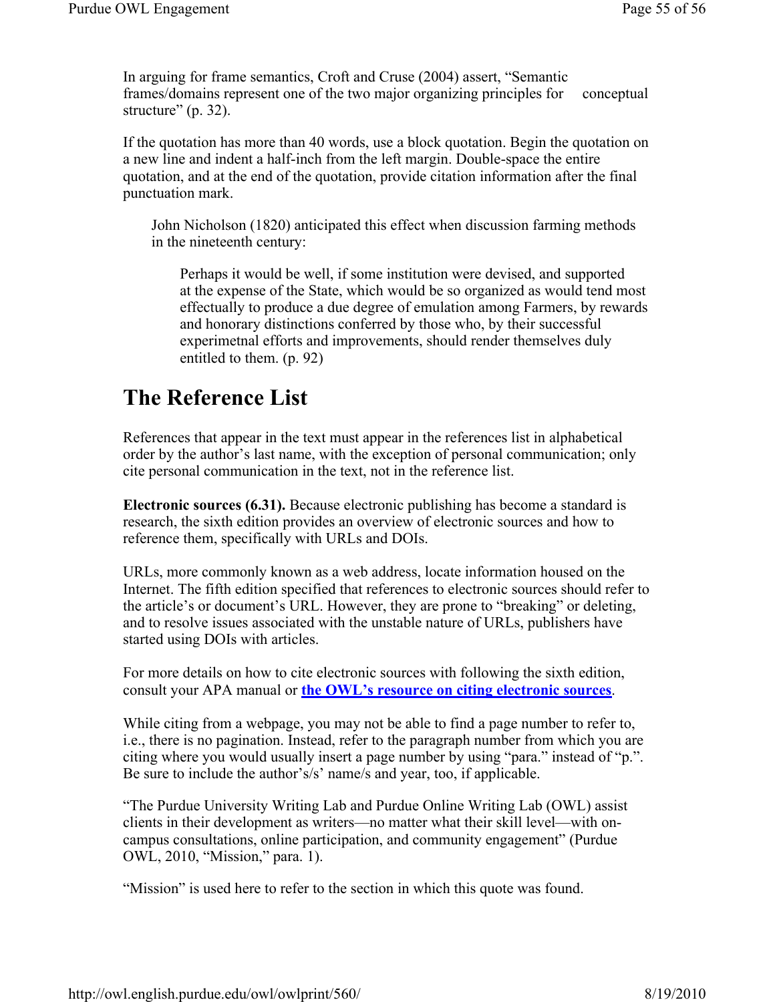In arguing for frame semantics, Croft and Cruse (2004) assert, "Semantic frames/domains represent one of the two major organizing principles for conceptual structure"  $(p. 32)$ .

If the quotation has more than 40 words, use a block quotation. Begin the quotation on a new line and indent a half-inch from the left margin. Double-space the entire quotation, and at the end of the quotation, provide citation information after the final punctuation mark.

John Nicholson (1820) anticipated this effect when discussion farming methods in the nineteenth century:

Perhaps it would be well, if some institution were devised, and supported at the expense of the State, which would be so organized as would tend most effectually to produce a due degree of emulation among Farmers, by rewards and honorary distinctions conferred by those who, by their successful experimetnal efforts and improvements, should render themselves duly entitled to them. (p. 92)

### **The Reference List**

References that appear in the text must appear in the references list in alphabetical order by the author's last name, with the exception of personal communication; only cite personal communication in the text, not in the reference list.

**Electronic sources (6.31).** Because electronic publishing has become a standard is research, the sixth edition provides an overview of electronic sources and how to reference them, specifically with URLs and DOIs.

URLs, more commonly known as a web address, locate information housed on the Internet. The fifth edition specified that references to electronic sources should refer to the article's or document's URL. However, they are prone to "breaking" or deleting, and to resolve issues associated with the unstable nature of URLs, publishers have started using DOIs with articles.

For more details on how to cite electronic sources with following the sixth edition, consult your APA manual or **the OWL's resource on citing electronic sources**.

While citing from a webpage, you may not be able to find a page number to refer to, i.e., there is no pagination. Instead, refer to the paragraph number from which you are citing where you would usually insert a page number by using "para." instead of "p.". Be sure to include the author's/s' name/s and year, too, if applicable.

"The Purdue University Writing Lab and Purdue Online Writing Lab (OWL) assist clients in their development as writers—no matter what their skill level—with oncampus consultations, online participation, and community engagement" (Purdue OWL, 2010, "Mission," para. 1).

"Mission" is used here to refer to the section in which this quote was found.